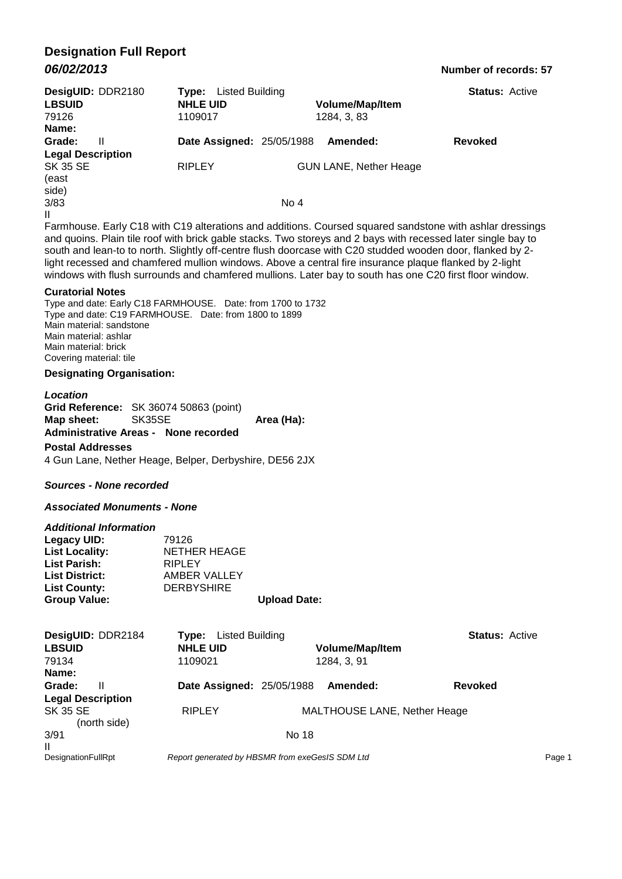# **Designation Full Report** *06/02/2013* **Number of records: 57**

|                          | DesigUID: DDR2180 | Listed Building<br>Type:         |                               | <b>Status: Active</b>                                                                                          |  |
|--------------------------|-------------------|----------------------------------|-------------------------------|----------------------------------------------------------------------------------------------------------------|--|
| <b>LBSUID</b>            |                   | <b>NHLE UID</b>                  | <b>Volume/Map/Item</b>        |                                                                                                                |  |
| 79126                    |                   | 1109017                          | 1284, 3, 83                   |                                                                                                                |  |
| Name:                    |                   |                                  |                               |                                                                                                                |  |
| Grade:                   | Ш                 | <b>Date Assigned: 25/05/1988</b> | Amended:                      | <b>Revoked</b>                                                                                                 |  |
| <b>Legal Description</b> |                   |                                  |                               |                                                                                                                |  |
| <b>SK 35 SE</b>          |                   | <b>RIPLEY</b>                    | <b>GUN LANE, Nether Heage</b> |                                                                                                                |  |
| (east                    |                   |                                  |                               |                                                                                                                |  |
| side)                    |                   |                                  |                               |                                                                                                                |  |
| 3/83                     |                   |                                  | No 4                          |                                                                                                                |  |
| $\mathbf{H}$             |                   |                                  |                               |                                                                                                                |  |
|                          |                   |                                  |                               | Familiana - Faile 040 initir 040 alternational calculational Occupant amount againsters initir additionalments |  |

Farmhouse. Early C18 with C19 alterations and additions. Coursed squared sandstone with ashlar dressings and quoins. Plain tile roof with brick gable stacks. Two storeys and 2 bays with recessed later single bay to south and lean-to to north. Slightly off-centre flush doorcase with C20 studded wooden door, flanked by 2 light recessed and chamfered mullion windows. Above a central fire insurance plaque flanked by 2-light windows with flush surrounds and chamfered mullions. Later bay to south has one C20 first floor window.

#### **Curatorial Notes**

Type and date: Early C18 FARMHOUSE. Date: from 1700 to 1732 Type and date: C19 FARMHOUSE. Date: from 1800 to 1899 Main material: sandstone Main material: ashlar Main material: brick Covering material: tile

#### **Designating Organisation:**

*Location* **Grid Reference:** SK 36074 50863 (point) **Map sheet:** SK35SE **Area (Ha): Administrative Areas - None recorded Postal Addresses**

4 Gun Lane, Nether Heage, Belper, Derbyshire, DE56 2JX

#### *Sources - None recorded*

#### *Associated Monuments - None*

| <b>Additional Information</b> |                     |                     |
|-------------------------------|---------------------|---------------------|
| Legacy UID:                   | 79126               |                     |
| <b>List Locality:</b>         | <b>NETHER HEAGE</b> |                     |
| <b>List Parish:</b>           | <b>RIPLEY</b>       |                     |
| <b>List District:</b>         | AMBER VALLEY        |                     |
| <b>List County:</b>           | <b>DERBYSHIRE</b>   |                     |
| <b>Group Value:</b>           |                     | <b>Upload Date:</b> |

| DesigUID: DDR2184               | Listed Building<br>Tvpe:         |                                                 | <b>Status: Active</b> |
|---------------------------------|----------------------------------|-------------------------------------------------|-----------------------|
| <b>LBSUID</b>                   | <b>NHLE UID</b>                  | <b>Volume/Map/Item</b>                          |                       |
| 79134                           | 1109021                          | 1284. 3. 91                                     |                       |
| Name:                           |                                  |                                                 |                       |
| Grade:<br>Ш                     | <b>Date Assigned: 25/05/1988</b> | Amended:                                        | <b>Revoked</b>        |
| <b>Legal Description</b>        |                                  |                                                 |                       |
| <b>SK 35 SE</b><br>(north side) | <b>RIPLEY</b>                    | MALTHOUSE LANE, Nether Heage                    |                       |
| 3/91                            |                                  | No 18                                           |                       |
| Ш<br><b>DesignationFullRpt</b>  |                                  | Report generated by HBSMR from exeGesIS SDM Ltd | Page 1                |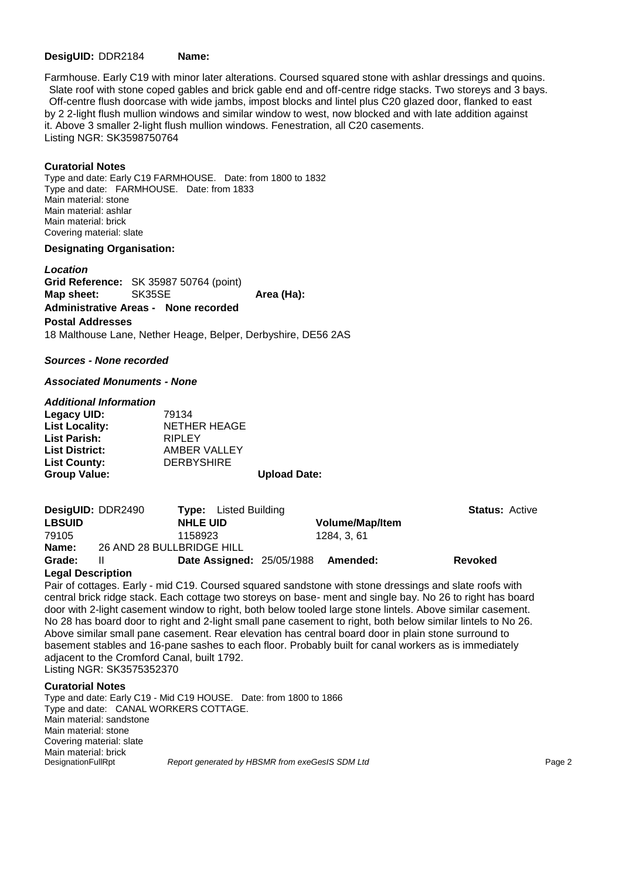#### **DesigUID:** DDR2184 **Name:**

Farmhouse. Early C19 with minor later alterations. Coursed squared stone with ashlar dressings and quoins. Slate roof with stone coped gables and brick gable end and off-centre ridge stacks. Two storeys and 3 bays. Off-centre flush doorcase with wide jambs, impost blocks and lintel plus C20 glazed door, flanked to east by 2 2-light flush mullion windows and similar window to west, now blocked and with late addition against it. Above 3 smaller 2-light flush mullion windows. Fenestration, all C20 casements. Listing NGR: SK3598750764

#### **Curatorial Notes**

Type and date: Early C19 FARMHOUSE. Date: from 1800 to 1832 Type and date: FARMHOUSE. Date: from 1833 Main material: stone Main material: ashlar Main material: brick Covering material: slate

#### **Designating Organisation:**

*Location* **Grid Reference:** SK 35987 50764 (point) **Map sheet:** SK35SE **Area (Ha): Administrative Areas - None recorded Postal Addresses** 18 Malthouse Lane, Nether Heage, Belper, Derbyshire, DE56 2AS

#### *Sources - None recorded*

#### *Associated Monuments - None*

#### *Additional Information*

| Legacy UID:           | 79134             |                     |
|-----------------------|-------------------|---------------------|
| <b>List Locality:</b> | NETHER HEAGE      |                     |
| <b>List Parish:</b>   | <b>RIPLEY</b>     |                     |
| <b>List District:</b> | AMBER VALLEY      |                     |
| <b>List County:</b>   | <b>DERBYSHIRE</b> |                     |
| <b>Group Value:</b>   |                   | <b>Upload Date:</b> |

| <b>DesigUID: DDR2490</b> |                           | <b>Type:</b> Listed Building     |                        | <b>Status: Active</b> |  |
|--------------------------|---------------------------|----------------------------------|------------------------|-----------------------|--|
| <b>LBSUID</b>            | <b>NHLE UID</b>           |                                  | <b>Volume/Map/Item</b> |                       |  |
| 79105                    | 1158923                   |                                  | 1284. 3. 61            |                       |  |
| Name:                    | 26 AND 28 BULLBRIDGE HILL |                                  |                        |                       |  |
| Grade:                   | Ш                         | <b>Date Assigned: 25/05/1988</b> | Amended:               | <b>Revoked</b>        |  |

#### **Legal Description**

Pair of cottages. Early - mid C19. Coursed squared sandstone with stone dressings and slate roofs with central brick ridge stack. Each cottage two storeys on base- ment and single bay. No 26 to right has board door with 2-light casement window to right, both below tooled large stone lintels. Above similar casement. No 28 has board door to right and 2-light small pane casement to right, both below similar lintels to No 26. Above similar small pane casement. Rear elevation has central board door in plain stone surround to basement stables and 16-pane sashes to each floor. Probably built for canal workers as is immediately adjacent to the Cromford Canal, built 1792. Listing NGR: SK3575352370

#### **Curatorial Notes**

Type and date: Early C19 - Mid C19 HOUSE. Date: from 1800 to 1866 Type and date: CANAL WORKERS COTTAGE. Main material: sandstone Main material: stone Covering material: slate Main material: brick<br>DesignationFullRpt Report generated by HBSMR from exeGesIS SDM Ltd **Page 2 Page 2**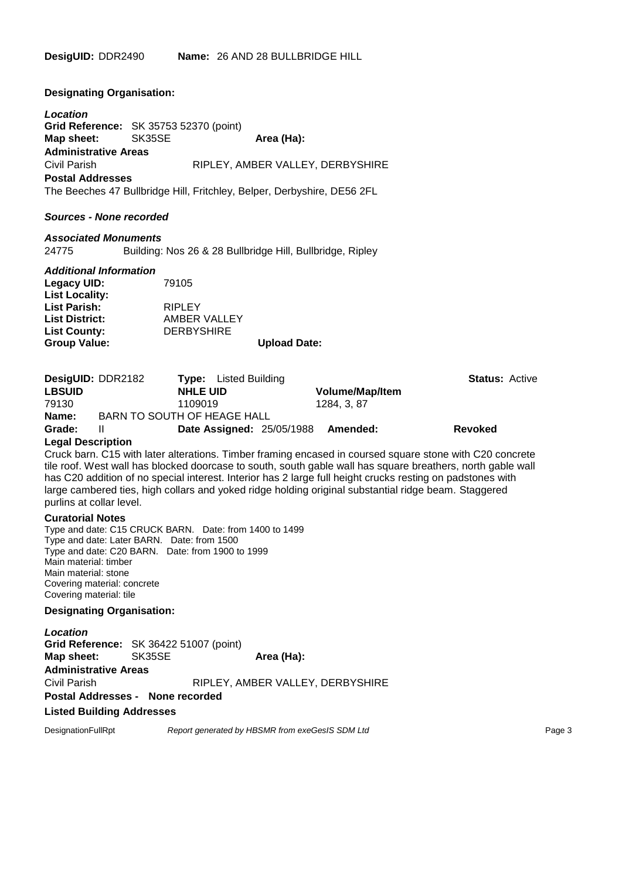**Designating Organisation:**

*Location* **Grid Reference:** SK 35753 52370 (point) **Map sheet:** SK35SE **Area (Ha): Administrative Areas** Civil Parish RIPLEY, AMBER VALLEY, DERBYSHIRE **Postal Addresses**

The Beeches 47 Bullbridge Hill, Fritchley, Belper, Derbyshire, DE56 2FL

#### *Sources - None recorded*

#### *Associated Monuments*

24775 Building: Nos 26 & 28 Bullbridge Hill, Bullbridge, Ripley

#### *Additional Information*

| <b>Group Value:</b>   |                   | <b>Upload Date:</b> |
|-----------------------|-------------------|---------------------|
| <b>List County:</b>   | <b>DERBYSHIRE</b> |                     |
| <b>List District:</b> | AMBER VALLEY      |                     |
| <b>List Parish:</b>   | <b>RIPLEY</b>     |                     |
| <b>List Locality:</b> |                   |                     |
| Legacy UID:           | 79105             |                     |

|                   | DesigUID: DDR2182<br><b>Type:</b> Listed Building |                                                      | <b>Status: Active</b> |
|-------------------|---------------------------------------------------|------------------------------------------------------|-----------------------|
| <b>LBSUID</b>     | <b>NHLE UID</b>                                   | <b>Volume/Map/Item</b>                               |                       |
| 79130             | 1109019                                           | 1284. 3. 87                                          |                       |
| Name:             | BARN TO SOUTH OF HEAGE HALL                       |                                                      |                       |
| Grade:            | Ш                                                 | Date Assigned: 25/05/1988 Amended:<br><b>Revoked</b> |                       |
| Logal Dooguintian |                                                   |                                                      |                       |

#### **Legal Description**

Cruck barn. C15 with later alterations. Timber framing encased in coursed square stone with C20 concrete tile roof. West wall has blocked doorcase to south, south gable wall has square breathers, north gable wall has C20 addition of no special interest. Interior has 2 large full height crucks resting on padstones with large cambered ties, high collars and yoked ridge holding original substantial ridge beam. Staggered purlins at collar level.

#### **Curatorial Notes**

Type and date: C15 CRUCK BARN. Date: from 1400 to 1499 Type and date: Later BARN. Date: from 1500 Type and date: C20 BARN. Date: from 1900 to 1999 Main material: timber Main material: stone Covering material: concrete Covering material: tile

#### **Designating Organisation:**

*Location* **Grid Reference:** SK 36422 51007 (point) **Map sheet:** SK35SE **Area (Ha): Administrative Areas** Civil Parish RIPLEY, AMBER VALLEY, DERBYSHIRE **Postal Addresses - None recorded**

### **Listed Building Addresses**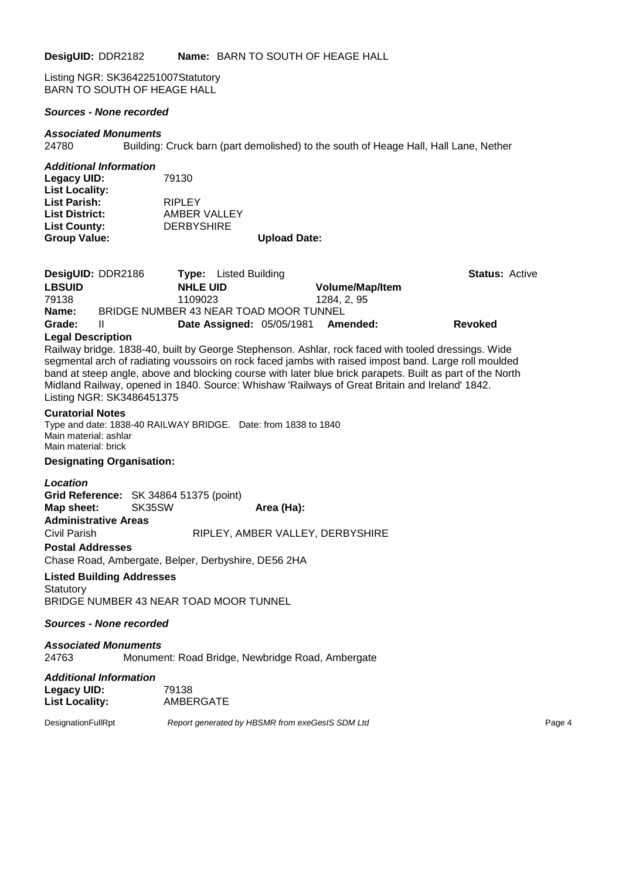Listing NGR: SK3642251007Statutory BARN TO SOUTH OF HEAGE HALL

#### *Sources - None recorded*

#### *Associated Monuments*

24780 Building: Cruck barn (part demolished) to the south of Heage Hall, Hall Lane, Nether

#### *Additional Information*

| Legacy UID:           | 79130             |                     |
|-----------------------|-------------------|---------------------|
| <b>List Locality:</b> |                   |                     |
| <b>List Parish:</b>   | <b>RIPLEY</b>     |                     |
| <b>List District:</b> | AMBER VALLEY      |                     |
| <b>List County:</b>   | <b>DERBYSHIRE</b> |                     |
| <b>Group Value:</b>   |                   | <b>Upload Date:</b> |

#### **Legal Description**

Railway bridge. 1838-40, built by George Stephenson. Ashlar, rock faced with tooled dressings. Wide segmental arch of radiating voussoirs on rock faced jambs with raised impost band. Large roll moulded band at steep angle, above and blocking course with later blue brick parapets. Built as part of the North Midland Railway, opened in 1840. Source: Whishaw 'Railways of Great Britain and Ireland' 1842. Listing NGR: SK3486451375

#### **Curatorial Notes**

Type and date: 1838-40 RAILWAY BRIDGE. Date: from 1838 to 1840 Main material: ashlar Main material: brick

#### **Designating Organisation:**

| <b>Location</b>             |                                                     |                                  |
|-----------------------------|-----------------------------------------------------|----------------------------------|
|                             | Grid Reference: SK 34864 51375 (point)              |                                  |
| Map sheet: SK35SW           |                                                     | Area (Ha):                       |
| <b>Administrative Areas</b> |                                                     |                                  |
| Civil Parish                |                                                     | RIPLEY, AMBER VALLEY, DERBYSHIRE |
| <b>Postal Addresses</b>     |                                                     |                                  |
|                             | Chase Road, Ambergate, Belper, Derbyshire, DE56 2HA |                                  |

#### **Listed Building Addresses**

**Statutory** BRIDGE NUMBER 43 NEAR TOAD MOOR TUNNEL

#### *Sources - None recorded*

### *Associated Monuments* 24763 Monument: Road Bridge, Newbridge Road, Ambergate

#### *Additional Information* Legacy UID: 79138<br>
List Locality: AMBERGATE **List Locality:**

DesignationFullRpt *Report generated by HBSMR from exeGesIS SDM Ltd Report generated by HBSMR from exeGesIS SDM Ltd*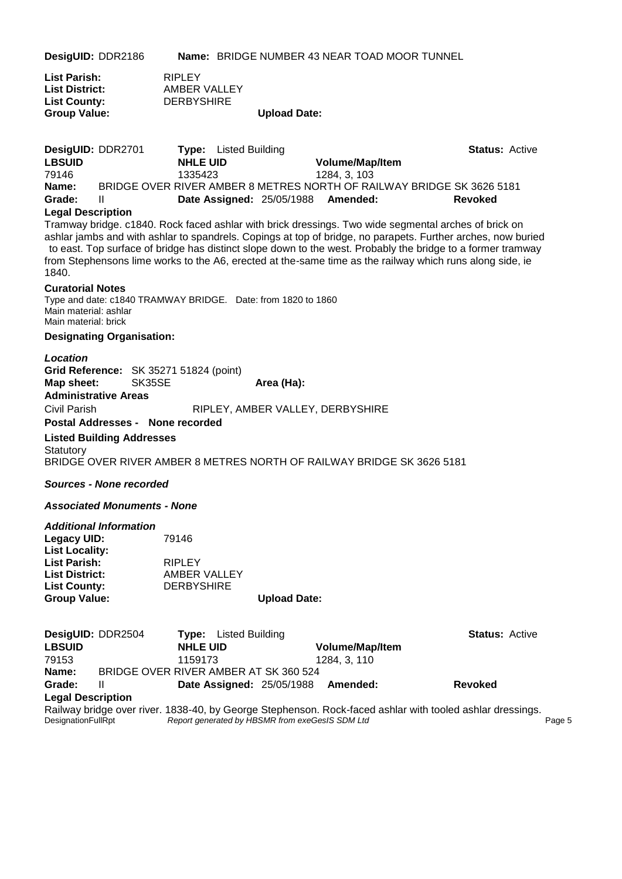**DesigUID:** DDR2186 **Name:** BRIDGE NUMBER 43 NEAR TOAD MOOR TUNNEL

| <b>List Parish:</b>   | <b>RIPLEY</b>     |                     |
|-----------------------|-------------------|---------------------|
| <b>List District:</b> | AMBER VALLEY      |                     |
| <b>List County:</b>   | <b>DERBYSHIRE</b> |                     |
| <b>Group Value:</b>   |                   | <b>Upload Date:</b> |

| DesigUID: DDR2701 |                 | <b>Type:</b> Listed Building       |                                                                       | <b>Status: Active</b> |  |
|-------------------|-----------------|------------------------------------|-----------------------------------------------------------------------|-----------------------|--|
| <b>LBSUID</b>     | <b>NHLE UID</b> |                                    | <b>Volume/Map/Item</b>                                                |                       |  |
| 79146             | 1335423         |                                    | 1284, 3, 103                                                          |                       |  |
| Name:             |                 |                                    | BRIDGE OVER RIVER AMBER 8 METRES NORTH OF RAILWAY BRIDGE SK 3626 5181 |                       |  |
| Grade:            | H               | Date Assigned: 25/05/1988 Amended: |                                                                       | Revoked               |  |

#### **Legal Description**

Tramway bridge. c1840. Rock faced ashlar with brick dressings. Two wide segmental arches of brick on ashlar jambs and with ashlar to spandrels. Copings at top of bridge, no parapets. Further arches, now buried to east. Top surface of bridge has distinct slope down to the west. Probably the bridge to a former tramway from Stephensons lime works to the A6, erected at the-same time as the railway which runs along side, ie 1840.

#### **Curatorial Notes**

Type and date: c1840 TRAMWAY BRIDGE. Date: from 1820 to 1860 Main material: ashlar Main material: brick

#### **Designating Organisation:**

*Location* **Grid Reference:** SK 35271 51824 (point) **Map sheet:** SK35SE **Area (Ha): Administrative Areas** Civil Parish RIPLEY, AMBER VALLEY, DERBYSHIRE

#### **Postal Addresses - None recorded**

**Listed Building Addresses Statutory** BRIDGE OVER RIVER AMBER 8 METRES NORTH OF RAILWAY BRIDGE SK 3626 5181

#### *Sources - None recorded*

#### *Associated Monuments - None*

#### *Additional Information*

| Legacy UID:           | 79146             |                     |
|-----------------------|-------------------|---------------------|
| <b>List Locality:</b> |                   |                     |
| List Parish:          | <b>RIPLEY</b>     |                     |
| <b>List District:</b> | AMBER VALLEY      |                     |
| <b>List County:</b>   | <b>DERBYSHIRE</b> |                     |
| <b>Group Value:</b>   |                   | <b>Upload Date:</b> |

| DesigUID: DDR2504         |                                       |                 | <b>Type:</b> Listed Building |                                                 |                                                                                                           | <b>Status: Active</b> |        |
|---------------------------|---------------------------------------|-----------------|------------------------------|-------------------------------------------------|-----------------------------------------------------------------------------------------------------------|-----------------------|--------|
| <b>LBSUID</b>             |                                       | <b>NHLE UID</b> |                              |                                                 | <b>Volume/Map/Item</b>                                                                                    |                       |        |
| 79153                     |                                       | 1159173         |                              |                                                 | 1284, 3, 110                                                                                              |                       |        |
| Name:                     | BRIDGE OVER RIVER AMBER AT SK 360 524 |                 |                              |                                                 |                                                                                                           |                       |        |
| Grade:                    |                                       |                 |                              |                                                 | Date Assigned: 25/05/1988 Amended:                                                                        | <b>Revoked</b>        |        |
| <b>Legal Description</b>  |                                       |                 |                              |                                                 |                                                                                                           |                       |        |
|                           |                                       |                 |                              |                                                 | Railway bridge over river. 1838-40, by George Stephenson. Rock-faced ashlar with tooled ashlar dressings. |                       |        |
| <b>DesignationFullRpt</b> |                                       |                 |                              | Report generated by HBSMR from exeGesIS SDM Ltd |                                                                                                           |                       | Page 5 |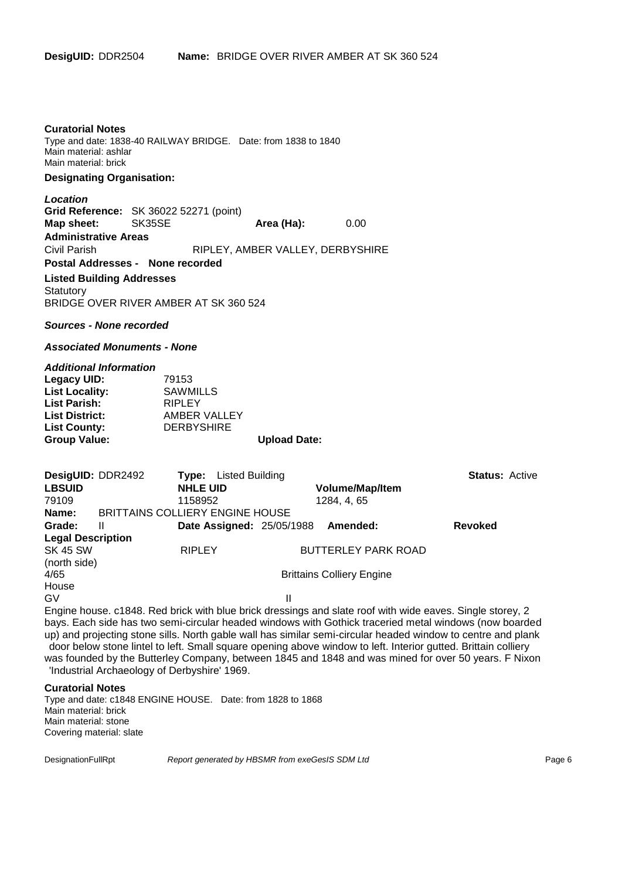#### **Curatorial Notes**

Type and date: 1838-40 RAILWAY BRIDGE. Date: from 1838 to 1840 Main material: ashlar Main material: brick

#### **Designating Organisation:**

#### *Location*

**Grid Reference:** SK 36022 52271 (point) **Map sheet:** SK35SE **Area (Ha):** 0.00 **Administrative Areas** Civil Parish RIPLEY, AMBER VALLEY, DERBYSHIRE **Postal Addresses - None recorded**

#### **Listed Building Addresses Statutory** BRIDGE OVER RIVER AMBER AT SK 360 524

#### *Sources - None recorded*

#### *Associated Monuments - None*

#### *Additional Information*

| Legacy UID:           | 79153             |                     |
|-----------------------|-------------------|---------------------|
| <b>List Locality:</b> | <b>SAWMILLS</b>   |                     |
| <b>List Parish:</b>   | <b>RIPLEY</b>     |                     |
| <b>List District:</b> | AMBER VALLEY      |                     |
| <b>List County:</b>   | <b>DERBYSHIRE</b> |                     |
| <b>Group Value:</b>   |                   | <b>Upload Date:</b> |

| DesigUID: DDR2492        |   | <b>Type:</b> Listed Building           |   |                                  | <b>Status: Active</b> |  |
|--------------------------|---|----------------------------------------|---|----------------------------------|-----------------------|--|
| <b>LBSUID</b>            |   | <b>NHLE UID</b>                        |   | <b>Volume/Map/Item</b>           |                       |  |
| 79109                    |   | 1158952                                |   | 1284, 4, 65                      |                       |  |
| Name:                    |   | <b>BRITTAINS COLLIERY ENGINE HOUSE</b> |   |                                  |                       |  |
| Grade:                   | Ш | <b>Date Assigned: 25/05/1988</b>       |   | Amended:                         | <b>Revoked</b>        |  |
| <b>Legal Description</b> |   |                                        |   |                                  |                       |  |
| <b>SK 45 SW</b>          |   | <b>RIPLEY</b>                          |   | <b>BUTTERLEY PARK ROAD</b>       |                       |  |
| (north side)             |   |                                        |   |                                  |                       |  |
| 4/65                     |   |                                        |   | <b>Brittains Colliery Engine</b> |                       |  |
| House                    |   |                                        |   |                                  |                       |  |
| GV                       |   |                                        | Ш |                                  |                       |  |

Engine house. c1848. Red brick with blue brick dressings and slate roof with wide eaves. Single storey, 2 bays. Each side has two semi-circular headed windows with Gothick traceried metal windows (now boarded up) and projecting stone sills. North gable wall has similar semi-circular headed window to centre and plank door below stone lintel to left. Small square opening above window to left. Interior gutted. Brittain colliery was founded by the Butterley Company, between 1845 and 1848 and was mined for over 50 years. F Nixon 'Industrial Archaeology of Derbyshire' 1969.

#### **Curatorial Notes**

Type and date: c1848 ENGINE HOUSE. Date: from 1828 to 1868 Main material: brick Main material: stone Covering material: slate

DesignationFullRpt *Report generated by HBSMR from exeGesIS SDM Ltd Report generated by HBSMR from exeGesIS SDM Ltd*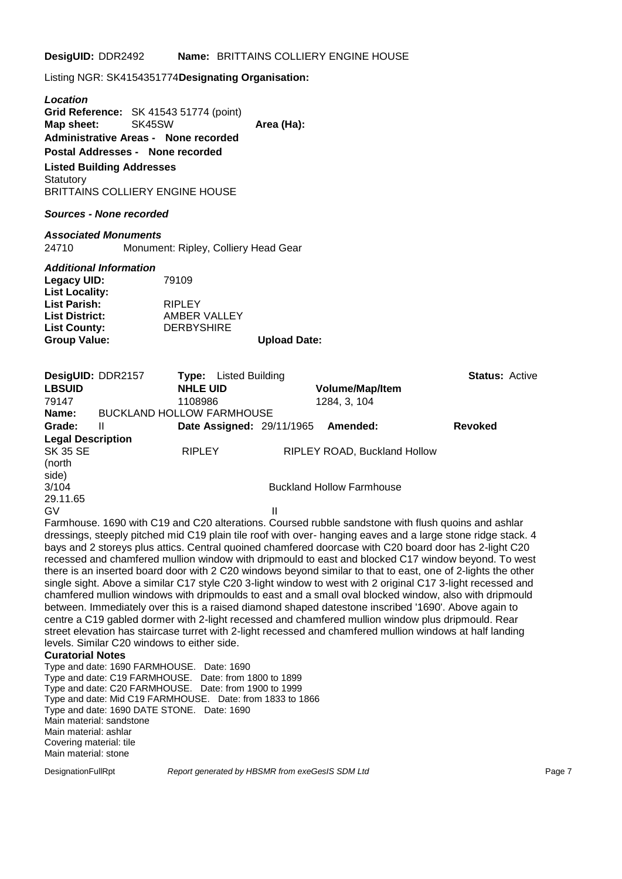Listing NGR: SK4154351774**Designating Organisation:**

*Location* **Grid Reference:** SK 41543 51774 (point) **Map sheet:** SK45SW **Area (Ha): Administrative Areas - None recorded Postal Addresses - None recorded Listed Building Addresses Statutory** BRITTAINS COLLIERY ENGINE HOUSE

#### *Sources - None recorded*

*Associated Monuments* Monument: Ripley, Colliery Head Gear

#### *Additional Information*

| Legacy UID:<br><b>List Locality:</b> | 79109             |                     |
|--------------------------------------|-------------------|---------------------|
| List Parish:                         | <b>RIPLEY</b>     |                     |
| <b>List District:</b>                | AMBER VALLEY      |                     |
| <b>List County:</b>                  | <b>DERBYSHIRE</b> |                     |
|                                      |                   |                     |
| <b>Group Value:</b>                  |                   | <b>Upload Date:</b> |

| DesigUID: DDR2157                  |                                  | Type:           | Listed Building                  |                                  | <b>Status: Active</b> |  |
|------------------------------------|----------------------------------|-----------------|----------------------------------|----------------------------------|-----------------------|--|
| <b>LBSUID</b>                      |                                  | <b>NHLE UID</b> |                                  | <b>Volume/Map/Item</b>           |                       |  |
| 79147                              |                                  | 1108986         |                                  | 1284, 3, 104                     |                       |  |
| Name:                              | <b>BUCKLAND HOLLOW FARMHOUSE</b> |                 |                                  |                                  |                       |  |
| Grade:                             | Ш                                |                 | <b>Date Assigned: 29/11/1965</b> | Amended:                         | <b>Revoked</b>        |  |
| <b>Legal Description</b>           |                                  |                 |                                  |                                  |                       |  |
| <b>SK 35 SE</b><br>(north<br>side) |                                  | <b>RIPLEY</b>   |                                  | RIPLEY ROAD, Buckland Hollow     |                       |  |
| 3/104                              |                                  |                 |                                  | <b>Buckland Hollow Farmhouse</b> |                       |  |
| 29.11.65                           |                                  |                 |                                  |                                  |                       |  |
| GV                                 |                                  |                 | Ш                                |                                  |                       |  |
|                                    |                                  |                 |                                  |                                  |                       |  |

Farmhouse. 1690 with C19 and C20 alterations. Coursed rubble sandstone with flush quoins and ashlar dressings, steeply pitched mid C19 plain tile roof with over- hanging eaves and a large stone ridge stack. 4 bays and 2 storeys plus attics. Central quoined chamfered doorcase with C20 board door has 2-light C20 recessed and chamfered mullion window with dripmould to east and blocked C17 window beyond. To west there is an inserted board door with 2 C20 windows beyond similar to that to east, one of 2-lights the other single sight. Above a similar C17 style C20 3-light window to west with 2 original C17 3-light recessed and chamfered mullion windows with dripmoulds to east and a small oval blocked window, also with dripmould between. Immediately over this is a raised diamond shaped datestone inscribed '1690'. Above again to centre a C19 gabled dormer with 2-light recessed and chamfered mullion window plus dripmould. Rear street elevation has staircase turret with 2-light recessed and chamfered mullion windows at half landing levels. Similar C20 windows to either side.

#### **Curatorial Notes**

Type and date: 1690 FARMHOUSE. Date: 1690 Type and date: C19 FARMHOUSE. Date: from 1800 to 1899 Type and date: C20 FARMHOUSE. Date: from 1900 to 1999 Type and date: Mid C19 FARMHOUSE. Date: from 1833 to 1866 Type and date: 1690 DATE STONE. Date: 1690 Main material: sandstone Main material: ashlar Covering material: tile Main material: stone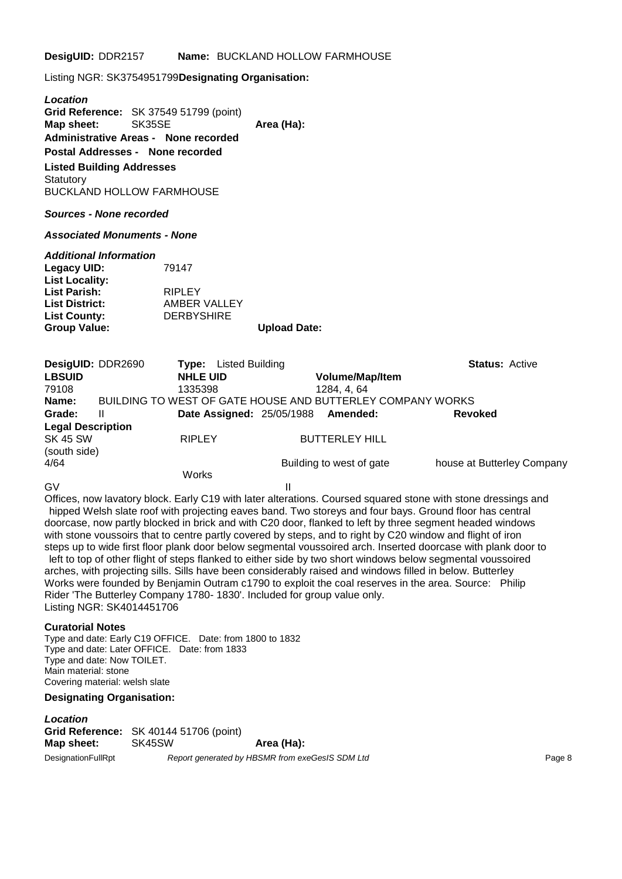Listing NGR: SK3754951799**Designating Organisation:**

*Location* **Grid Reference:** SK 37549 51799 (point) **Map sheet:** SK35SE **Area (Ha): Administrative Areas - None recorded Postal Addresses - None recorded Listed Building Addresses Statutory** BUCKLAND HOLLOW FARMHOUSE

#### *Sources - None recorded*

*Associated Monuments - None*

#### *Additional Information*

| 79147             |                     |
|-------------------|---------------------|
|                   |                     |
| <b>RIPLEY</b>     |                     |
| AMBER VALLEY      |                     |
| <b>DERBYSHIRE</b> |                     |
|                   | <b>Upload Date:</b> |
|                   |                     |

| DesigUID: DDR2690        |   | Listed Building<br>Type:                                   |                          | <b>Status: Active</b>      |
|--------------------------|---|------------------------------------------------------------|--------------------------|----------------------------|
| <b>LBSUID</b>            |   | <b>NHLE UID</b>                                            | <b>Volume/Map/Item</b>   |                            |
| 79108                    |   | 1335398                                                    | 1284, 4, 64              |                            |
| Name:                    |   | BUILDING TO WEST OF GATE HOUSE AND BUTTERLEY COMPANY WORKS |                          |                            |
| Grade:                   | Ш | <b>Date Assigned: 25/05/1988</b>                           | Amended:                 | <b>Revoked</b>             |
| <b>Legal Description</b> |   |                                                            |                          |                            |
| <b>SK 45 SW</b>          |   | <b>RIPLEY</b>                                              | <b>BUTTERLEY HILL</b>    |                            |
| (south side)             |   |                                                            |                          |                            |
| 4/64                     |   |                                                            | Building to west of gate | house at Butterley Company |
|                          |   | Works                                                      |                          |                            |

GV II

Offices, now lavatory block. Early C19 with later alterations. Coursed squared stone with stone dressings and hipped Welsh slate roof with projecting eaves band. Two storeys and four bays. Ground floor has central doorcase, now partly blocked in brick and with C20 door, flanked to left by three segment headed windows with stone voussoirs that to centre partly covered by steps, and to right by C20 window and flight of iron steps up to wide first floor plank door below segmental voussoired arch. Inserted doorcase with plank door to left to top of other flight of steps flanked to either side by two short windows below segmental voussoired arches, with projecting sills. Sills have been considerably raised and windows filled in below. Butterley Works were founded by Benjamin Outram c1790 to exploit the coal reserves in the area. Source: Philip Rider 'The Butterley Company 1780- 1830'. Included for group value only. Listing NGR: SK4014451706

#### **Curatorial Notes**

Type and date: Early C19 OFFICE. Date: from 1800 to 1832 Type and date: Later OFFICE. Date: from 1833 Type and date: Now TOILET. Main material: stone Covering material: welsh slate

#### **Designating Organisation:**

*Location* **Grid Reference:** SK 40144 51706 (point) **Map sheet:** SK45SW **Area (Ha):** DesignationFullRpt *Report generated by HBSMR from exeGesIS SDM Ltd* Page 8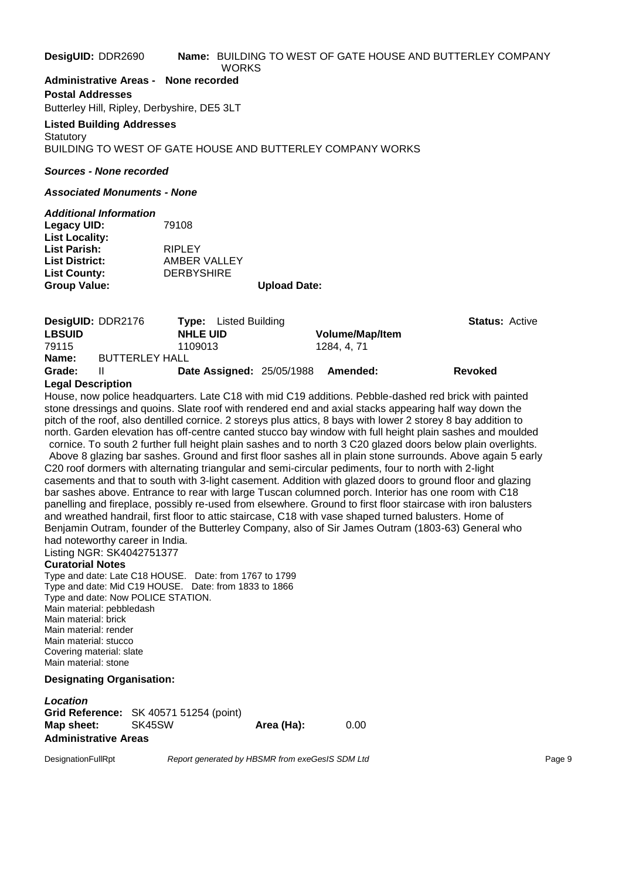#### **DesigUID:** DDR2690 **Name:** BUILDING TO WEST OF GATE HOUSE AND BUTTERLEY COMPANY **WORKS**

**Administrative Areas - None recorded**

**Postal Addresses** Butterley Hill, Ripley, Derbyshire, DE5 3LT

#### **Listed Building Addresses Statutory**

BUILDING TO WEST OF GATE HOUSE AND BUTTERLEY COMPANY WORKS

#### *Sources - None recorded*

#### *Associated Monuments - None*

| <b>Additional Information</b> |                   |                     |
|-------------------------------|-------------------|---------------------|
| Legacy UID:                   | 79108             |                     |
| <b>List Locality:</b>         |                   |                     |
| <b>List Parish:</b>           | <b>RIPLEY</b>     |                     |
| <b>List District:</b>         | AMBER VALLEY      |                     |
| <b>List County:</b>           | <b>DERBYSHIRE</b> |                     |
| <b>Group Value:</b>           |                   | <b>Upload Date:</b> |
|                               |                   |                     |

| <b>DesigUID: DDR2176</b> |                       | <b>Type:</b> Listed Building     |                        | <b>Status: Active</b> |  |
|--------------------------|-----------------------|----------------------------------|------------------------|-----------------------|--|
| <b>LBSUID</b>            |                       | <b>NHLE UID</b>                  | <b>Volume/Map/Item</b> |                       |  |
| 79115                    |                       | 1109013                          | 1284, 4, 71            |                       |  |
| Name:                    | <b>BUTTERLEY HALL</b> |                                  |                        |                       |  |
| Grade:                   | ш                     | <b>Date Assigned: 25/05/1988</b> | <b>Amended:</b>        | Revoked               |  |
| <b>Legal Description</b> |                       |                                  |                        |                       |  |

# **Legal Description**

House, now police headquarters. Late C18 with mid C19 additions. Pebble-dashed red brick with painted stone dressings and quoins. Slate roof with rendered end and axial stacks appearing half way down the pitch of the roof, also dentilled cornice. 2 storeys plus attics, 8 bays with lower 2 storey 8 bay addition to north. Garden elevation has off-centre canted stucco bay window with full height plain sashes and moulded

cornice. To south 2 further full height plain sashes and to north 3 C20 glazed doors below plain overlights. Above 8 glazing bar sashes. Ground and first floor sashes all in plain stone surrounds. Above again 5 early C20 roof dormers with alternating triangular and semi-circular pediments, four to north with 2-light casements and that to south with 3-light casement. Addition with glazed doors to ground floor and glazing bar sashes above. Entrance to rear with large Tuscan columned porch. Interior has one room with C18 panelling and fireplace, possibly re-used from elsewhere. Ground to first floor staircase with iron balusters and wreathed handrail, first floor to attic staircase, C18 with vase shaped turned balusters. Home of Benjamin Outram, founder of the Butterley Company, also of Sir James Outram (1803-63) General who had noteworthy career in India.

Listing NGR: SK4042751377

### **Curatorial Notes**

Type and date: Late C18 HOUSE. Date: from 1767 to 1799 Type and date: Mid C19 HOUSE. Date: from 1833 to 1866 Type and date: Now POLICE STATION. Main material: pebbledash Main material: brick Main material: render Main material: stucco Covering material: slate Main material: stone

#### **Designating Organisation:**

*Location* **Grid Reference:** SK 40571 51254 (point) **Map sheet:** SK45SW **Area (Ha):** 0.00 **Administrative Areas**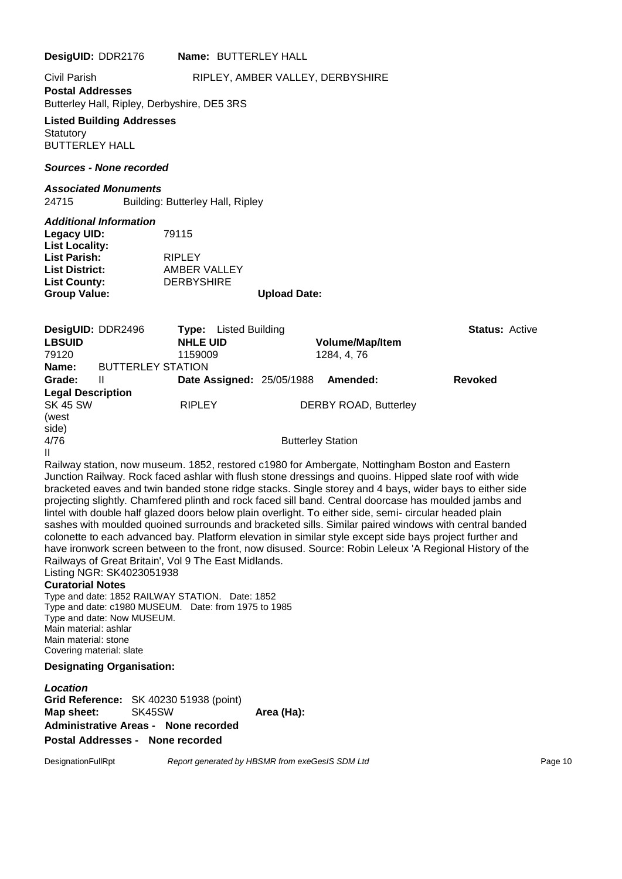**DesigUID:** DDR2176 **Name:** BUTTERLEY HALL Civil Parish RIPLEY, AMBER VALLEY, DERBYSHIRE **Postal Addresses** Butterley Hall, Ripley, Derbyshire, DE5 3RS **Listed Building Addresses Statutory** BUTTERLEY HALL *Sources - None recorded Associated Monuments* 24715 Building: Butterley Hall, Ripley *Additional Information* **Legacy UID:** 79115 **List Locality: List Parish:** RIPLEY **List District:** AMBER VALLEY **List County:** DERBYSHIRE **Group Value: Upload Date: DesigUID:** DDR2496 **Type:** Listed Building **Status:** Active **LBSUID NHLE UID Volume/Map/Item** 79120 1159009 1284, 4, 76 **Name:** BUTTERLEY STATION **Grade:** II **Date Assigned:** 25/05/1988 **Amended: Revoked Legal Description** RIPLEY DERBY ROAD, Butterley (west side)<br>4/76 **Butterley Station** II Railway station, now museum. 1852, restored c1980 for Ambergate, Nottingham Boston and Eastern Junction Railway. Rock faced ashlar with flush stone dressings and quoins. Hipped slate roof with wide bracketed eaves and twin banded stone ridge stacks. Single storey and 4 bays, wider bays to either side projecting slightly. Chamfered plinth and rock faced sill band. Central doorcase has moulded jambs and lintel with double half glazed doors below plain overlight. To either side, semi- circular headed plain sashes with moulded quoined surrounds and bracketed sills. Similar paired windows with central banded colonette to each advanced bay. Platform elevation in similar style except side bays project further and have ironwork screen between to the front, now disused. Source: Robin Leleux 'A Regional History of the Railways of Great Britain', Vol 9 The East Midlands. Listing NGR: SK4023051938 **Curatorial Notes** Type and date: 1852 RAILWAY STATION. Date: 1852 Type and date: c1980 MUSEUM. Date: from 1975 to 1985 Type and date: Now MUSEUM. Main material: ashlar Main material: stone Covering material: slate **Designating Organisation:** *Location* **Grid Reference:** SK 40230 51938 (point) **Map sheet:** SK45SW **Area (Ha): Administrative Areas - None recorded**

**Postal Addresses - None recorded**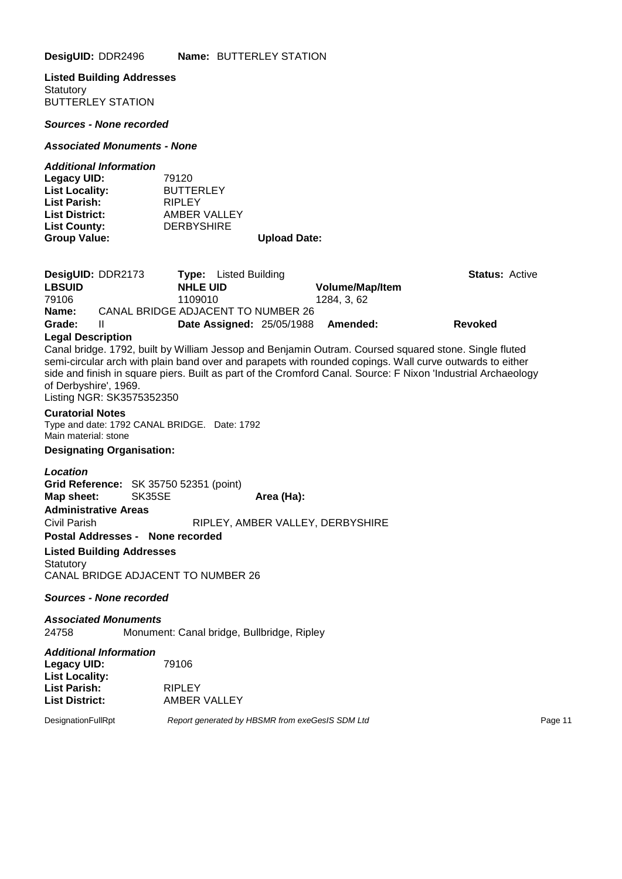**Listed Building Addresses Statutory** BUTTERLEY STATION

*Sources - None recorded*

#### *Associated Monuments - None*

#### *Additional Information*

| <b>Group Value:</b>   |                   | <b>Upload Date:</b> |
|-----------------------|-------------------|---------------------|
| <b>List County:</b>   | <b>DERBYSHIRE</b> |                     |
| <b>List District:</b> | AMBER VALLEY      |                     |
| <b>List Parish:</b>   | <b>RIPLEY</b>     |                     |
| <b>List Locality:</b> | <b>BUTTERLEY</b>  |                     |
| Legacy UID:           | 79120             |                     |

| DesigUID: DDR2173 |                                    | <b>Type:</b> Listed Building     |                        | <b>Status: Active</b> |  |
|-------------------|------------------------------------|----------------------------------|------------------------|-----------------------|--|
| <b>LBSUID</b>     | <b>NHLE UID</b>                    |                                  | <b>Volume/Map/Item</b> |                       |  |
| 79106             | 1109010                            |                                  | 1284. 3. 62            |                       |  |
| Name:             | CANAL BRIDGE ADJACENT TO NUMBER 26 |                                  |                        |                       |  |
| Grade:            |                                    | <b>Date Assigned: 25/05/1988</b> | <b>Amended:</b>        | <b>Revoked</b>        |  |

#### **Legal Description**

Canal bridge. 1792, built by William Jessop and Benjamin Outram. Coursed squared stone. Single fluted semi-circular arch with plain band over and parapets with rounded copings. Wall curve outwards to either side and finish in square piers. Built as part of the Cromford Canal. Source: F Nixon 'Industrial Archaeology of Derbyshire', 1969.

Listing NGR: SK3575352350

#### **Curatorial Notes**

Type and date: 1792 CANAL BRIDGE. Date: 1792 Main material: stone

#### **Designating Organisation:**

#### *Location*

**Grid Reference:** SK 35750 52351 (point) **Map sheet:** SK35SE **Area (Ha): Administrative Areas** Civil Parish RIPLEY, AMBER VALLEY, DERBYSHIRE **Postal Addresses - None recorded Listed Building Addresses Statutory** CANAL BRIDGE ADJACENT TO NUMBER 26

#### *Sources - None recorded*

*Associated Monuments* 24758 Monument: Canal bridge, Bullbridge, Ripley

| <b>Additional Information</b> |               |
|-------------------------------|---------------|
| Legacy UID:                   | 79106         |
| <b>List Locality:</b>         |               |
| List Parish:                  | <b>RIPLEY</b> |
| <b>List District:</b>         | AMBER VALLEY  |
|                               |               |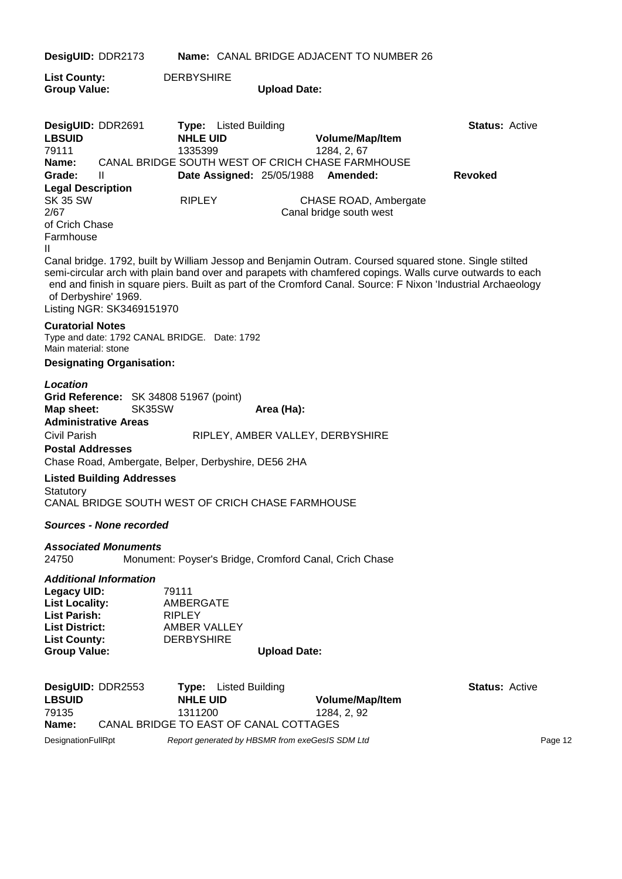| DesigUID: DDR2173                                                                                                                         |                                       |                                                                                               |                     | Name: CANAL BRIDGE ADJACENT TO NUMBER 26                                                                                                                                                                                                                                                                                            |                       |
|-------------------------------------------------------------------------------------------------------------------------------------------|---------------------------------------|-----------------------------------------------------------------------------------------------|---------------------|-------------------------------------------------------------------------------------------------------------------------------------------------------------------------------------------------------------------------------------------------------------------------------------------------------------------------------------|-----------------------|
| <b>List County:</b><br><b>Group Value:</b>                                                                                                |                                       | <b>DERBYSHIRE</b>                                                                             | <b>Upload Date:</b> |                                                                                                                                                                                                                                                                                                                                     |                       |
| DesigUID: DDR2691<br><b>LBSUID</b><br>79111                                                                                               |                                       | <b>Type:</b> Listed Building<br><b>NHLE UID</b><br>1335399                                    |                     | Volume/Map/Item<br>1284, 2, 67                                                                                                                                                                                                                                                                                                      | <b>Status: Active</b> |
| Name:                                                                                                                                     |                                       |                                                                                               |                     | CANAL BRIDGE SOUTH WEST OF CRICH CHASE FARMHOUSE                                                                                                                                                                                                                                                                                    |                       |
| Grade:                                                                                                                                    | Ш                                     | <b>Date Assigned: 25/05/1988</b>                                                              |                     | Amended:                                                                                                                                                                                                                                                                                                                            | <b>Revoked</b>        |
| <b>Legal Description</b><br><b>SK 35 SW</b><br>2/67<br>of Crich Chase                                                                     |                                       | <b>RIPLEY</b>                                                                                 |                     | CHASE ROAD, Ambergate<br>Canal bridge south west                                                                                                                                                                                                                                                                                    |                       |
| Farmhouse<br>Ш                                                                                                                            |                                       |                                                                                               |                     |                                                                                                                                                                                                                                                                                                                                     |                       |
| of Derbyshire' 1969.                                                                                                                      | Listing NGR: SK3469151970             |                                                                                               |                     | Canal bridge. 1792, built by William Jessop and Benjamin Outram. Coursed squared stone. Single stilted<br>semi-circular arch with plain band over and parapets with chamfered copings. Walls curve outwards to each<br>end and finish in square piers. Built as part of the Cromford Canal. Source: F Nixon 'Industrial Archaeology |                       |
| <b>Curatorial Notes</b><br>Main material: stone                                                                                           |                                       | Type and date: 1792 CANAL BRIDGE. Date: 1792                                                  |                     |                                                                                                                                                                                                                                                                                                                                     |                       |
|                                                                                                                                           | <b>Designating Organisation:</b>      |                                                                                               |                     |                                                                                                                                                                                                                                                                                                                                     |                       |
| <b>Location</b><br>Map sheet:<br>Civil Parish<br><b>Postal Addresses</b>                                                                  | SK35SW<br><b>Administrative Areas</b> | Grid Reference: SK 34808 51967 (point)<br>Chase Road, Ambergate, Belper, Derbyshire, DE56 2HA | Area (Ha):          | RIPLEY, AMBER VALLEY, DERBYSHIRE                                                                                                                                                                                                                                                                                                    |                       |
|                                                                                                                                           | <b>Listed Building Addresses</b>      |                                                                                               |                     |                                                                                                                                                                                                                                                                                                                                     |                       |
| Statutory                                                                                                                                 |                                       | CANAL BRIDGE SOUTH WEST OF CRICH CHASE FARMHOUSE                                              |                     |                                                                                                                                                                                                                                                                                                                                     |                       |
|                                                                                                                                           | <b>Sources - None recorded</b>        |                                                                                               |                     |                                                                                                                                                                                                                                                                                                                                     |                       |
| 24750                                                                                                                                     | <b>Associated Monuments</b>           | Monument: Poyser's Bridge, Cromford Canal, Crich Chase                                        |                     |                                                                                                                                                                                                                                                                                                                                     |                       |
| <b>Legacy UID:</b><br><b>List Locality:</b><br><b>List Parish:</b><br><b>List District:</b><br><b>List County:</b><br><b>Group Value:</b> | <b>Additional Information</b>         | 79111<br>AMBERGATE<br><b>RIPLEY</b><br>AMBER VALLEY<br><b>DERBYSHIRE</b>                      | <b>Upload Date:</b> |                                                                                                                                                                                                                                                                                                                                     |                       |
|                                                                                                                                           |                                       |                                                                                               |                     |                                                                                                                                                                                                                                                                                                                                     |                       |
| DesigUID: DDR2553<br><b>LBSUID</b><br>79135                                                                                               |                                       | <b>Listed Building</b><br>Type:<br><b>NHLE UID</b><br>1311200                                 |                     | Volume/Map/Item<br>1284, 2, 92                                                                                                                                                                                                                                                                                                      | <b>Status: Active</b> |
| Name:                                                                                                                                     |                                       | CANAL BRIDGE TO EAST OF CANAL COTTAGES                                                        |                     |                                                                                                                                                                                                                                                                                                                                     |                       |
| DesignationFullRpt                                                                                                                        |                                       | Report generated by HBSMR from exeGesIS SDM Ltd                                               |                     |                                                                                                                                                                                                                                                                                                                                     | Page 12               |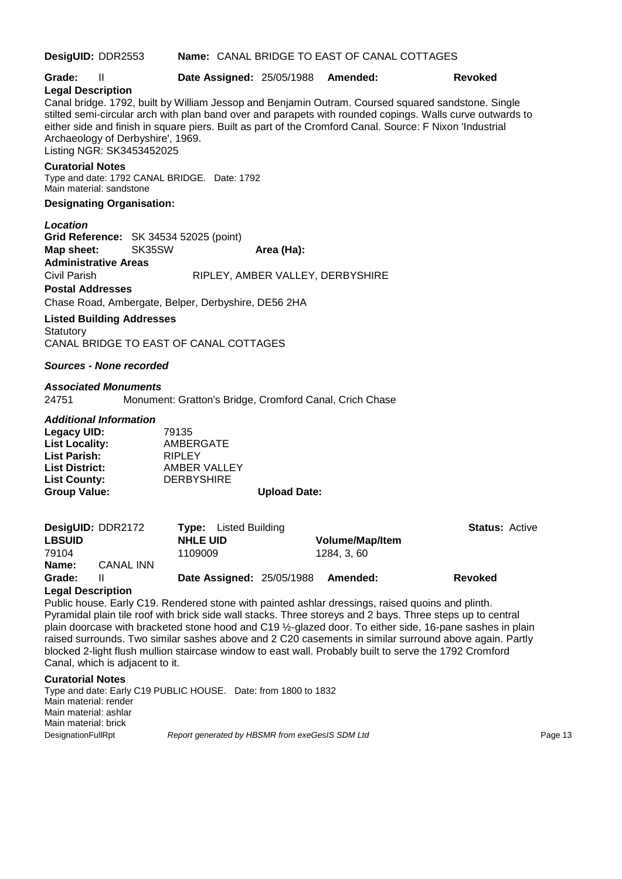**DesigUID:** DDR2553 **Name:** CANAL BRIDGE TO EAST OF CANAL COTTAGES **Grade:** II **Date Assigned:** 25/05/1988 **Amended: Revoked Legal Description** Canal bridge. 1792, built by William Jessop and Benjamin Outram. Coursed squared sandstone. Single stilted semi-circular arch with plan band over and parapets with rounded copings. Walls curve outwards to either side and finish in square piers. Built as part of the Cromford Canal. Source: F Nixon 'Industrial Archaeology of Derbyshire', 1969. Listing NGR: SK3453452025 **Curatorial Notes** Type and date: 1792 CANAL BRIDGE. Date: 1792 Main material: sandstone **Designating Organisation:** *Location* **Grid Reference:** SK 34534 52025 (point) **Map sheet:** SK35SW **Area (Ha): Administrative Areas** Civil Parish RIPLEY, AMBER VALLEY, DERBYSHIRE **Postal Addresses** Chase Road, Ambergate, Belper, Derbyshire, DE56 2HA **Listed Building Addresses Statutory** CANAL BRIDGE TO EAST OF CANAL COTTAGES *Sources - None recorded Associated Monuments* 24751 Monument: Gratton's Bridge, Cromford Canal, Crich Chase *Additional Information* **Legacy UID:** 79135<br> **List Locality:** AMBE **List Locality:** AMBERGATE **List Parish:** RIPLEY **List District:** AMBER VALLEY **List County:** DERBYSHIRE **Group Value: Upload Date: DesigUID:** DDR2172 **Type:** Listed Building **Status:** Active **LBSUID NHLE UID Volume/Map/Item** 79104 1109009 1284, 3, 60 **Name:** CANAL INN **Grade:** II **Date Assigned:** 25/05/1988 **Amended: Revoked Legal Description** Public house. Early C19. Rendered stone with painted ashlar dressings, raised quoins and plinth. Pyramidal plain tile roof with brick side wall stacks. Three storeys and 2 bays. Three steps up to central plain doorcase with bracketed stone hood and C19 ½-glazed door. To either side, 16-pane sashes in plain raised surrounds. Two similar sashes above and 2 C20 casements in similar surround above again. Partly blocked 2-light flush mullion staircase window to east wall. Probably built to serve the 1792 Cromford

Canal, which is adjacent to it.

**Curatorial Notes**

Type and date: Early C19 PUBLIC HOUSE. Date: from 1800 to 1832 Main material: render Main material: ashlar Main material: brick DesignationFullRpt **Report generated by HBSMR** from exeGesIS SDM Ltd **Page 13** Page 13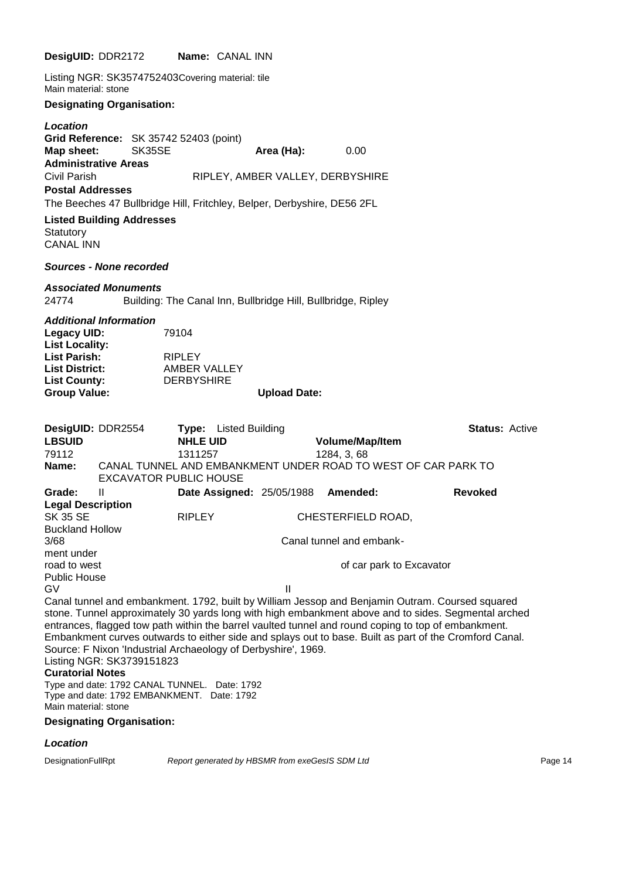|                                                                                                             | DesigUID: DDR2172                                             | <b>Name: CANAL INN</b>                                                                                                                                       |                                  |                                                |                                                                                                                                                                                                                                                                                                                                                                                                                         |
|-------------------------------------------------------------------------------------------------------------|---------------------------------------------------------------|--------------------------------------------------------------------------------------------------------------------------------------------------------------|----------------------------------|------------------------------------------------|-------------------------------------------------------------------------------------------------------------------------------------------------------------------------------------------------------------------------------------------------------------------------------------------------------------------------------------------------------------------------------------------------------------------------|
| Main material: stone                                                                                        |                                                               | Listing NGR: SK3574752403Covering material: tile                                                                                                             |                                  |                                                |                                                                                                                                                                                                                                                                                                                                                                                                                         |
|                                                                                                             | <b>Designating Organisation:</b>                              |                                                                                                                                                              |                                  |                                                |                                                                                                                                                                                                                                                                                                                                                                                                                         |
| Location<br>Map sheet:                                                                                      | <b>Administrative Areas</b>                                   | Grid Reference: SK 35742 52403 (point)<br>SK35SE                                                                                                             | Area (Ha):                       | 0.00                                           |                                                                                                                                                                                                                                                                                                                                                                                                                         |
| Civil Parish<br><b>Postal Addresses</b>                                                                     |                                                               |                                                                                                                                                              | RIPLEY, AMBER VALLEY, DERBYSHIRE |                                                |                                                                                                                                                                                                                                                                                                                                                                                                                         |
|                                                                                                             | <b>Listed Building Addresses</b>                              | The Beeches 47 Bullbridge Hill, Fritchley, Belper, Derbyshire, DE56 2FL                                                                                      |                                  |                                                |                                                                                                                                                                                                                                                                                                                                                                                                                         |
| Statutory<br>CANAL INN                                                                                      |                                                               |                                                                                                                                                              |                                  |                                                |                                                                                                                                                                                                                                                                                                                                                                                                                         |
|                                                                                                             | <b>Sources - None recorded</b>                                |                                                                                                                                                              |                                  |                                                |                                                                                                                                                                                                                                                                                                                                                                                                                         |
| 24774                                                                                                       | <b>Associated Monuments</b>                                   | Building: The Canal Inn, Bullbridge Hill, Bullbridge, Ripley                                                                                                 |                                  |                                                |                                                                                                                                                                                                                                                                                                                                                                                                                         |
| <b>Legacy UID:</b><br><b>List Locality:</b><br>List Parish:<br><b>List District:</b><br><b>List County:</b> | Additional Information                                        | 79104<br><b>RIPLEY</b><br>AMBER VALLEY<br><b>DERBYSHIRE</b>                                                                                                  |                                  |                                                |                                                                                                                                                                                                                                                                                                                                                                                                                         |
| <b>Group Value:</b>                                                                                         |                                                               |                                                                                                                                                              | <b>Upload Date:</b>              |                                                |                                                                                                                                                                                                                                                                                                                                                                                                                         |
| <b>LBSUID</b><br>79112<br>Name:                                                                             | DesigUID: DDR2554                                             | <b>Type:</b> Listed Building<br><b>NHLE UID</b><br>1311257<br>CANAL TUNNEL AND EMBANKMENT UNDER ROAD TO WEST OF CAR PARK TO<br><b>EXCAVATOR PUBLIC HOUSE</b> |                                  | Volume/Map/Item<br>1284, 3, 68                 | <b>Status: Active</b>                                                                                                                                                                                                                                                                                                                                                                                                   |
| Grade:                                                                                                      | Ш                                                             |                                                                                                                                                              | Date Assigned: 25/05/1988        | Amended:                                       | <b>Revoked</b>                                                                                                                                                                                                                                                                                                                                                                                                          |
| <b>Legal Description</b><br>SK 35 SE<br><b>Buckland Hollow</b><br>3/68                                      |                                                               | <b>RIPLEY</b>                                                                                                                                                |                                  | CHESTERFIELD ROAD,<br>Canal tunnel and embank- |                                                                                                                                                                                                                                                                                                                                                                                                                         |
| ment under<br>road to west<br>Public House                                                                  |                                                               |                                                                                                                                                              |                                  | of car park to Excavator                       |                                                                                                                                                                                                                                                                                                                                                                                                                         |
| G٧<br><b>Curatorial Notes</b><br>Main material: stone                                                       | Listing NGR: SK3739151823<br><b>Designating Organisation:</b> | Source: F Nixon 'Industrial Archaeology of Derbyshire', 1969.<br>Type and date: 1792 CANAL TUNNEL. Date: 1792<br>Type and date: 1792 EMBANKMENT. Date: 1792  | $\mathbf{H}$                     |                                                | Canal tunnel and embankment. 1792, built by William Jessop and Benjamin Outram. Coursed squared<br>stone. Tunnel approximately 30 yards long with high embankment above and to sides. Segmental arched<br>entrances, flagged tow path within the barrel vaulted tunnel and round coping to top of embankment.<br>Embankment curves outwards to either side and splays out to base. Built as part of the Cromford Canal. |
|                                                                                                             |                                                               |                                                                                                                                                              |                                  |                                                |                                                                                                                                                                                                                                                                                                                                                                                                                         |

### *Location*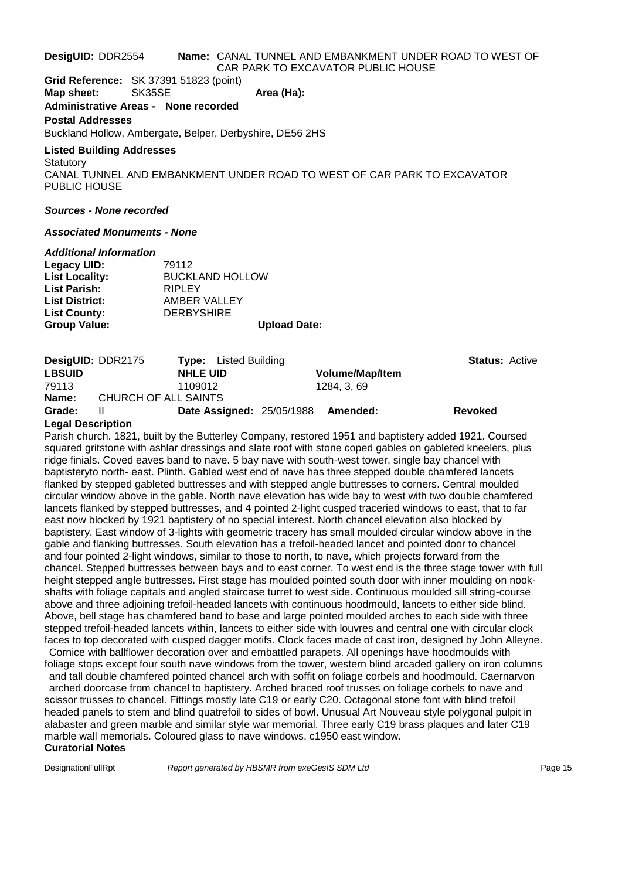#### **DesigUID:** DDR2554 **Name:** CANAL TUNNEL AND EMBANKMENT UNDER ROAD TO WEST OF CAR PARK TO EXCAVATOR PUBLIC HOUSE

**Grid Reference:** SK 37391 51823 (point)

**Map sheet:** SK35SE **Area (Ha):** 

#### **Administrative Areas - None recorded**

#### **Postal Addresses**

Buckland Hollow, Ambergate, Belper, Derbyshire, DE56 2HS

#### **Listed Building Addresses**

**Statutory** CANAL TUNNEL AND EMBANKMENT UNDER ROAD TO WEST OF CAR PARK TO EXCAVATOR PUBLIC HOUSE

#### *Sources - None recorded*

#### *Associated Monuments - None*

#### *Additional Information*

| Legacy UID:           | 79112                  |
|-----------------------|------------------------|
| <b>List Locality:</b> | <b>BUCKLAND HOLLOW</b> |
| <b>List Parish:</b>   | <b>RIPLEY</b>          |
| <b>List District:</b> | AMBER VALLEY           |
| <b>List County:</b>   | <b>DERBYSHIRE</b>      |
| <b>Group Value:</b>   | <b>Upload Date:</b>    |

| DesigUID: DDR2175 | <b>Type:</b> Listed Building     |                        | <b>Status: Active</b> |
|-------------------|----------------------------------|------------------------|-----------------------|
| <b>LBSUID</b>     | <b>NHLE UID</b>                  | <b>Volume/Map/Item</b> |                       |
| 79113             | 1109012                          | 1284. 3. 69            |                       |
| Name:             | CHURCH OF ALL SAINTS             |                        |                       |
| Grade:            | <b>Date Assigned: 25/05/1988</b> | Amended:               | <b>Revoked</b>        |

#### **Legal Description**

Parish church. 1821, built by the Butterley Company, restored 1951 and baptistery added 1921. Coursed squared gritstone with ashlar dressings and slate roof with stone coped gables on gableted kneelers, plus ridge finials. Coved eaves band to nave. 5 bay nave with south-west tower, single bay chancel with baptisteryto north- east. Plinth. Gabled west end of nave has three stepped double chamfered lancets flanked by stepped gableted buttresses and with stepped angle buttresses to corners. Central moulded circular window above in the gable. North nave elevation has wide bay to west with two double chamfered lancets flanked by stepped buttresses, and 4 pointed 2-light cusped traceried windows to east, that to far east now blocked by 1921 baptistery of no special interest. North chancel elevation also blocked by baptistery. East window of 3-lights with geometric tracery has small moulded circular window above in the gable and flanking buttresses. South elevation has a trefoil-headed lancet and pointed door to chancel and four pointed 2-light windows, similar to those to north, to nave, which projects forward from the chancel. Stepped buttresses between bays and to east corner. To west end is the three stage tower with full height stepped angle buttresses. First stage has moulded pointed south door with inner moulding on nookshafts with foliage capitals and angled staircase turret to west side. Continuous moulded sill string-course above and three adjoining trefoil-headed lancets with continuous hoodmould, lancets to either side blind. Above, bell stage has chamfered band to base and large pointed moulded arches to each side with three stepped trefoil-headed lancets within, lancets to either side with louvres and central one with circular clock faces to top decorated with cusped dagger motifs. Clock faces made of cast iron, designed by John Alleyne.

Cornice with ballflower decoration over and embattled parapets. All openings have hoodmoulds with foliage stops except four south nave windows from the tower, western blind arcaded gallery on iron columns and tall double chamfered pointed chancel arch with soffit on foliage corbels and hoodmould. Caernarvon arched doorcase from chancel to baptistery. Arched braced roof trusses on foliage corbels to nave and scissor trusses to chancel. Fittings mostly late C19 or early C20. Octagonal stone font with blind trefoil headed panels to stem and blind quatrefoil to sides of bowl. Unusual Art Nouveau style polygonal pulpit in alabaster and green marble and similar style war memorial. Three early C19 brass plaques and later C19 marble wall memorials. Coloured glass to nave windows, c1950 east window.

#### **Curatorial Notes**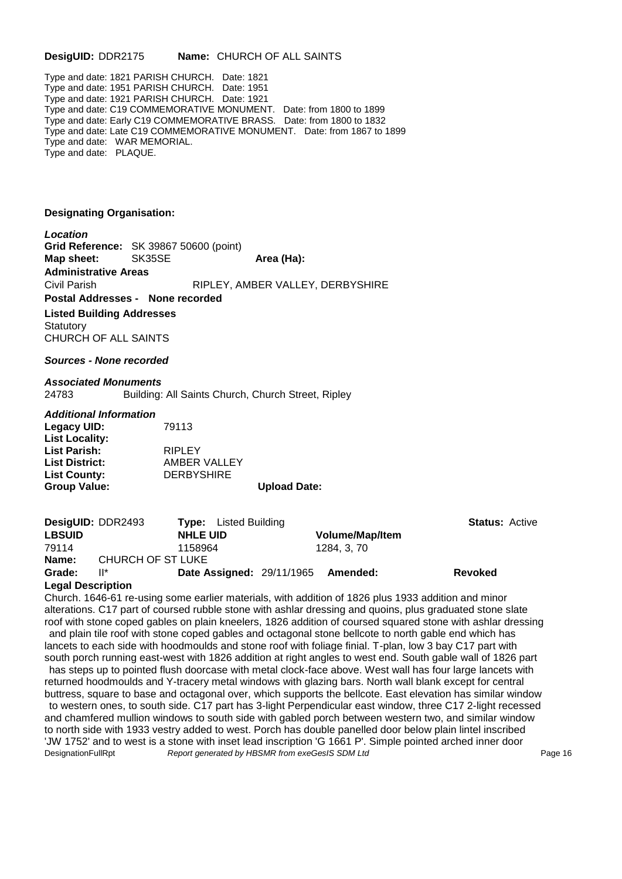#### **DesigUID:** DDR2175 **Name:** CHURCH OF ALL SAINTS

Type and date: 1821 PARISH CHURCH. Date: 1821 Type and date: 1951 PARISH CHURCH. Date: 1951 Type and date: 1921 PARISH CHURCH. Date: 1921 Type and date: C19 COMMEMORATIVE MONUMENT. Date: from 1800 to 1899 Type and date: Early C19 COMMEMORATIVE BRASS. Date: from 1800 to 1832 Type and date: Late C19 COMMEMORATIVE MONUMENT. Date: from 1867 to 1899 Type and date: WAR MEMORIAL. Type and date: PLAQUE.

#### **Designating Organisation:**

*Location*

**Grid Reference:** SK 39867 50600 (point) **Map sheet:** SK35SE **Area (Ha): Administrative Areas** Civil Parish RIPLEY, AMBER VALLEY, DERBYSHIRE **Postal Addresses - None recorded Listed Building Addresses Statutory** CHURCH OF ALL SAINTS

#### *Sources - None recorded*

#### *Associated Monuments*

24783 Building: All Saints Church, Church Street, Ripley

#### *Additional Information*

| Legacy UID:           | 79113             |                     |
|-----------------------|-------------------|---------------------|
| <b>List Locality:</b> |                   |                     |
| <b>List Parish:</b>   | <b>RIPLEY</b>     |                     |
| <b>List District:</b> | AMBER VALLEY      |                     |
| <b>List County:</b>   | <b>DERBYSHIRE</b> |                     |
| <b>Group Value:</b>   |                   | <b>Upload Date:</b> |

| DesigUID: DDR2493        |                   | <b>Type:</b> Listed Building       |                        | <b>Status: Active</b> |  |
|--------------------------|-------------------|------------------------------------|------------------------|-----------------------|--|
| <b>LBSUID</b>            |                   | <b>NHLE UID</b>                    | <b>Volume/Map/Item</b> |                       |  |
| 79114                    |                   | 1158964                            | 1284, 3, 70            |                       |  |
| Name:                    | CHURCH OF ST LUKE |                                    |                        |                       |  |
| Grade:                   | ll*               | Date Assigned: 29/11/1965 Amended: |                        | <b>Revoked</b>        |  |
| <b>Legal Description</b> |                   |                                    |                        |                       |  |

#### **Legal Description**

Church. 1646-61 re-using some earlier materials, with addition of 1826 plus 1933 addition and minor alterations. C17 part of coursed rubble stone with ashlar dressing and quoins, plus graduated stone slate roof with stone coped gables on plain kneelers, 1826 addition of coursed squared stone with ashlar dressing and plain tile roof with stone coped gables and octagonal stone bellcote to north gable end which has lancets to each side with hoodmoulds and stone roof with foliage finial. T-plan, low 3 bay C17 part with south porch running east-west with 1826 addition at right angles to west end. South gable wall of 1826 part has steps up to pointed flush doorcase with metal clock-face above. West wall has four large lancets with returned hoodmoulds and Y-tracery metal windows with glazing bars. North wall blank except for central buttress, square to base and octagonal over, which supports the bellcote. East elevation has similar window to western ones, to south side. C17 part has 3-light Perpendicular east window, three C17 2-light recessed and chamfered mullion windows to south side with gabled porch between western two, and similar window to north side with 1933 vestry added to west. Porch has double panelled door below plain lintel inscribed 'JW 1752' and to west is a stone with inset lead inscription 'G 1661 P'. Simple pointed arched inner door DesignationFullRpt *Report generated by HBSMR from exeGesIS SDM Ltd* Page 16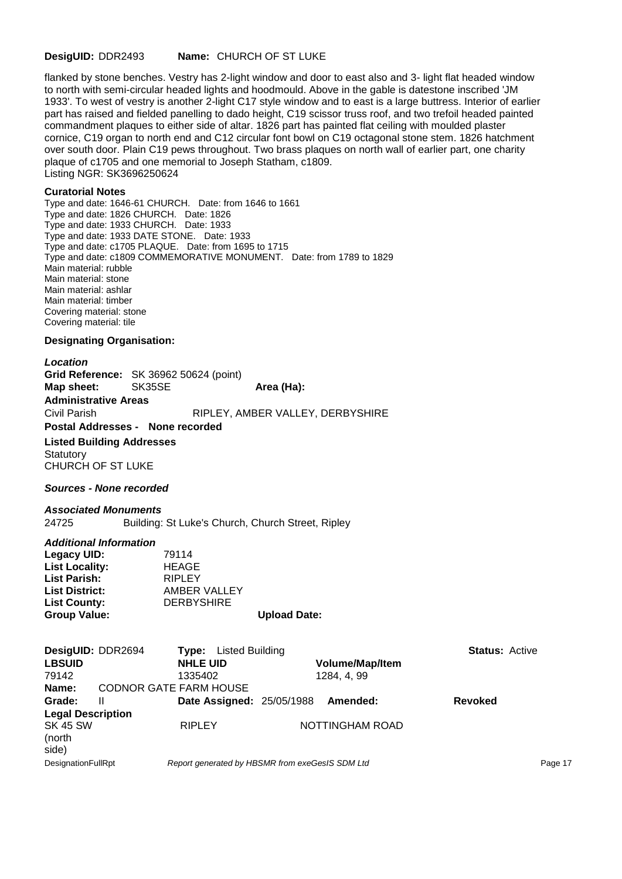#### **DesigUID:** DDR2493 **Name:** CHURCH OF ST LUKE

flanked by stone benches. Vestry has 2-light window and door to east also and 3- light flat headed window to north with semi-circular headed lights and hoodmould. Above in the gable is datestone inscribed 'JM 1933'. To west of vestry is another 2-light C17 style window and to east is a large buttress. Interior of earlier part has raised and fielded panelling to dado height, C19 scissor truss roof, and two trefoil headed painted commandment plaques to either side of altar. 1826 part has painted flat ceiling with moulded plaster cornice, C19 organ to north end and C12 circular font bowl on C19 octagonal stone stem. 1826 hatchment over south door. Plain C19 pews throughout. Two brass plaques on north wall of earlier part, one charity plaque of c1705 and one memorial to Joseph Statham, c1809. Listing NGR: SK3696250624

#### **Curatorial Notes**

Type and date: 1646-61 CHURCH. Date: from 1646 to 1661 Type and date: 1826 CHURCH. Date: 1826 Type and date: 1933 CHURCH. Date: 1933 Type and date: 1933 DATE STONE. Date: 1933 Type and date: c1705 PLAQUE. Date: from 1695 to 1715 Type and date: c1809 COMMEMORATIVE MONUMENT. Date: from 1789 to 1829 Main material: rubble Main material: stone Main material: ashlar Main material: timber Covering material: stone Covering material: tile

#### **Designating Organisation:**

#### *Location*

**Grid Reference:** SK 36962 50624 (point) **Map sheet:** SK35SE **Area (Ha): Administrative Areas** Civil Parish RIPLEY, AMBER VALLEY, DERBYSHIRE **Postal Addresses - None recorded Listed Building Addresses Statutory** CHURCH OF ST LUKE

#### *Sources - None recorded*

*Associated Monuments* 24725 Building: St Luke's Church, Church Street, Ripley

#### *Additional Information*

| <b>DERBYSHIRE</b><br><b>Upload Date:</b> |
|------------------------------------------|
| AMBER VALLEY                             |
| <b>RIPLEY</b>                            |
| <b>HEAGE</b>                             |
| 79114                                    |
|                                          |

| DesigUID: DDR2694<br><b>LBSUID</b><br>79142 |   | <b>Type:</b> Listed Building<br><b>NHLE UID</b><br>1335402 | <b>Volume/Map/Item</b><br>1284, 4, 99 | <b>Status: Active</b> |
|---------------------------------------------|---|------------------------------------------------------------|---------------------------------------|-----------------------|
| Name:                                       |   | <b>CODNOR GATE FARM HOUSE</b>                              |                                       |                       |
| Grade:                                      | Ш | <b>Date Assigned: 25/05/1988</b>                           | Amended:                              | <b>Revoked</b>        |
| <b>Legal Description</b>                    |   |                                                            |                                       |                       |
| <b>SK 45 SW</b><br>(north<br>side)          |   | <b>RIPLEY</b>                                              | NOTTINGHAM ROAD                       |                       |
| <b>DesignationFullRpt</b>                   |   | Report generated by HBSMR from exeGesIS SDM Ltd            |                                       | Page 17               |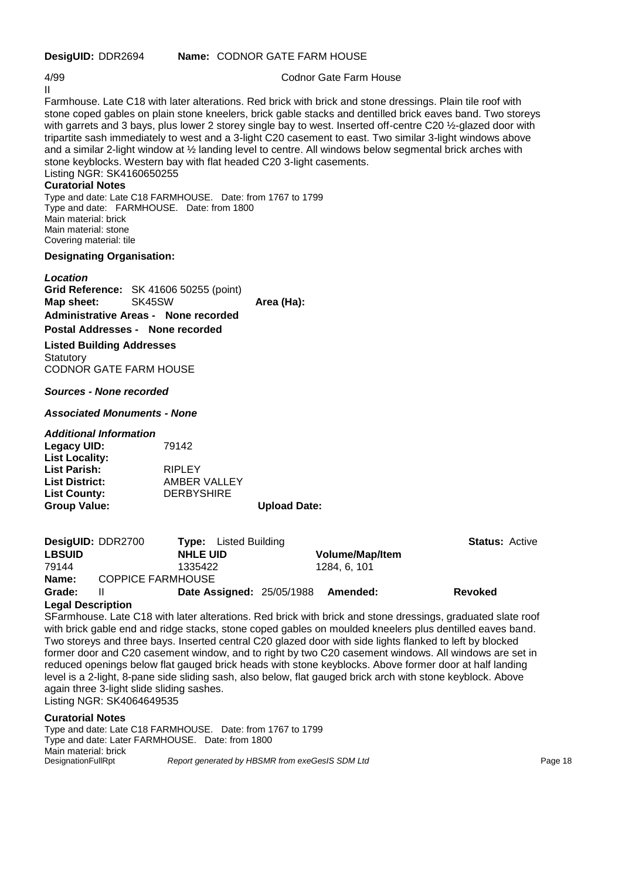# II

4/99 Codnor Gate Farm House

Farmhouse. Late C18 with later alterations. Red brick with brick and stone dressings. Plain tile roof with stone coped gables on plain stone kneelers, brick gable stacks and dentilled brick eaves band. Two storeys with garrets and 3 bays, plus lower 2 storey single bay to west. Inserted off-centre C20 1/2-glazed door with tripartite sash immediately to west and a 3-light C20 casement to east. Two similar 3-light windows above and a similar 2-light window at ½ landing level to centre. All windows below segmental brick arches with stone keyblocks. Western bay with flat headed C20 3-light casements. Listing NGR: SK4160650255

#### **Curatorial Notes**

Type and date: Late C18 FARMHOUSE. Date: from 1767 to 1799 Type and date: FARMHOUSE. Date: from 1800 Main material: brick Main material: stone Covering material: tile

#### **Designating Organisation:**

*Location* **Grid Reference:** SK 41606 50255 (point) **Map sheet:** SK45SW **Area (Ha): Administrative Areas - None recorded Postal Addresses - None recorded Listed Building Addresses Statutory** 

CODNOR GATE FARM HOUSE

*Sources - None recorded*

#### *Associated Monuments - None*

#### *Additional Information*

| Legacy UID:           | 79142             |                     |
|-----------------------|-------------------|---------------------|
| <b>List Locality:</b> |                   |                     |
| <b>List Parish:</b>   | <b>RIPLEY</b>     |                     |
| <b>List District:</b> | AMBER VALLEY      |                     |
| <b>List County:</b>   | <b>DERBYSHIRE</b> |                     |
| <b>Group Value:</b>   |                   | <b>Upload Date:</b> |

| <b>DesigUID: DDR2700</b>                                                                                                                                                                                                      |                          | <b>Type:</b> Listed Building     |                        | <b>Status: Active</b> |
|-------------------------------------------------------------------------------------------------------------------------------------------------------------------------------------------------------------------------------|--------------------------|----------------------------------|------------------------|-----------------------|
| <b>LBSUID</b>                                                                                                                                                                                                                 | <b>NHLE UID</b>          |                                  | <b>Volume/Map/Item</b> |                       |
| 79144                                                                                                                                                                                                                         | 1335422                  |                                  | 1284, 6, 101           |                       |
| Name:                                                                                                                                                                                                                         | <b>COPPICE FARMHOUSE</b> |                                  |                        |                       |
| Grade:                                                                                                                                                                                                                        |                          | <b>Date Assigned: 25/05/1988</b> | Amended:               | <b>Revoked</b>        |
| the country of the control of the control of the control of the control of the control of the control of the control of the control of the control of the control of the control of the control of the control of the control |                          |                                  |                        |                       |

#### **Legal Description**

SFarmhouse. Late C18 with later alterations. Red brick with brick and stone dressings, graduated slate roof with brick gable end and ridge stacks, stone coped gables on moulded kneelers plus dentilled eaves band. Two storeys and three bays. Inserted central C20 glazed door with side lights flanked to left by blocked former door and C20 casement window, and to right by two C20 casement windows. All windows are set in reduced openings below flat gauged brick heads with stone keyblocks. Above former door at half landing level is a 2-light, 8-pane side sliding sash, also below, flat gauged brick arch with stone keyblock. Above again three 3-light slide sliding sashes. Listing NGR: SK4064649535

#### **Curatorial Notes**

Type and date: Late C18 FARMHOUSE. Date: from 1767 to 1799 Type and date: Later FARMHOUSE. Date: from 1800 Main material: brick<br>DesignationFullRpt Report generated by HBSMR from exeGesIS SDM Ltd **Page 18** Page 18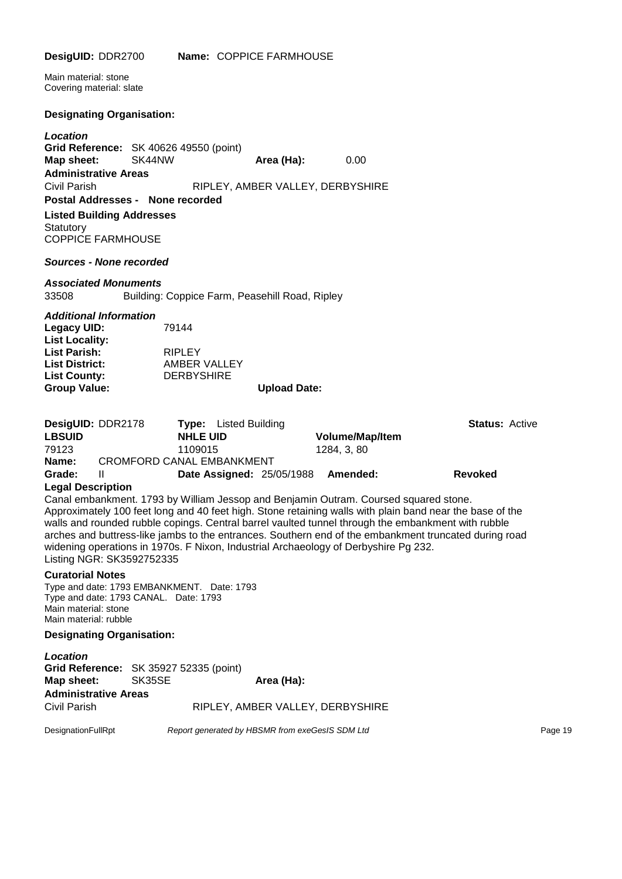| DesigUID: DDR2700                                                                                                                                                                                                                                 | Name: COPPICE FARMHOUSE                                                                                                                                                                                                                                                                                 |                                                   |                                         |
|---------------------------------------------------------------------------------------------------------------------------------------------------------------------------------------------------------------------------------------------------|---------------------------------------------------------------------------------------------------------------------------------------------------------------------------------------------------------------------------------------------------------------------------------------------------------|---------------------------------------------------|-----------------------------------------|
| Main material: stone<br>Covering material: slate                                                                                                                                                                                                  |                                                                                                                                                                                                                                                                                                         |                                                   |                                         |
| <b>Designating Organisation:</b>                                                                                                                                                                                                                  |                                                                                                                                                                                                                                                                                                         |                                                   |                                         |
| Location<br>Grid Reference: SK 40626 49550 (point)<br>SK44NW<br>Map sheet:<br><b>Administrative Areas</b><br><b>Civil Parish</b><br>Postal Addresses - None recorded<br><b>Listed Building Addresses</b><br>Statutory<br><b>COPPICE FARMHOUSE</b> | Area (Ha):<br>RIPLEY, AMBER VALLEY, DERBYSHIRE                                                                                                                                                                                                                                                          | 0.00                                              |                                         |
| Sources - None recorded                                                                                                                                                                                                                           |                                                                                                                                                                                                                                                                                                         |                                                   |                                         |
| <b>Associated Monuments</b><br>33508                                                                                                                                                                                                              | Building: Coppice Farm, Peasehill Road, Ripley                                                                                                                                                                                                                                                          |                                                   |                                         |
| <b>Additional Information</b><br><b>Legacy UID:</b><br><b>List Locality:</b><br><b>List Parish:</b><br><b>List District:</b><br><b>List County:</b><br><b>Group Value:</b>                                                                        | 79144<br><b>RIPLEY</b><br>AMBER VALLEY<br><b>DERBYSHIRE</b><br><b>Upload Date:</b>                                                                                                                                                                                                                      |                                                   |                                         |
| DesigUID: DDR2178<br><b>LBSUID</b><br>79123<br>Name:<br>Grade:<br>Ш<br><b>Legal Description</b>                                                                                                                                                   | <b>Type:</b> Listed Building<br><b>NHLE UID</b><br>1109015<br><b>CROMFORD CANAL EMBANKMENT</b><br><b>Date Assigned: 25/05/1988</b>                                                                                                                                                                      | <b>Volume/Map/Item</b><br>1284, 3, 80<br>Amended: | <b>Status: Active</b><br><b>Revoked</b> |
|                                                                                                                                                                                                                                                   | Canal embankment. 1793 by William Jessop and Benjamin Outram. Coursed squared stone.<br>Approximately 100 feet long and 40 feet high. Stone retaining walls with plain band near the base of the<br>walle and rounded rubble copings. Control barrol vaulted tunnel through the embanizment with rubble |                                                   |                                         |

walls and rounded rubble copings. Central barrel vaulted tunnel through the embankment with rubble arches and buttress-like jambs to the entrances. Southern end of the embankment truncated during road widening operations in 1970s. F Nixon, Industrial Archaeology of Derbyshire Pg 232. Listing NGR: SK3592752335

#### **Curatorial Notes**

Type and date: 1793 EMBANKMENT. Date: 1793 Type and date: 1793 CANAL. Date: 1793 Main material: stone Main material: rubble

#### **Designating Organisation:**

| Location                               |        |                                                 |         |
|----------------------------------------|--------|-------------------------------------------------|---------|
| Grid Reference: SK 35927 52335 (point) |        |                                                 |         |
| Map sheet:                             | SK35SE | Area (Ha):                                      |         |
| <b>Administrative Areas</b>            |        |                                                 |         |
| Civil Parish                           |        | RIPLEY, AMBER VALLEY, DERBYSHIRE                |         |
| DesignationFullRpt                     |        | Report generated by HBSMR from exeGesIS SDM Ltd | Page 19 |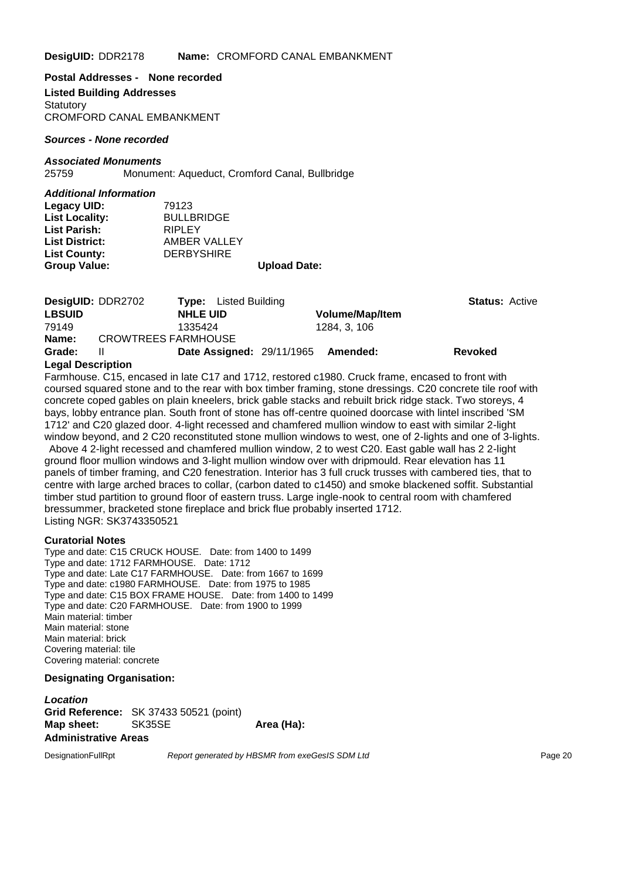**DesigUID:** DDR2178 **Name:** CROMFORD CANAL EMBANKMENT

**Postal Addresses - None recorded Listed Building Addresses Statutory** CROMFORD CANAL EMBANKMENT

*Sources - None recorded*

#### *Associated Monuments*

25759 Monument: Aqueduct, Cromford Canal, Bullbridge

#### *Additional Information*

| Legacy UID:           | 79123             |                     |
|-----------------------|-------------------|---------------------|
| <b>List Locality:</b> | <b>BULLBRIDGE</b> |                     |
| <b>List Parish:</b>   | <b>RIPLEY</b>     |                     |
| <b>List District:</b> | AMBER VALLEY      |                     |
| <b>List County:</b>   | <b>DERBYSHIRE</b> |                     |
| <b>Group Value:</b>   |                   | <b>Upload Date:</b> |

|                   | DesigUID: DDR2702          | <b>Type:</b> Listed Building       |                        | <b>Status: Active</b> |
|-------------------|----------------------------|------------------------------------|------------------------|-----------------------|
| <b>LBSUID</b>     |                            | <b>NHLE UID</b>                    | <b>Volume/Map/Item</b> |                       |
| 79149             |                            | 1335424                            | 1284. 3. 106           |                       |
| Name:             | <b>CROWTREES FARMHOUSE</b> |                                    |                        |                       |
| Grade:            | Ш                          | Date Assigned: 29/11/1965 Amended: |                        | <b>Revoked</b>        |
| Logal Description |                            |                                    |                        |                       |

#### **Legal Description**

Farmhouse. C15, encased in late C17 and 1712, restored c1980. Cruck frame, encased to front with coursed squared stone and to the rear with box timber framing, stone dressings. C20 concrete tile roof with concrete coped gables on plain kneelers, brick gable stacks and rebuilt brick ridge stack. Two storeys, 4 bays, lobby entrance plan. South front of stone has off-centre quoined doorcase with lintel inscribed 'SM 1712' and C20 glazed door. 4-light recessed and chamfered mullion window to east with similar 2-light window beyond, and 2 C20 reconstituted stone mullion windows to west, one of 2-lights and one of 3-lights.

Above 4 2-light recessed and chamfered mullion window, 2 to west C20. East gable wall has 2 2-light ground floor mullion windows and 3-light mullion window over with dripmould. Rear elevation has 11 panels of timber framing, and C20 fenestration. Interior has 3 full cruck trusses with cambered ties, that to centre with large arched braces to collar, (carbon dated to c1450) and smoke blackened soffit. Substantial timber stud partition to ground floor of eastern truss. Large ingle-nook to central room with chamfered bressummer, bracketed stone fireplace and brick flue probably inserted 1712. Listing NGR: SK3743350521

#### **Curatorial Notes**

Type and date: C15 CRUCK HOUSE. Date: from 1400 to 1499 Type and date: 1712 FARMHOUSE. Date: 1712 Type and date: Late C17 FARMHOUSE. Date: from 1667 to 1699 Type and date: c1980 FARMHOUSE. Date: from 1975 to 1985 Type and date: C15 BOX FRAME HOUSE. Date: from 1400 to 1499 Type and date: C20 FARMHOUSE. Date: from 1900 to 1999 Main material: timber Main material: stone Main material: brick Covering material: tile Covering material: concrete

#### **Designating Organisation:**

*Location* **Grid Reference:** SK 37433 50521 (point) **Map sheet:** SK35SE **Area (Ha): Administrative Areas**

DesignationFullRpt *Report generated by HBSMR from exeGesIS SDM Ltd Report generated by HBSMR from exeGesIS SDM Ltd*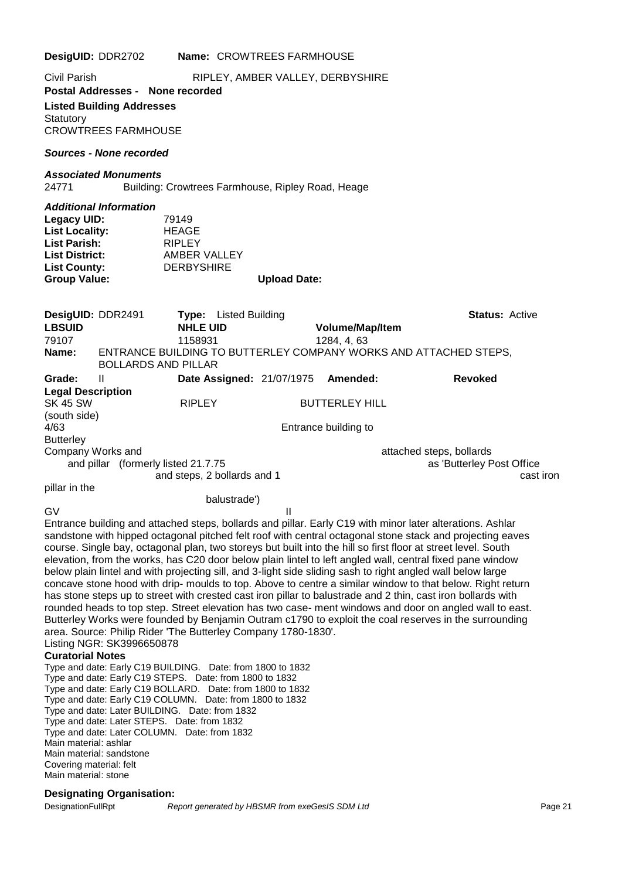| DesigUID: DDR2702                                                                                                                                                                                                                                                                                                                                                                                                                                                                                                                                                                                                                                                                                                             | Name: CROWTREES FARMHOUSE                                            |                     |                                |                                                                                                                                                                                                                                                                                                                                                                                                                                                                                                                                                                                                                                                                                                                                                                                                                                                                                                       |  |
|-------------------------------------------------------------------------------------------------------------------------------------------------------------------------------------------------------------------------------------------------------------------------------------------------------------------------------------------------------------------------------------------------------------------------------------------------------------------------------------------------------------------------------------------------------------------------------------------------------------------------------------------------------------------------------------------------------------------------------|----------------------------------------------------------------------|---------------------|--------------------------------|-------------------------------------------------------------------------------------------------------------------------------------------------------------------------------------------------------------------------------------------------------------------------------------------------------------------------------------------------------------------------------------------------------------------------------------------------------------------------------------------------------------------------------------------------------------------------------------------------------------------------------------------------------------------------------------------------------------------------------------------------------------------------------------------------------------------------------------------------------------------------------------------------------|--|
| Civil Parish<br>RIPLEY, AMBER VALLEY, DERBYSHIRE<br>Postal Addresses - None recorded<br><b>Listed Building Addresses</b><br>Statutory<br><b>CROWTREES FARMHOUSE</b>                                                                                                                                                                                                                                                                                                                                                                                                                                                                                                                                                           |                                                                      |                     |                                |                                                                                                                                                                                                                                                                                                                                                                                                                                                                                                                                                                                                                                                                                                                                                                                                                                                                                                       |  |
| Sources - None recorded                                                                                                                                                                                                                                                                                                                                                                                                                                                                                                                                                                                                                                                                                                       |                                                                      |                     |                                |                                                                                                                                                                                                                                                                                                                                                                                                                                                                                                                                                                                                                                                                                                                                                                                                                                                                                                       |  |
| <b>Associated Monuments</b><br>24771                                                                                                                                                                                                                                                                                                                                                                                                                                                                                                                                                                                                                                                                                          | Building: Crowtrees Farmhouse, Ripley Road, Heage                    |                     |                                |                                                                                                                                                                                                                                                                                                                                                                                                                                                                                                                                                                                                                                                                                                                                                                                                                                                                                                       |  |
| <b>Additional Information</b><br><b>Legacy UID:</b><br><b>List Locality:</b><br><b>List Parish:</b><br><b>List District:</b><br><b>List County:</b><br><b>Group Value:</b>                                                                                                                                                                                                                                                                                                                                                                                                                                                                                                                                                    | 79149<br>HEAGE<br><b>RIPLEY</b><br>AMBER VALLEY<br><b>DERBYSHIRE</b> | <b>Upload Date:</b> |                                |                                                                                                                                                                                                                                                                                                                                                                                                                                                                                                                                                                                                                                                                                                                                                                                                                                                                                                       |  |
| DesigUID: DDR2491<br><b>LBSUID</b><br>79107<br>Name:                                                                                                                                                                                                                                                                                                                                                                                                                                                                                                                                                                                                                                                                          | <b>Listed Building</b><br>Type:<br><b>NHLE UID</b><br>1158931        |                     | Volume/Map/Item<br>1284, 4, 63 | <b>Status: Active</b><br>ENTRANCE BUILDING TO BUTTERLEY COMPANY WORKS AND ATTACHED STEPS,                                                                                                                                                                                                                                                                                                                                                                                                                                                                                                                                                                                                                                                                                                                                                                                                             |  |
| $\mathbf{H}$<br>Grade:                                                                                                                                                                                                                                                                                                                                                                                                                                                                                                                                                                                                                                                                                                        | <b>BOLLARDS AND PILLAR</b><br>Date Assigned: 21/07/1975              |                     | Amended:                       | <b>Revoked</b>                                                                                                                                                                                                                                                                                                                                                                                                                                                                                                                                                                                                                                                                                                                                                                                                                                                                                        |  |
| <b>Legal Description</b><br><b>SK 45 SW</b><br>(south side)                                                                                                                                                                                                                                                                                                                                                                                                                                                                                                                                                                                                                                                                   | <b>RIPLEY</b>                                                        |                     | <b>BUTTERLEY HILL</b>          |                                                                                                                                                                                                                                                                                                                                                                                                                                                                                                                                                                                                                                                                                                                                                                                                                                                                                                       |  |
| 4/63                                                                                                                                                                                                                                                                                                                                                                                                                                                                                                                                                                                                                                                                                                                          |                                                                      |                     | Entrance building to           |                                                                                                                                                                                                                                                                                                                                                                                                                                                                                                                                                                                                                                                                                                                                                                                                                                                                                                       |  |
| <b>Butterley</b><br>Company Works and<br>and pillar (formerly listed 21.7.75                                                                                                                                                                                                                                                                                                                                                                                                                                                                                                                                                                                                                                                  | and steps, 2 bollards and 1                                          |                     |                                | attached steps, bollards<br>as 'Butterley Post Office<br>cast iron                                                                                                                                                                                                                                                                                                                                                                                                                                                                                                                                                                                                                                                                                                                                                                                                                                    |  |
| pillar in the                                                                                                                                                                                                                                                                                                                                                                                                                                                                                                                                                                                                                                                                                                                 | balustrade')                                                         |                     |                                |                                                                                                                                                                                                                                                                                                                                                                                                                                                                                                                                                                                                                                                                                                                                                                                                                                                                                                       |  |
| GV<br>below plain lintel and with projecting sill, and 3-light side sliding sash to right angled wall below large<br>area. Source: Philip Rider 'The Butterley Company 1780-1830'.<br>Listing NGR: SK3996650878<br><b>Curatorial Notes</b><br>Type and date: Early C19 BUILDING. Date: from 1800 to 1832<br>Type and date: Early C19 STEPS. Date: from 1800 to 1832<br>Type and date: Early C19 BOLLARD. Date: from 1800 to 1832<br>Type and date: Early C19 COLUMN. Date: from 1800 to 1832<br>Type and date: Later BUILDING. Date: from 1832<br>Type and date: Later STEPS. Date: from 1832<br>Type and date: Later COLUMN. Date: from 1832<br>Main material: ashlar<br>Main material: sandstone<br>Covering material: felt |                                                                      | Ш                   |                                | Entrance building and attached steps, bollards and pillar. Early C19 with minor later alterations. Ashlar<br>sandstone with hipped octagonal pitched felt roof with central octagonal stone stack and projecting eaves<br>course. Single bay, octagonal plan, two storeys but built into the hill so first floor at street level. South<br>elevation, from the works, has C20 door below plain lintel to left angled wall, central fixed pane window<br>concave stone hood with drip- moulds to top. Above to centre a similar window to that below. Right return<br>has stone steps up to street with crested cast iron pillar to balustrade and 2 thin, cast iron bollards with<br>rounded heads to top step. Street elevation has two case- ment windows and door on angled wall to east.<br>Butterley Works were founded by Benjamin Outram c1790 to exploit the coal reserves in the surrounding |  |

#### Main material: stone

# **Designating Organisation:**<br>DesignationFullRpt Re

Report generated by HBSMR from exeGesIS SDM Ltd **Page 21** Page 21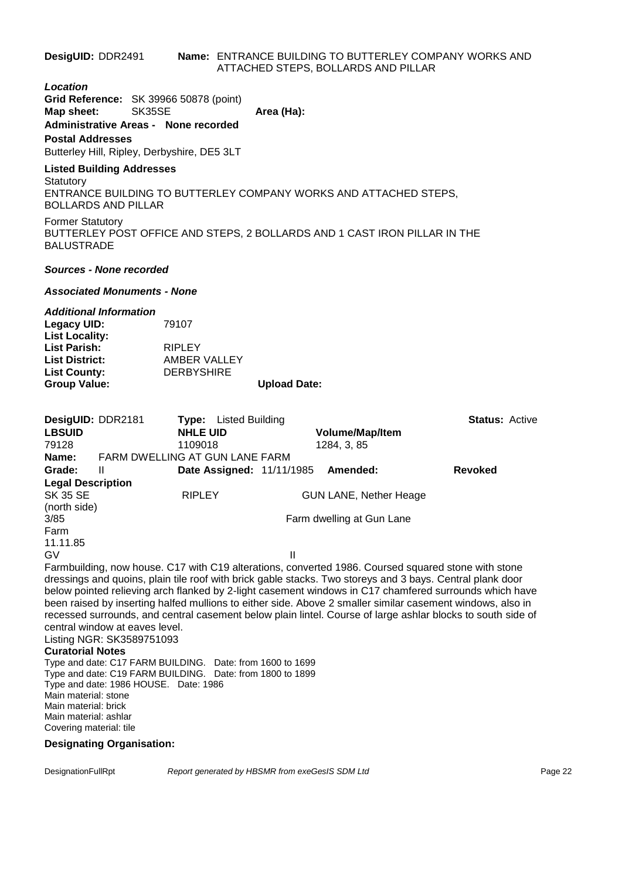**DesigUID:** DDR2491 **Name:** ENTRANCE BUILDING TO BUTTERLEY COMPANY WORKS AND ATTACHED STEPS, BOLLARDS AND PILLAR

#### *Location*

**Grid Reference:** SK 39966 50878 (point) **Map sheet:** SK35SE **Area (Ha): Administrative Areas - None recorded**

#### **Postal Addresses**

Butterley Hill, Ripley, Derbyshire, DE5 3LT

## **Listed Building Addresses**

**Statutory** ENTRANCE BUILDING TO BUTTERLEY COMPANY WORKS AND ATTACHED STEPS, BOLLARDS AND PILLAR

Former Statutory BUTTERLEY POST OFFICE AND STEPS, 2 BOLLARDS AND 1 CAST IRON PILLAR IN THE BALUSTRADE

#### *Sources - None recorded*

#### *Associated Monuments - None*

#### *Additional Information*

| 79107             |                     |
|-------------------|---------------------|
|                   |                     |
| <b>RIPLEY</b>     |                     |
| AMBER VALLEY      |                     |
| <b>DERBYSHIRE</b> |                     |
|                   | <b>Upload Date:</b> |
|                   |                     |

| DesigUID: DDR2181        |                                                           | <b>Type:</b> Listed Building     |              |                               | <b>Status: Active</b>                                                                                       |
|--------------------------|-----------------------------------------------------------|----------------------------------|--------------|-------------------------------|-------------------------------------------------------------------------------------------------------------|
| <b>LBSUID</b>            |                                                           | <b>NHLE UID</b>                  |              | <b>Volume/Map/Item</b>        |                                                                                                             |
| 79128                    |                                                           | 1109018                          |              | 1284, 3, 85                   |                                                                                                             |
| Name:                    | FARM DWELLING AT GUN LANE FARM                            |                                  |              |                               |                                                                                                             |
| Grade:                   | Ш                                                         | <b>Date Assigned: 11/11/1985</b> |              | Amended:                      | <b>Revoked</b>                                                                                              |
| <b>Legal Description</b> |                                                           |                                  |              |                               |                                                                                                             |
| <b>SK 35 SE</b>          |                                                           | <b>RIPLEY</b>                    |              | <b>GUN LANE, Nether Heage</b> |                                                                                                             |
| (north side)             |                                                           |                                  |              |                               |                                                                                                             |
| 3/85                     |                                                           |                                  |              | Farm dwelling at Gun Lane     |                                                                                                             |
| Farm                     |                                                           |                                  |              |                               |                                                                                                             |
| 11.11.85                 |                                                           |                                  |              |                               |                                                                                                             |
| GV                       |                                                           |                                  | $\mathbf{H}$ |                               |                                                                                                             |
|                          |                                                           |                                  |              |                               | Farmbuilding, now house. C17 with C19 alterations, converted 1986. Coursed squared stone with stone         |
|                          |                                                           |                                  |              |                               | dressings and quoins, plain tile roof with brick gable stacks. Two storeys and 3 bays. Central plank door   |
|                          |                                                           |                                  |              |                               | below pointed relieving arch flanked by 2-light casement windows in C17 chamfered surrounds which have      |
|                          |                                                           |                                  |              |                               | been raised by inserting halfed mullions to either side. Above 2 smaller similar casement windows, also in  |
|                          |                                                           |                                  |              |                               | recessed surrounds, and central casement below plain lintel. Course of large ashlar blocks to south side of |
|                          | central window at eaves level.                            |                                  |              |                               |                                                                                                             |
|                          | Listing NGR: SK3589751093                                 |                                  |              |                               |                                                                                                             |
| <b>Curatorial Notes</b>  |                                                           |                                  |              |                               |                                                                                                             |
|                          | Type and date: C17 FARM BUILDING. Date: from 1600 to 1699 |                                  |              |                               |                                                                                                             |
|                          |                                                           |                                  |              |                               |                                                                                                             |

Type and date: C19 FARM BUILDING. Date: from 1800 to 1899 Type and date: 1986 HOUSE. Date: 1986 Main material: stone Main material: brick Main material: ashlar Covering material: tile

#### **Designating Organisation:**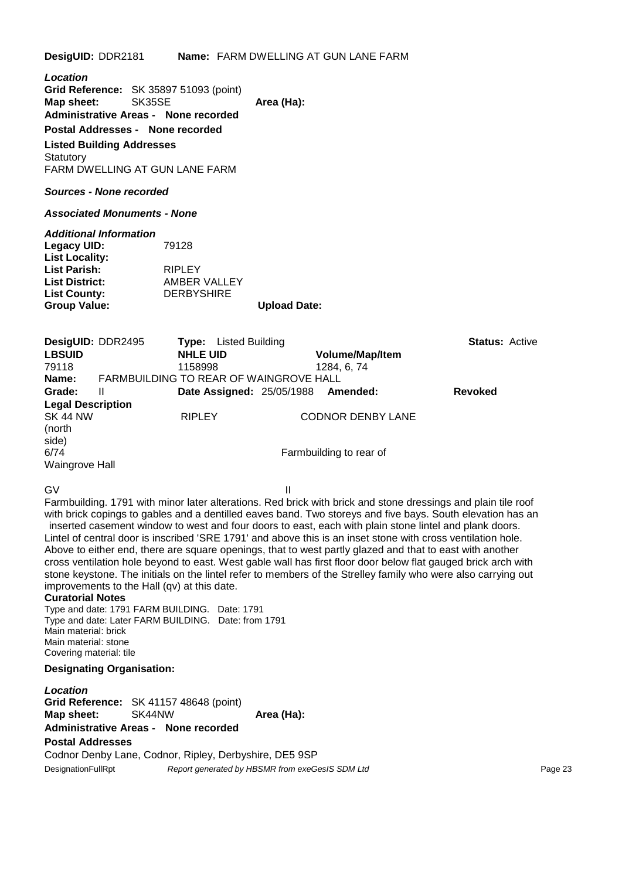**DesigUID:** DDR2181 **Name:** FARM DWELLING AT GUN LANE FARM

*Location* **Grid Reference:** SK 35897 51093 (point) **Map sheet:** SK35SE **Area (Ha):** Area (Ha): **Administrative Areas - None recorded Postal Addresses - None recorded Listed Building Addresses Statutory** FARM DWELLING AT GUN LANE FARM *Sources - None recorded Associated Monuments - None Additional Information* **Legacy UID:** 79128 **List Locality: List Parish:** RIPLEY **List District:** AMBER VALLEY **List County:** DERBYSHIRE **Group Value: Upload Date: DesigUID:** DDR2495 **Type:** Listed Building **Status:** Active **LBSUID NHLE UID Volume/Map/Item** 79118 1158998 1284, 6, 74 **Name:** FARMBUILDING TO REAR OF WAINGROVE HALL **Grade:** II **Date Assigned:** 25/05/1988 **Amended: Revoked Legal Description** RIPLEY CODNOR DENBY LANE (north side) 6/74 Farmbuilding to rear of Waingrove Hall GV III Farmbuilding. 1791 with minor later alterations. Red brick with brick and stone dressings and plain tile roof with brick copings to gables and a dentilled eaves band. Two storeys and five bays. South elevation has an

inserted casement window to west and four doors to east, each with plain stone lintel and plank doors. Lintel of central door is inscribed 'SRE 1791' and above this is an inset stone with cross ventilation hole. Above to either end, there are square openings, that to west partly glazed and that to east with another cross ventilation hole beyond to east. West gable wall has first floor door below flat gauged brick arch with stone keystone. The initials on the lintel refer to members of the Strelley family who were also carrying out improvements to the Hall (qv) at this date.

#### **Curatorial Notes**

Type and date: 1791 FARM BUILDING. Date: 1791 Type and date: Later FARM BUILDING. Date: from 1791 Main material: brick Main material: stone Covering material: tile

#### **Designating Organisation:**

*Location* **Grid Reference:** SK 41157 48648 (point) **Map sheet:** SK44NW **Area (Ha):** Area (Ha): **Administrative Areas - None recorded**

#### **Postal Addresses**

Codnor Denby Lane, Codnor, Ripley, Derbyshire, DE5 9SP DesignationFullRpt **Report generated by HBSMR** from exeGesIS SDM Ltd **Page 23** Page 23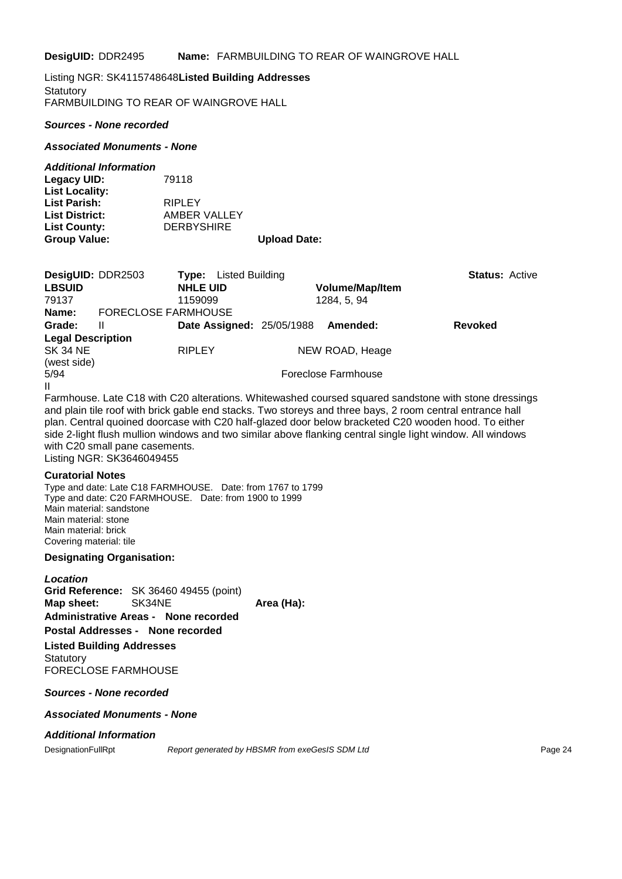**DesigUID:** DDR2495 **Name:** FARMBUILDING TO REAR OF WAINGROVE HALL

Listing NGR: SK4115748648**Listed Building Addresses**

**Statutory** FARMBUILDING TO REAR OF WAINGROVE HALL

#### *Sources - None recorded*

#### *Associated Monuments - None*

#### *Additional Information*

**Legacy UID:** 79118 **List Locality: List Parish:** RIPLEY<br> **List District:** AMBER **List District:** AMBER VALLEY **List County:** DERBYSHIRE **Group Value: Upload Date:**

| DesigUID: DDR2503        |                            | Listed Building<br>Tvpe:         |                                                                                                      | <b>Status: Active</b> |  |
|--------------------------|----------------------------|----------------------------------|------------------------------------------------------------------------------------------------------|-----------------------|--|
| <b>LBSUID</b>            |                            | <b>NHLE UID</b>                  | <b>Volume/Map/Item</b>                                                                               |                       |  |
| 79137                    |                            | 1159099                          | 1284, 5, 94                                                                                          |                       |  |
| Name:                    | <b>FORECLOSE FARMHOUSE</b> |                                  |                                                                                                      |                       |  |
| Grade:                   | Ш                          | <b>Date Assigned: 25/05/1988</b> | Amended:                                                                                             | <b>Revoked</b>        |  |
| <b>Legal Description</b> |                            |                                  |                                                                                                      |                       |  |
| SK 34 NE                 |                            | <b>RIPLEY</b>                    | NEW ROAD, Heage                                                                                      |                       |  |
| (west side)              |                            |                                  |                                                                                                      |                       |  |
| 5/94                     |                            |                                  | Foreclose Farmhouse                                                                                  |                       |  |
| $\mathbf{H}$             |                            |                                  |                                                                                                      |                       |  |
|                          |                            |                                  | Farmhouse. Late C18 with C20 alterations. Whitewashed coursed squared sandstone with stone dressings |                       |  |

Farmhouse. Late C18 with C20 alterations. Whitewashed coursed squared sandstone with stone dressings and plain tile roof with brick gable end stacks. Two storeys and three bays, 2 room central entrance hall plan. Central quoined doorcase with C20 half-glazed door below bracketed C20 wooden hood. To either side 2-light flush mullion windows and two similar above flanking central single light window. All windows with C20 small pane casements. Listing NGR: SK3646049455

**Curatorial Notes**

Type and date: Late C18 FARMHOUSE. Date: from 1767 to 1799 Type and date: C20 FARMHOUSE. Date: from 1900 to 1999 Main material: sandstone Main material: stone Main material: brick Covering material: tile

#### **Designating Organisation:**

*Location* **Grid Reference:** SK 36460 49455 (point) **Map sheet:** SK34NE **Area (Ha):** Area (Ha): **Administrative Areas - None recorded Postal Addresses - None recorded Listed Building Addresses**

**Statutory** FORECLOSE FARMHOUSE

#### *Sources - None recorded*

#### *Associated Monuments - None*

#### *Additional Information*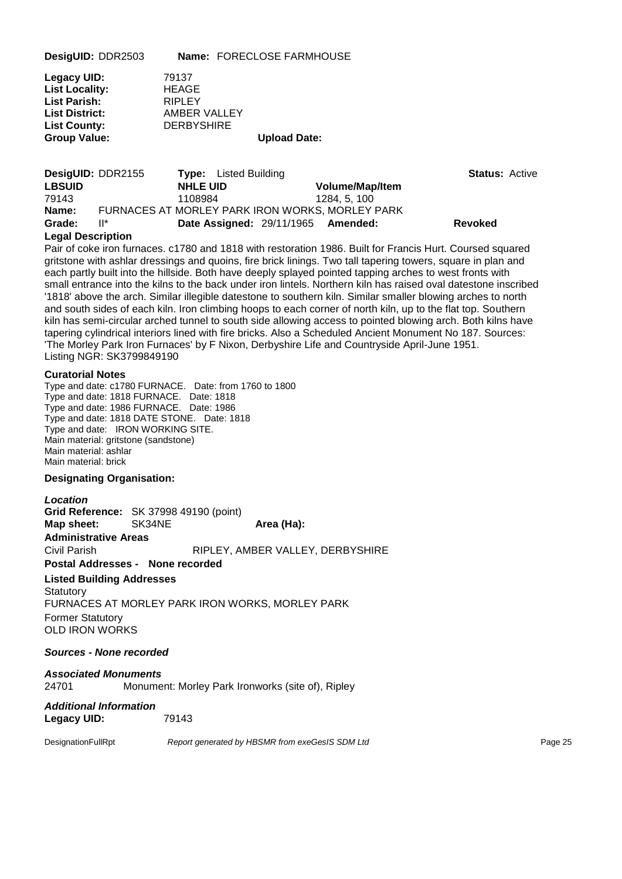**DesigUID:** DDR2503 **Name:** FORECLOSE FARMHOUSE

| Legacy UID:           | 79137             |                     |
|-----------------------|-------------------|---------------------|
| <b>List Locality:</b> | <b>HEAGE</b>      |                     |
| List Parish:          | <b>RIPLEY</b>     |                     |
| <b>List District:</b> | AMBER VALLEY      |                     |
| <b>List County:</b>   | <b>DERBYSHIRE</b> |                     |
| <b>Group Value:</b>   |                   | <b>Upload Date:</b> |

| <b>DesigUID: DDR2155</b> |         | <b>Type:</b> Listed Building                    |                        | <b>Status: Active</b> |  |
|--------------------------|---------|-------------------------------------------------|------------------------|-----------------------|--|
| <b>LBSUID</b>            |         | <b>NHLE UID</b>                                 | <b>Volume/Map/Item</b> |                       |  |
| 79143                    | 1108984 |                                                 | 1284.5.100             |                       |  |
| Name:                    |         | FURNACES AT MORLEY PARK IRON WORKS, MORLEY PARK |                        |                       |  |
| Grade:                   | ll*     | Date Assigned: 29/11/1965 Amended:              |                        | <b>Revoked</b>        |  |

#### **Legal Description**

Pair of coke iron furnaces. c1780 and 1818 with restoration 1986. Built for Francis Hurt. Coursed squared gritstone with ashlar dressings and quoins, fire brick linings. Two tall tapering towers, square in plan and each partly built into the hillside. Both have deeply splayed pointed tapping arches to west fronts with small entrance into the kilns to the back under iron lintels. Northern kiln has raised oval datestone inscribed '1818' above the arch. Similar illegible datestone to southern kiln. Similar smaller blowing arches to north and south sides of each kiln. Iron climbing hoops to each corner of north kiln, up to the flat top. Southern kiln has semi-circular arched tunnel to south side allowing access to pointed blowing arch. Both kilns have tapering cylindrical interiors lined with fire bricks. Also a Scheduled Ancient Monument No 187. Sources: 'The Morley Park Iron Furnaces' by F Nixon, Derbyshire Life and Countryside April-June 1951. Listing NGR: SK3799849190

#### **Curatorial Notes**

Type and date: c1780 FURNACE. Date: from 1760 to 1800 Type and date: 1818 FURNACE. Date: 1818 Type and date: 1986 FURNACE. Date: 1986 Type and date: 1818 DATE STONE. Date: 1818 Type and date: IRON WORKING SITE. Main material: gritstone (sandstone) Main material: ashlar Main material: brick

#### **Designating Organisation:**

### *Location* **Grid Reference:** SK 37998 49190 (point) **Map sheet:** SK34NE **Area Area (Ha): Administrative Areas** Civil Parish RIPLEY, AMBER VALLEY, DERBYSHIRE **Postal Addresses - None recorded Listed Building Addresses**

**Statutory** FURNACES AT MORLEY PARK IRON WORKS, MORLEY PARK Former Statutory OLD IRON WORKS

#### *Sources - None recorded*

*Associated Monuments* 24701 Monument: Morley Park Ironworks (site of), Ripley

#### *Additional Information* **Legacy UID:** 79143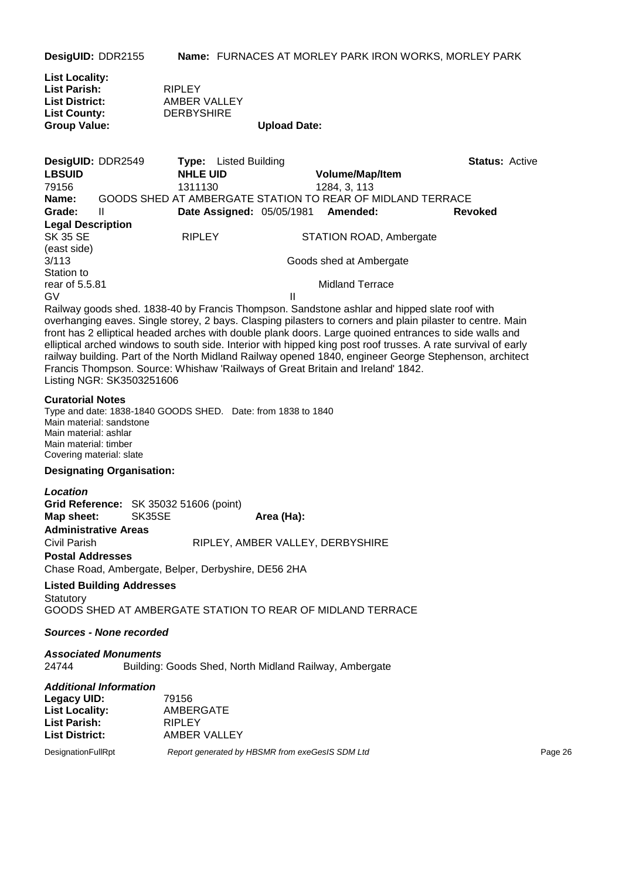**DesigUID:** DDR2155 **Name:** FURNACES AT MORLEY PARK IRON WORKS, MORLEY PARK

| <b>List Locality:</b> |                   |                     |
|-----------------------|-------------------|---------------------|
| <b>List Parish:</b>   | <b>RIPLEY</b>     |                     |
| <b>List District:</b> | AMBER VALLEY      |                     |
| <b>List County:</b>   | <b>DERBYSHIRE</b> |                     |
| <b>Group Value:</b>   |                   | <b>Upload Date:</b> |

| DesigUID: DDR2549        |   | Tvpe:           | Listed Building |                                    |                                                                                                            | <b>Status: Active</b> |  |
|--------------------------|---|-----------------|-----------------|------------------------------------|------------------------------------------------------------------------------------------------------------|-----------------------|--|
| <b>LBSUID</b>            |   | <b>NHLE UID</b> |                 | <b>Volume/Map/Item</b>             |                                                                                                            |                       |  |
| 79156                    |   | 1311130         |                 | 1284, 3, 113                       |                                                                                                            |                       |  |
| Name:                    |   |                 |                 |                                    | GOODS SHED AT AMBERGATE STATION TO REAR OF MIDLAND TERRACE                                                 |                       |  |
| Grade:                   | Ш |                 |                 | Date Assigned: 05/05/1981 Amended: | <b>Revoked</b>                                                                                             |                       |  |
| <b>Legal Description</b> |   |                 |                 |                                    |                                                                                                            |                       |  |
| SK 35 SE                 |   | <b>RIPLEY</b>   |                 | STATION ROAD, Ambergate            |                                                                                                            |                       |  |
| (east side)              |   |                 |                 |                                    |                                                                                                            |                       |  |
| 3/113                    |   |                 |                 | Goods shed at Ambergate            |                                                                                                            |                       |  |
| Station to               |   |                 |                 |                                    |                                                                                                            |                       |  |
| rear of 5.5.81           |   |                 |                 | <b>Midland Terrace</b>             |                                                                                                            |                       |  |
| GV                       |   |                 |                 |                                    |                                                                                                            |                       |  |
|                          |   |                 |                 |                                    | Railway goods shed. 1838-40 by Francis Thompson. Sandstone ashlar and hipped slate roof with               |                       |  |
|                          |   |                 |                 |                                    | overhanging eaves. Single storey, 2 havs. Clasning pilasters to corners and plain pilaster to centre. Main |                       |  |

overhanging eaves. Single storey, 2 bays. Clasping pilasters to corners and plain pilaster to centre. Main front has 2 elliptical headed arches with double plank doors. Large quoined entrances to side walls and elliptical arched windows to south side. Interior with hipped king post roof trusses. A rate survival of early railway building. Part of the North Midland Railway opened 1840, engineer George Stephenson, architect Francis Thompson. Source: Whishaw 'Railways of Great Britain and Ireland' 1842. Listing NGR: SK3503251606

#### **Curatorial Notes**

Type and date: 1838-1840 GOODS SHED. Date: from 1838 to 1840 Main material: sandstone Main material: ashlar Main material: timber Covering material: slate

#### **Designating Organisation:**

#### *Location*

**Grid Reference:** SK 35032 51606 (point) **Map sheet:** SK35SE **Area (Ha): Administrative Areas** Civil Parish RIPLEY, AMBER VALLEY, DERBYSHIRE **Postal Addresses**

Chase Road, Ambergate, Belper, Derbyshire, DE56 2HA

#### **Listed Building Addresses Statutory**

GOODS SHED AT AMBERGATE STATION TO REAR OF MIDLAND TERRACE

#### *Sources - None recorded*

*Associated Monuments* 24744 Building: Goods Shed, North Midland Railway, Ambergate

#### *Additional Information*

| Legacy UID:                           | 79156                                           |         |
|---------------------------------------|-------------------------------------------------|---------|
| <b>List Locality:</b>                 | AMBERGATE                                       |         |
| List Parish:<br><b>List District:</b> | RIPLEY<br>AMBER VALLEY                          |         |
| DesignationFullRpt                    | Report generated by HBSMR from exeGesIS SDM Ltd | Page 26 |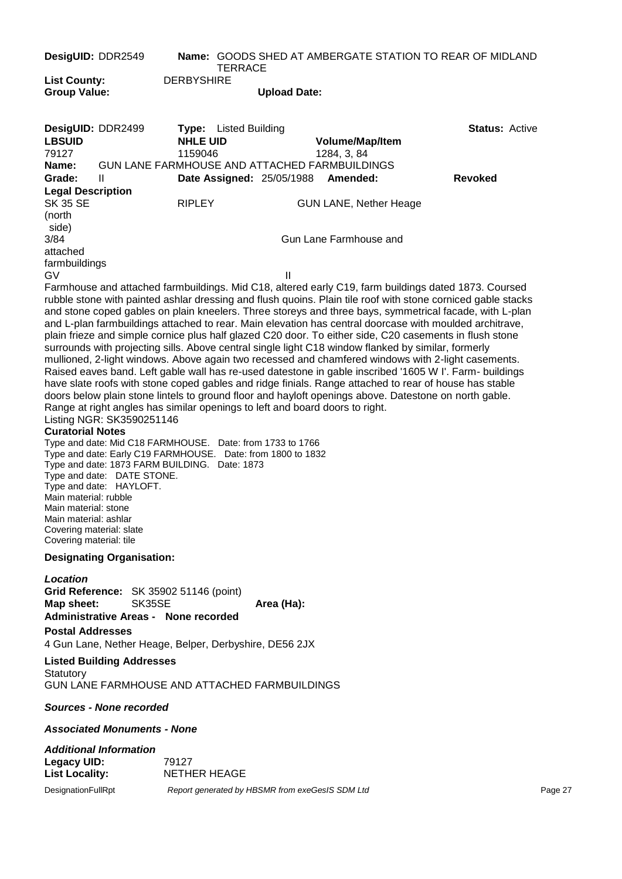| DesigUID: DDR2549                                                                                                                                        |                                                                                                                                                                                                                                                                 |                              | <b>TERRACE</b>               |                                                 |                                                                              | <b>Name: GOODS SHED AT AMBERGATE STATION TO REAR OF MIDLAND</b>                                                                                                                                                                                                                                                                                                                                                                                                                                                                                                                                                                                                                                                                                                                                                                                                                                                                                                                          |         |
|----------------------------------------------------------------------------------------------------------------------------------------------------------|-----------------------------------------------------------------------------------------------------------------------------------------------------------------------------------------------------------------------------------------------------------------|------------------------------|------------------------------|-------------------------------------------------|------------------------------------------------------------------------------|------------------------------------------------------------------------------------------------------------------------------------------------------------------------------------------------------------------------------------------------------------------------------------------------------------------------------------------------------------------------------------------------------------------------------------------------------------------------------------------------------------------------------------------------------------------------------------------------------------------------------------------------------------------------------------------------------------------------------------------------------------------------------------------------------------------------------------------------------------------------------------------------------------------------------------------------------------------------------------------|---------|
| <b>List County:</b>                                                                                                                                      |                                                                                                                                                                                                                                                                 | <b>DERBYSHIRE</b>            |                              |                                                 |                                                                              |                                                                                                                                                                                                                                                                                                                                                                                                                                                                                                                                                                                                                                                                                                                                                                                                                                                                                                                                                                                          |         |
| <b>Group Value:</b>                                                                                                                                      |                                                                                                                                                                                                                                                                 |                              |                              | <b>Upload Date:</b>                             |                                                                              |                                                                                                                                                                                                                                                                                                                                                                                                                                                                                                                                                                                                                                                                                                                                                                                                                                                                                                                                                                                          |         |
| DesigUID: DDR2499<br><b>LBSUID</b><br>79127                                                                                                              |                                                                                                                                                                                                                                                                 | <b>NHLE UID</b><br>1159046   | <b>Type:</b> Listed Building |                                                 | Volume/Map/Item<br>1284, 3, 84                                               | <b>Status: Active</b>                                                                                                                                                                                                                                                                                                                                                                                                                                                                                                                                                                                                                                                                                                                                                                                                                                                                                                                                                                    |         |
| Name:<br>Grade:                                                                                                                                          | Ш                                                                                                                                                                                                                                                               |                              |                              | <b>Date Assigned: 25/05/1988</b>                | GUN LANE FARMHOUSE AND ATTACHED FARMBUILDINGS<br>Amended:                    | <b>Revoked</b>                                                                                                                                                                                                                                                                                                                                                                                                                                                                                                                                                                                                                                                                                                                                                                                                                                                                                                                                                                           |         |
| <b>Legal Description</b><br><b>SK 35 SE</b><br>(north<br>side)                                                                                           |                                                                                                                                                                                                                                                                 | <b>RIPLEY</b>                |                              |                                                 | <b>GUN LANE, Nether Heage</b>                                                |                                                                                                                                                                                                                                                                                                                                                                                                                                                                                                                                                                                                                                                                                                                                                                                                                                                                                                                                                                                          |         |
| 3/84<br>attached                                                                                                                                         |                                                                                                                                                                                                                                                                 |                              |                              |                                                 | Gun Lane Farmhouse and                                                       |                                                                                                                                                                                                                                                                                                                                                                                                                                                                                                                                                                                                                                                                                                                                                                                                                                                                                                                                                                                          |         |
| farmbuildings<br>GV                                                                                                                                      |                                                                                                                                                                                                                                                                 |                              |                              | $\mathbf{I}$                                    |                                                                              |                                                                                                                                                                                                                                                                                                                                                                                                                                                                                                                                                                                                                                                                                                                                                                                                                                                                                                                                                                                          |         |
| <b>Curatorial Notes</b><br>Main material: rubble<br>Main material: stone<br>Main material: ashlar<br>Covering material: slate<br>Covering material: tile | Listing NGR: SK3590251146<br>Type and date: Mid C18 FARMHOUSE. Date: from 1733 to 1766<br>Type and date: Early C19 FARMHOUSE. Date: from 1800 to 1832<br>Type and date: 1873 FARM BUILDING. Date: 1873<br>Type and date: DATE STONE.<br>Type and date: HAYLOFT. |                              |                              |                                                 | Range at right angles has similar openings to left and board doors to right. | rubble stone with painted ashlar dressing and flush quoins. Plain tile roof with stone corniced gable stacks<br>and stone coped gables on plain kneelers. Three storeys and three bays, symmetrical facade, with L-plan<br>and L-plan farmbuildings attached to rear. Main elevation has central doorcase with moulded architrave,<br>plain frieze and simple cornice plus half glazed C20 door. To either side, C20 casements in flush stone<br>surrounds with projecting sills. Above central single light C18 window flanked by similar, formerly<br>mullioned, 2-light windows. Above again two recessed and chamfered windows with 2-light casements.<br>Raised eaves band. Left gable wall has re-used datestone in gable inscribed '1605 W I'. Farm- buildings<br>have slate roofs with stone coped gables and ridge finials. Range attached to rear of house has stable<br>doors below plain stone lintels to ground floor and hayloft openings above. Datestone on north gable. |         |
|                                                                                                                                                          | <b>Designating Organisation:</b>                                                                                                                                                                                                                                |                              |                              |                                                 |                                                                              |                                                                                                                                                                                                                                                                                                                                                                                                                                                                                                                                                                                                                                                                                                                                                                                                                                                                                                                                                                                          |         |
| Location<br>Map sheet:<br><b>Postal Addresses</b>                                                                                                        | Grid Reference: SK 35902 51146 (point)<br>SK35SE<br><b>Administrative Areas - None recorded</b><br>4 Gun Lane, Nether Heage, Belper, Derbyshire, DE56 2JX<br><b>Listed Building Addresses</b>                                                                   |                              |                              | Area (Ha):                                      |                                                                              |                                                                                                                                                                                                                                                                                                                                                                                                                                                                                                                                                                                                                                                                                                                                                                                                                                                                                                                                                                                          |         |
| Statutory                                                                                                                                                | <b>GUN LANE FARMHOUSE AND ATTACHED FARMBUILDINGS</b>                                                                                                                                                                                                            |                              |                              |                                                 |                                                                              |                                                                                                                                                                                                                                                                                                                                                                                                                                                                                                                                                                                                                                                                                                                                                                                                                                                                                                                                                                                          |         |
|                                                                                                                                                          | Sources - None recorded                                                                                                                                                                                                                                         |                              |                              |                                                 |                                                                              |                                                                                                                                                                                                                                                                                                                                                                                                                                                                                                                                                                                                                                                                                                                                                                                                                                                                                                                                                                                          |         |
|                                                                                                                                                          | <b>Associated Monuments - None</b>                                                                                                                                                                                                                              |                              |                              |                                                 |                                                                              |                                                                                                                                                                                                                                                                                                                                                                                                                                                                                                                                                                                                                                                                                                                                                                                                                                                                                                                                                                                          |         |
| <b>Legacy UID:</b><br><b>List Locality:</b>                                                                                                              | <b>Additional Information</b>                                                                                                                                                                                                                                   | 79127<br><b>NETHER HEAGE</b> |                              |                                                 |                                                                              |                                                                                                                                                                                                                                                                                                                                                                                                                                                                                                                                                                                                                                                                                                                                                                                                                                                                                                                                                                                          |         |
| DesignationFullRpt                                                                                                                                       |                                                                                                                                                                                                                                                                 |                              |                              | Report generated by HBSMR from exeGesIS SDM Ltd |                                                                              |                                                                                                                                                                                                                                                                                                                                                                                                                                                                                                                                                                                                                                                                                                                                                                                                                                                                                                                                                                                          | Page 27 |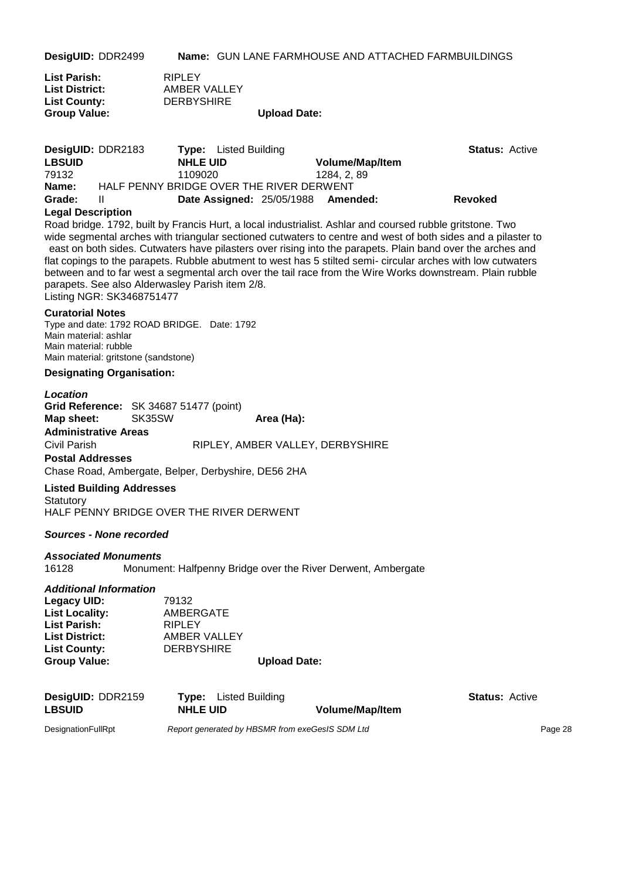**DesigUID:** DDR2499 **Name:** GUN LANE FARMHOUSE AND ATTACHED FARMBUILDINGS

| List Parish:          | <b>RIPLEY</b>     |                     |
|-----------------------|-------------------|---------------------|
| <b>List District:</b> | AMBER VALLEY      |                     |
| <b>List County:</b>   | <b>DERBYSHIRE</b> |                     |
| <b>Group Value:</b>   |                   | <b>Upload Date:</b> |

| <b>DesigUID: DDR2183</b> |                                          | <b>Type:</b> Listed Building       |                        | <b>Status: Active</b> |  |
|--------------------------|------------------------------------------|------------------------------------|------------------------|-----------------------|--|
| <b>LBSUID</b>            | <b>NHLE UID</b>                          |                                    | <b>Volume/Map/Item</b> |                       |  |
| 79132                    | 1109020                                  |                                    | 1284. 2. 89            |                       |  |
| Name:                    | HALF PENNY BRIDGE OVER THE RIVER DERWENT |                                    |                        |                       |  |
| Grade:                   | H                                        | Date Assigned: 25/05/1988 Amended: |                        | <b>Revoked</b>        |  |

#### **Legal Description**

Road bridge. 1792, built by Francis Hurt, a local industrialist. Ashlar and coursed rubble gritstone. Two wide segmental arches with triangular sectioned cutwaters to centre and west of both sides and a pilaster to east on both sides. Cutwaters have pilasters over rising into the parapets. Plain band over the arches and flat copings to the parapets. Rubble abutment to west has 5 stilted semi- circular arches with low cutwaters between and to far west a segmental arch over the tail race from the Wire Works downstream. Plain rubble parapets. See also Alderwasley Parish item 2/8. Listing NGR: SK3468751477

#### **Curatorial Notes**

Type and date: 1792 ROAD BRIDGE. Date: 1792 Main material: ashlar Main material: rubble Main material: gritstone (sandstone)

#### **Designating Organisation:**

#### *Location*

**Grid Reference:** SK 34687 51477 (point) **Map sheet:** SK35SW **Area (Ha): Administrative Areas** Civil Parish RIPLEY, AMBER VALLEY, DERBYSHIRE **Postal Addresses**

Chase Road, Ambergate, Belper, Derbyshire, DE56 2HA

#### **Listed Building Addresses**

**Statutory** HALF PENNY BRIDGE OVER THE RIVER DERWENT

#### *Sources - None recorded*

#### *Associated Monuments*

16128 Monument: Halfpenny Bridge over the River Derwent, Ambergate

#### *Additional Information*

| Legacy UID:           | 79132             |                     |
|-----------------------|-------------------|---------------------|
| <b>List Locality:</b> | AMBERGATE         |                     |
| <b>List Parish:</b>   | <b>RIPLEY</b>     |                     |
| <b>List District:</b> | AMBER VALLEY      |                     |
| <b>List County:</b>   | <b>DERBYSHIRE</b> |                     |
| <b>Group Value:</b>   |                   | <b>Upload Date:</b> |

| DesigUID: DDR2159  | <b>Type:</b> Listed Building                    |                 | <b>Status: Active</b> |
|--------------------|-------------------------------------------------|-----------------|-----------------------|
| <b>LBSUID</b>      | <b>NHLE UID</b>                                 | Volume/Map/Item |                       |
| DesignationFullRpt | Report generated by HBSMR from exeGesIS SDM Ltd |                 | Page 28               |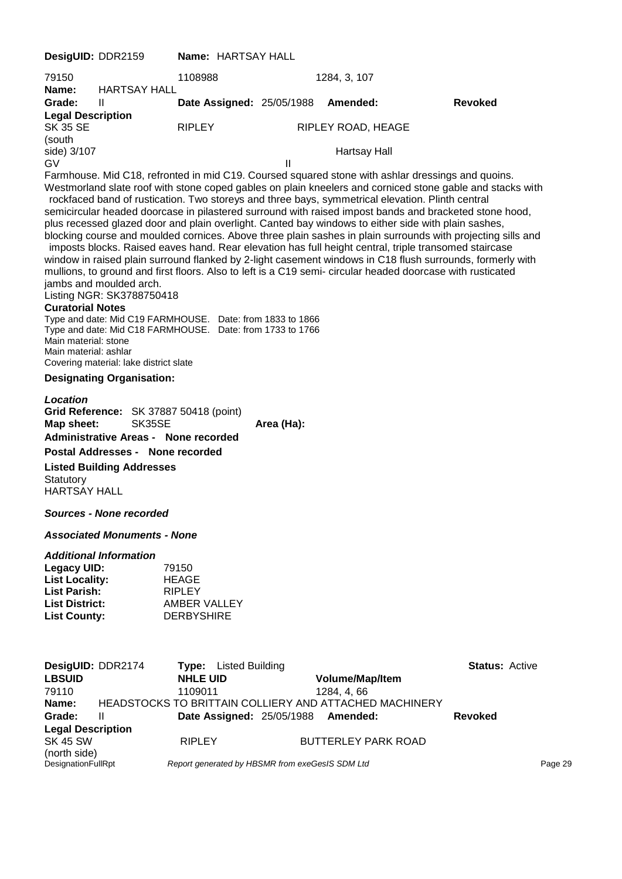**DesigUID:** DDR2159 **Name:** HARTSAY HALL 79150 1108988 1284, 3, 107 **Name:** HARTSAY HALL **Grade:** II **Date Assigned:** 25/05/1988 **Amended: Revoked Legal Description** SK 35 SE RIPLEY RIPLEY RIPLEY ROAD, HEAGE (south side) 3/107 Hartsay Hall GV II Farmhouse. Mid C18, refronted in mid C19. Coursed squared stone with ashlar dressings and quoins. Westmorland slate roof with stone coped gables on plain kneelers and corniced stone gable and stacks with rockfaced band of rustication. Two storeys and three bays, symmetrical elevation. Plinth central semicircular headed doorcase in pilastered surround with raised impost bands and bracketed stone hood, plus recessed glazed door and plain overlight. Canted bay windows to either side with plain sashes, blocking course and moulded cornices. Above three plain sashes in plain surrounds with projecting sills and imposts blocks. Raised eaves hand. Rear elevation has full height central, triple transomed staircase window in raised plain surround flanked by 2-light casement windows in C18 flush surrounds, formerly with mullions, to ground and first floors. Also to left is a C19 semi- circular headed doorcase with rusticated jambs and moulded arch. Listing NGR: SK3788750418 **Curatorial Notes** Type and date: Mid C19 FARMHOUSE. Date: from 1833 to 1866 Type and date: Mid C18 FARMHOUSE. Date: from 1733 to 1766 Main material: stone Main material: ashlar Covering material: lake district slate **Designating Organisation:** *Location* **Grid Reference:** SK 37887 50418 (point) **Map sheet:** SK35SE **Area (Ha): Administrative Areas - None recorded Postal Addresses - None recorded Listed Building Addresses Statutory** HARTSAY HALL *Sources - None recorded Associated Monuments - None Additional Information* **Legacy UID:** 79150 List Locality: HEAGE **List Parish:** RIPLEY **List District:** AMBER VALLEY **List County:** DERBYSHIRE **DesigUID:** DDR2174 **Type:** Listed Building **Status: Active Building Construct Construct Construct Construct Construct Construct Construct Construct Construct Construct Construct Construct Construct Construct Construct Con LBSUID NHLE UID Volume/Map/Item** 79110 1109011 1284, 4, 66 **Name:** HEADSTOCKS TO BRITTAIN COLLIERY AND ATTACHED MACHINERY **Grade:** II **Date Assigned:** 25/05/1988 **Amended: Revoked Legal Description** SK 45 SW **RIPLEY BUTTERLEY PARK ROAD** (north side)<br>DesignationFullRpt

Report generated by HBSMR from exeGesIS SDM Ltd **Page 29** Page 29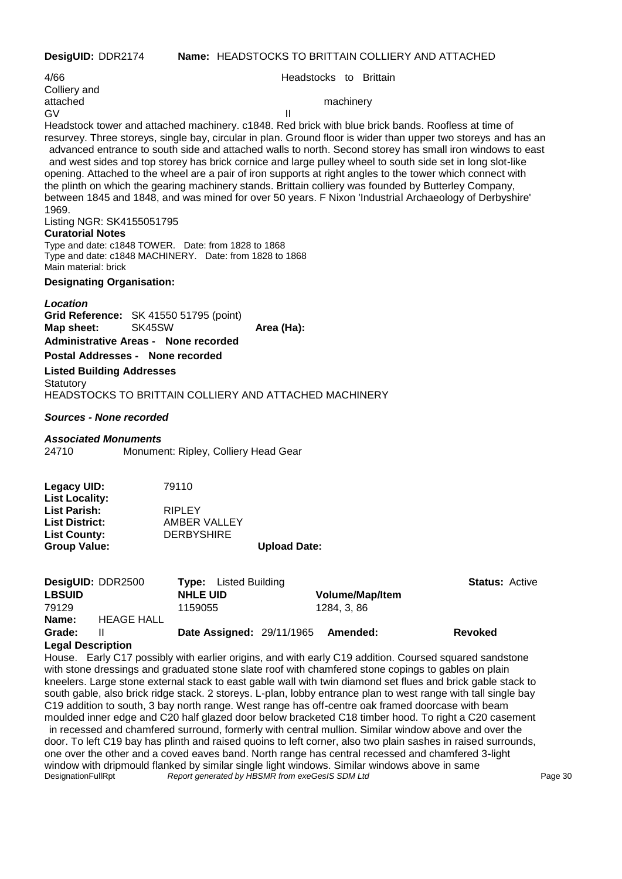| DesigUID: DDR2174 | <b>Name: HEADSTOCKS TO BRITTAIN COLLIERY AND ATTACHED</b> |
|-------------------|-----------------------------------------------------------|
|-------------------|-----------------------------------------------------------|

4/66 Headstocks to Brittain Colliery and attached machinery GV III Headstock tower and attached machinery. c1848. Red brick with blue brick bands. Roofless at time of resurvey. Three storeys, single bay, circular in plan. Ground floor is wider than upper two storeys and has an advanced entrance to south side and attached walls to north. Second storey has small iron windows to east and west sides and top storey has brick cornice and large pulley wheel to south side set in long slot-like opening. Attached to the wheel are a pair of iron supports at right angles to the tower which connect with the plinth on which the gearing machinery stands. Brittain colliery was founded by Butterley Company, between 1845 and 1848, and was mined for over 50 years. F Nixon 'Industrial Archaeology of Derbyshire' 1969. Listing NGR: SK4155051795 **Curatorial Notes** Type and date: c1848 TOWER. Date: from 1828 to 1868 Type and date: c1848 MACHINERY. Date: from 1828 to 1868 Main material: brick **Designating Organisation:** *Location* **Grid Reference:** SK 41550 51795 (point) **Map sheet:** SK45SW **Area (Ha): Administrative Areas - None recorded Postal Addresses - None recorded Listed Building Addresses Statutory** HEADSTOCKS TO BRITTAIN COLLIERY AND ATTACHED MACHINERY *Sources - None recorded Associated Monuments* 24710 Monument: Ripley, Colliery Head Gear

# **Legacy UID:** 79110 **List Locality: List Parish:** RIPLEY **List District:** AMBER VALLEY **List County:** DERBYSHIRE

**Group Value: Upload Date:**

|                   | DesigUID: DDR2500 | <b>Type:</b> Listed Building     |                        | <b>Status: Active</b> |
|-------------------|-------------------|----------------------------------|------------------------|-----------------------|
| <b>LBSUID</b>     |                   | <b>NHLE UID</b>                  | <b>Volume/Map/Item</b> |                       |
| 79129             |                   | 1159055                          | 1284. 3. 86            |                       |
| Name:             | <b>HEAGE HALL</b> |                                  |                        |                       |
| Grade:            | Ш                 | <b>Date Assigned: 29/11/1965</b> | Amended:               | <b>Revoked</b>        |
| Lanal Dascription |                   |                                  |                        |                       |

#### **Legal Description**

House. Early C17 possibly with earlier origins, and with early C19 addition. Coursed squared sandstone with stone dressings and graduated stone slate roof with chamfered stone copings to gables on plain kneelers. Large stone external stack to east gable wall with twin diamond set flues and brick gable stack to south gable, also brick ridge stack. 2 storeys. L-plan, lobby entrance plan to west range with tall single bay C19 addition to south, 3 bay north range. West range has off-centre oak framed doorcase with beam moulded inner edge and C20 half glazed door below bracketed C18 timber hood. To right a C20 casement in recessed and chamfered surround, formerly with central mullion. Similar window above and over the door. To left C19 bay has plinth and raised quoins to left corner, also two plain sashes in raised surrounds, one over the other and a coved eaves band. North range has central recessed and chamfered 3-light window with dripmould flanked by similar single light windows. Similar windows above in same<br>DesignationFullRpt Report generated by HBSMR from exeGesIS SDM Ltd Report generated by HBSMR from exeGesIS SDM Ltd **Page 30** Page 30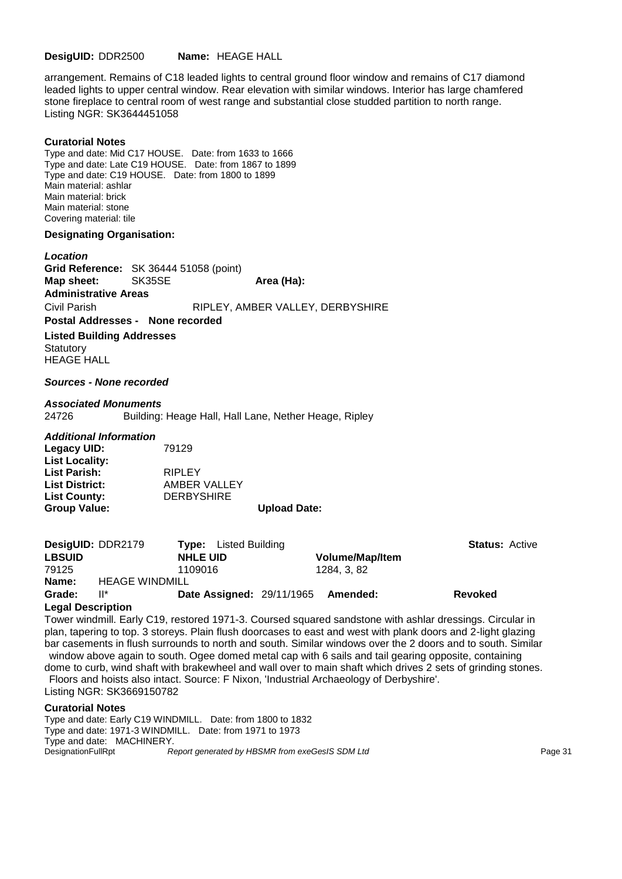**DesigUID:** DDR2500 **Name:** HEAGE HALL

arrangement. Remains of C18 leaded lights to central ground floor window and remains of C17 diamond leaded lights to upper central window. Rear elevation with similar windows. Interior has large chamfered stone fireplace to central room of west range and substantial close studded partition to north range. Listing NGR: SK3644451058

#### **Curatorial Notes**

Type and date: Mid C17 HOUSE. Date: from 1633 to 1666 Type and date: Late C19 HOUSE. Date: from 1867 to 1899 Type and date: C19 HOUSE. Date: from 1800 to 1899 Main material: ashlar Main material: brick Main material: stone Covering material: tile

#### **Designating Organisation:**

*Location* **Grid Reference:** SK 36444 51058 (point) **Map sheet:** SK35SE **Area (Ha):** Area (Ha): **Administrative Areas** Civil Parish RIPLEY, AMBER VALLEY, DERBYSHIRE **Postal Addresses - None recorded Listed Building Addresses Statutory** 

HEAGE HALL

#### *Sources - None recorded*

#### *Associated Monuments*

24726 Building: Heage Hall, Hall Lane, Nether Heage, Ripley

#### *Additional Information*

| <b>Group Value:</b>   |                   | <b>Upload Date:</b> |
|-----------------------|-------------------|---------------------|
| <b>List County:</b>   | <b>DERBYSHIRE</b> |                     |
| <b>List District:</b> | AMBER VALLEY      |                     |
| <b>List Parish:</b>   | <b>RIPLEY</b>     |                     |
| <b>List Locality:</b> |                   |                     |
| Legacy UID:           | 79129             |                     |

| <b>DesigUID: DDR2179</b> |                       |                 | <b>Type:</b> Listed Building |                                  |                        | <b>Status: Active</b> |
|--------------------------|-----------------------|-----------------|------------------------------|----------------------------------|------------------------|-----------------------|
| <b>LBSUID</b>            |                       | <b>NHLE UID</b> |                              |                                  | <b>Volume/Map/Item</b> |                       |
| 79125                    |                       | 1109016         |                              |                                  | 1284. 3. 82            |                       |
| Name:                    | <b>HEAGE WINDMILL</b> |                 |                              |                                  |                        |                       |
| Grade:                   | $\mathbb{I}^*$        |                 |                              | <b>Date Assigned: 29/11/1965</b> | Amended:               | <b>Revoked</b>        |

#### **Legal Description**

Tower windmill. Early C19, restored 1971-3. Coursed squared sandstone with ashlar dressings. Circular in plan, tapering to top. 3 storeys. Plain flush doorcases to east and west with plank doors and 2-light glazing bar casements in flush surrounds to north and south. Similar windows over the 2 doors and to south. Similar window above again to south. Ogee domed metal cap with 6 sails and tail gearing opposite, containing

dome to curb, wind shaft with brakewheel and wall over to main shaft which drives 2 sets of grinding stones. Floors and hoists also intact. Source: F Nixon, 'Industrial Archaeology of Derbyshire'. Listing NGR: SK3669150782

#### **Curatorial Notes**

Type and date: Early C19 WINDMILL. Date: from 1800 to 1832 Type and date: 1971-3 WINDMILL. Date: from 1971 to 1973 Type and date: MACHINERY. DesignationFullRpt **Report generated by HBSMR** from exeGesIS SDM Ltd **Page 31** Page 31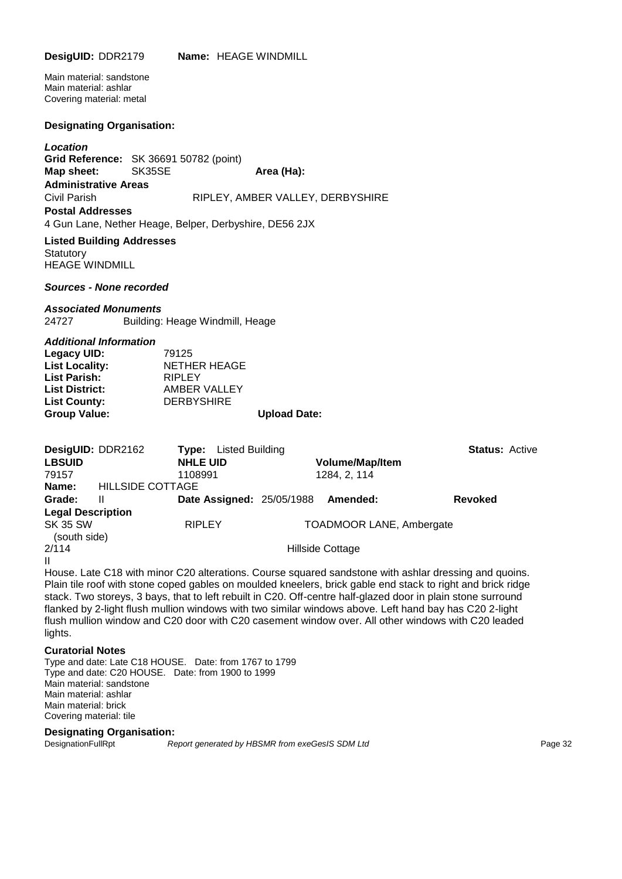Main material: sandstone Main material: ashlar Covering material: metal

#### **Designating Organisation:**

*Location* **Grid Reference:** SK 36691 50782 (point) **Map sheet:** SK35SE **Area (Ha): Administrative Areas** Civil Parish RIPLEY, AMBER VALLEY, DERBYSHIRE **Postal Addresses** 4 Gun Lane, Nether Heage, Belper, Derbyshire, DE56 2JX

**Listed Building Addresses Statutory** HEAGE WINDMILL

*Sources - None recorded*

*Associated Monuments* 24727 Building: Heage Windmill, Heage

| <b>Additional Information</b> |                     |                     |
|-------------------------------|---------------------|---------------------|
| Legacy UID:                   | 79125               |                     |
| <b>List Locality:</b>         | <b>NETHER HEAGE</b> |                     |
| <b>List Parish:</b>           | <b>RIPLEY</b>       |                     |
| <b>List District:</b>         | AMBER VALLEY        |                     |
| <b>List County:</b>           | <b>DERBYSHIRE</b>   |                     |
| <b>Group Value:</b>           |                     | <b>Upload Date:</b> |
|                               |                     |                     |

| DesigUID: DDR2162<br><b>LBSUID</b><br>79157 |                         | Listed Building<br>Type:<br><b>NHLE UID</b><br>1108991 | <b>Volume/Map/Item</b><br>1284, 2, 114 | <b>Status: Active</b> |  |
|---------------------------------------------|-------------------------|--------------------------------------------------------|----------------------------------------|-----------------------|--|
| Name:                                       | <b>HILLSIDE COTTAGE</b> |                                                        |                                        |                       |  |
| Grade:                                      | Ш                       | <b>Date Assigned: 25/05/1988</b>                       | Amended:                               | <b>Revoked</b>        |  |
| <b>Legal Description</b>                    |                         |                                                        |                                        |                       |  |
| <b>SK 35 SW</b><br>(south side)             |                         | <b>RIPLEY</b>                                          | <b>TOADMOOR LANE, Ambergate</b>        |                       |  |
| 2/114                                       |                         |                                                        | Hillside Cottage                       |                       |  |
| Ш                                           |                         |                                                        |                                        |                       |  |

House. Late C18 with minor C20 alterations. Course squared sandstone with ashlar dressing and quoins. Plain tile roof with stone coped gables on moulded kneelers, brick gable end stack to right and brick ridge stack. Two storeys, 3 bays, that to left rebuilt in C20. Off-centre half-glazed door in plain stone surround flanked by 2-light flush mullion windows with two similar windows above. Left hand bay has C20 2-light flush mullion window and C20 door with C20 casement window over. All other windows with C20 leaded lights.

#### **Curatorial Notes**

Type and date: Late C18 HOUSE. Date: from 1767 to 1799 Type and date: C20 HOUSE. Date: from 1900 to 1999 Main material: sandstone Main material: ashlar Main material: brick Covering material: tile

#### **Designating Organisation:**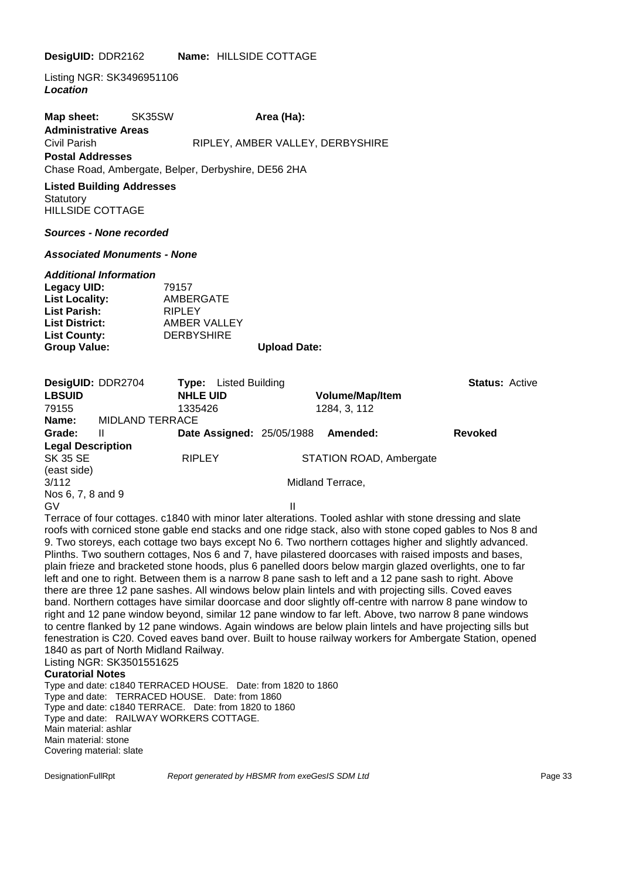#### **DesigUID:** DDR2162 **Name:** HILLSIDE COTTAGE

Listing NGR: SK3496951106 *Location*

**Map sheet:** SK35SW **Area (Ha):** Area (Ha): **Administrative Areas** Civil Parish RIPLEY, AMBER VALLEY, DERBYSHIRE **Postal Addresses** Chase Road, Ambergate, Belper, Derbyshire, DE56 2HA

**Listed Building Addresses Statutory** HILLSIDE COTTAGE

#### *Sources - None recorded*

#### *Associated Monuments - None*

#### *Additional Information*

| Legacy UID:           | 79157             |                     |
|-----------------------|-------------------|---------------------|
| <b>List Locality:</b> | AMBERGATE         |                     |
| <b>List Parish:</b>   | <b>RIPLEY</b>     |                     |
| <b>List District:</b> | AMBER VALLEY      |                     |
| <b>List County:</b>   | <b>DERBYSHIRE</b> |                     |
| <b>Group Value:</b>   |                   | <b>Upload Date:</b> |

| DesigUID: DDR2704        |                        | Type:           | Listed Building                  |                         | <b>Status: Active</b> |
|--------------------------|------------------------|-----------------|----------------------------------|-------------------------|-----------------------|
| <b>LBSUID</b>            |                        | <b>NHLE UID</b> |                                  | <b>Volume/Map/Item</b>  |                       |
| 79155                    |                        | 1335426         |                                  | 1284, 3, 112            |                       |
| Name:                    | <b>MIDLAND TERRACE</b> |                 |                                  |                         |                       |
| Grade:                   | Ш                      |                 | <b>Date Assigned: 25/05/1988</b> | Amended:                | <b>Revoked</b>        |
| <b>Legal Description</b> |                        |                 |                                  |                         |                       |
| <b>SK 35 SE</b>          |                        | <b>RIPLEY</b>   |                                  | STATION ROAD, Ambergate |                       |
| (east side)              |                        |                 |                                  |                         |                       |
| 3/112                    |                        |                 |                                  | Midland Terrace,        |                       |
| Nos 6, 7, 8 and 9        |                        |                 |                                  |                         |                       |
| GV                       |                        |                 | Ш                                |                         |                       |
|                          |                        |                 |                                  |                         |                       |

Terrace of four cottages. c1840 with minor later alterations. Tooled ashlar with stone dressing and slate roofs with corniced stone gable end stacks and one ridge stack, also with stone coped gables to Nos 8 and 9. Two storeys, each cottage two bays except No 6. Two northern cottages higher and slightly advanced. Plinths. Two southern cottages, Nos 6 and 7, have pilastered doorcases with raised imposts and bases, plain frieze and bracketed stone hoods, plus 6 panelled doors below margin glazed overlights, one to far left and one to right. Between them is a narrow 8 pane sash to left and a 12 pane sash to right. Above there are three 12 pane sashes. All windows below plain lintels and with projecting sills. Coved eaves band. Northern cottages have similar doorcase and door slightly off-centre with narrow 8 pane window to right and 12 pane window beyond, similar 12 pane window to far left. Above, two narrow 8 pane windows to centre flanked by 12 pane windows. Again windows are below plain lintels and have projecting sills but fenestration is C20. Coved eaves band over. Built to house railway workers for Ambergate Station, opened 1840 as part of North Midland Railway.

Listing NGR: SK3501551625

#### **Curatorial Notes**

Type and date: c1840 TERRACED HOUSE. Date: from 1820 to 1860 Type and date: TERRACED HOUSE. Date: from 1860 Type and date: c1840 TERRACE. Date: from 1820 to 1860 Type and date: RAILWAY WORKERS COTTAGE. Main material: ashlar Main material: stone Covering material: slate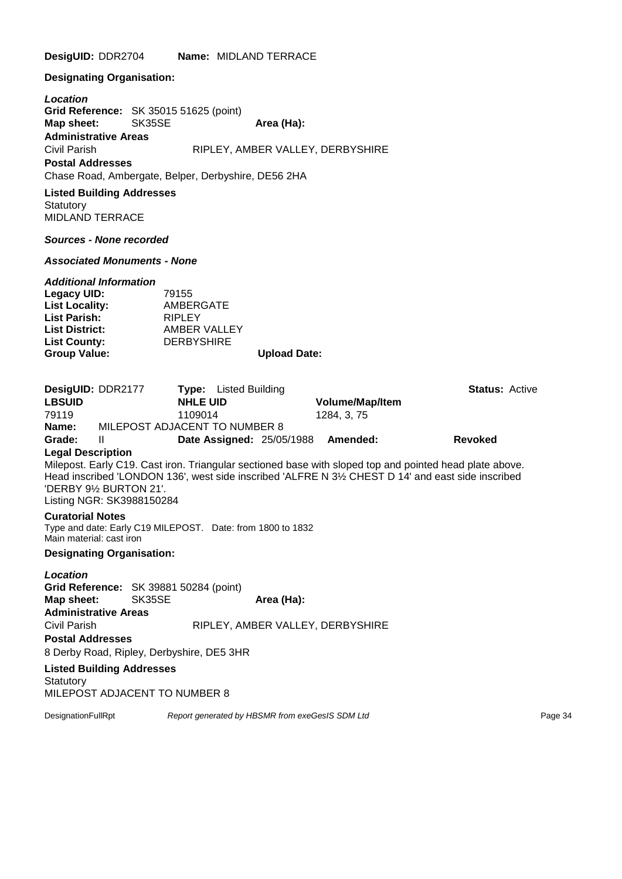**DesigUID:** DDR2704 **Name:** MIDLAND TERRACE

**Designating Organisation:**

*Location* **Grid Reference:** SK 35015 51625 (point) **Map sheet:** SK35SE **Area (Ha): Administrative Areas** Civil Parish RIPLEY, AMBER VALLEY, DERBYSHIRE **Postal Addresses** Chase Road, Ambergate, Belper, Derbyshire, DE56 2HA

**Listed Building Addresses Statutory** MIDLAND TERRACE

*Sources - None recorded*

*Associated Monuments - None*

| 79155             |                     |
|-------------------|---------------------|
| AMBERGATE         |                     |
| <b>RIPLEY</b>     |                     |
| AMBER VALLEY      |                     |
| <b>DERBYSHIRE</b> |                     |
|                   | <b>Upload Date:</b> |
|                   |                     |

**DesigUID:** DDR2177 **Type:** Listed Building **Status:** Active **LBSUID NHLE UID Volume/Map/Item** 79119 1109014 1284, 3, 75 **Name:** MILEPOST ADJACENT TO NUMBER 8 **Grade:** II **Date Assigned:** 25/05/1988 **Amended: Revoked Legal Description** Milepost. Early C19. Cast iron. Triangular sectioned base with sloped top and pointed head plate above. Head inscribed 'LONDON 136', west side inscribed 'ALFRE N 3½ CHEST D 14' and east side inscribed 'DERBY 9½ BURTON 21'. Listing NGR: SK3988150284 **Curatorial Notes** Type and date: Early C19 MILEPOST. Date: from 1800 to 1832 Main material: cast iron **Designating Organisation:** *Location* **Grid Reference:** SK 39881 50284 (point) **Map sheet:** SK35SE **Area (Ha): Administrative Areas** Civil Parish RIPLEY, AMBER VALLEY, DERBYSHIRE **Postal Addresses** 8 Derby Road, Ripley, Derbyshire, DE5 3HR

**Listed Building Addresses Statutory** MILEPOST ADJACENT TO NUMBER 8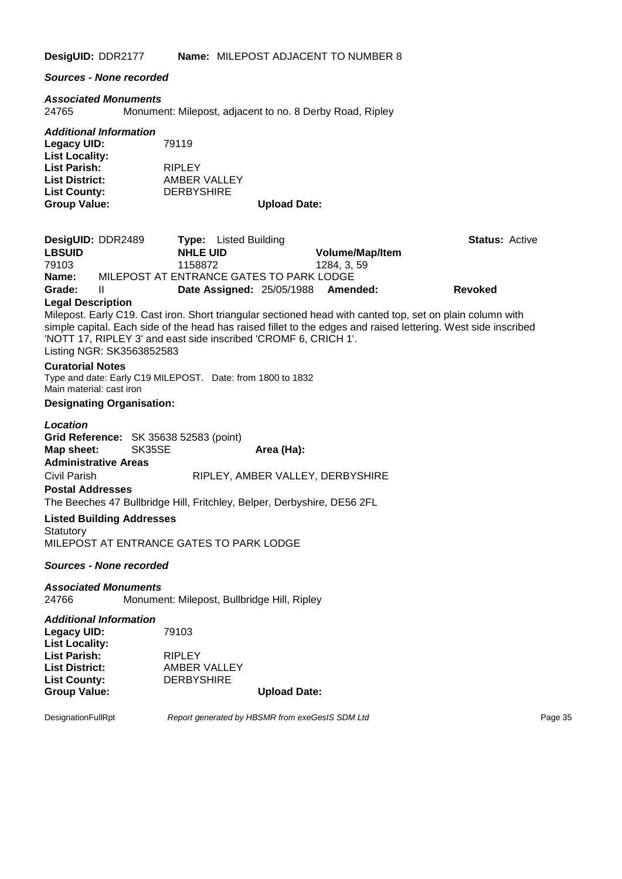**DesigUID:** DDR2177 **Name:** MILEPOST ADJACENT TO NUMBER 8

*Sources - None recorded*

# *Associated Monuments*

Monument: Milepost, adjacent to no. 8 Derby Road, Ripley

| <b>Additional Information</b> |                   |                     |
|-------------------------------|-------------------|---------------------|
| Legacy UID:                   | 79119             |                     |
| <b>List Locality:</b>         |                   |                     |
| <b>List Parish:</b>           | <b>RIPLEY</b>     |                     |
| <b>List District:</b>         | AMBER VALLEY      |                     |
| <b>List County:</b>           | <b>DERBYSHIRE</b> |                     |
| <b>Group Value:</b>           |                   | <b>Upload Date:</b> |

| DesigUID: DDR2489                                                   |                                                  | <b>Type:</b> Listed Building                                            |            |                                  | <b>Status: Active</b>                                                                                                                                                                                                       |
|---------------------------------------------------------------------|--------------------------------------------------|-------------------------------------------------------------------------|------------|----------------------------------|-----------------------------------------------------------------------------------------------------------------------------------------------------------------------------------------------------------------------------|
| <b>LBSUID</b>                                                       |                                                  | <b>NHLE UID</b>                                                         |            | Volume/Map/Item                  |                                                                                                                                                                                                                             |
| 79103                                                               |                                                  | 1158872                                                                 |            | 1284, 3, 59                      |                                                                                                                                                                                                                             |
| Name:                                                               |                                                  | MILEPOST AT ENTRANCE GATES TO PARK LODGE                                |            |                                  |                                                                                                                                                                                                                             |
| Grade:                                                              | Ш                                                | Date Assigned: 25/05/1988                                               |            | Amended:                         | <b>Revoked</b>                                                                                                                                                                                                              |
| <b>Legal Description</b>                                            |                                                  |                                                                         |            |                                  |                                                                                                                                                                                                                             |
|                                                                     | Listing NGR: SK3563852583                        | 'NOTT 17, RIPLEY 3' and east side inscribed 'CROMF 6, CRICH 1'.         |            |                                  | Milepost. Early C19. Cast iron. Short triangular sectioned head with canted top, set on plain column with<br>simple capital. Each side of the head has raised fillet to the edges and raised lettering. West side inscribed |
| <b>Curatorial Notes</b><br>Main material: cast iron                 |                                                  | Type and date: Early C19 MILEPOST. Date: from 1800 to 1832              |            |                                  |                                                                                                                                                                                                                             |
|                                                                     | <b>Designating Organisation:</b>                 |                                                                         |            |                                  |                                                                                                                                                                                                                             |
| Location<br>Map sheet:<br><b>Administrative Areas</b>               | Grid Reference: SK 35638 52583 (point)<br>SK35SE |                                                                         | Area (Ha): |                                  |                                                                                                                                                                                                                             |
| Civil Parish                                                        |                                                  |                                                                         |            | RIPLEY, AMBER VALLEY, DERBYSHIRE |                                                                                                                                                                                                                             |
| <b>Postal Addresses</b>                                             |                                                  |                                                                         |            |                                  |                                                                                                                                                                                                                             |
|                                                                     |                                                  | The Beeches 47 Bullbridge Hill, Fritchley, Belper, Derbyshire, DE56 2FL |            |                                  |                                                                                                                                                                                                                             |
| Statutory                                                           | <b>Listed Building Addresses</b>                 | MILEPOST AT ENTRANCE GATES TO PARK LODGE                                |            |                                  |                                                                                                                                                                                                                             |
|                                                                     | <b>Sources - None recorded</b>                   |                                                                         |            |                                  |                                                                                                                                                                                                                             |
| 24766                                                               | <b>Associated Monuments</b>                      | Monument: Milepost, Bullbridge Hill, Ripley                             |            |                                  |                                                                                                                                                                                                                             |
| <b>Legacy UID:</b><br><b>List Locality:</b>                         | <b>Additional Information</b>                    | 79103                                                                   |            |                                  |                                                                                                                                                                                                                             |
| <b>List Parish:</b><br><b>List District:</b><br><b>List County:</b> |                                                  | <b>RIPLEY</b><br><b>AMBER VALLEY</b><br><b>DERBYSHIRE</b>               |            |                                  |                                                                                                                                                                                                                             |

**Group Value: Upload Date:**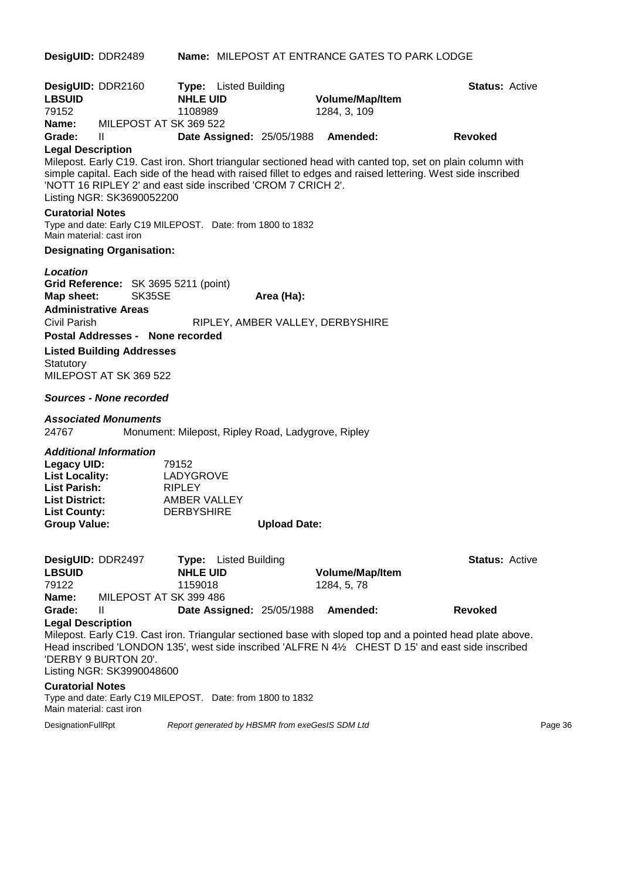| DesigUID: DDR2489                                                                                                    |                                                                                                |                                                                          |                              |                                                    | <b>Name: MILEPOST AT ENTRANCE GATES TO PARK LODGE</b> |                                                                                                                                                                                                                          |         |
|----------------------------------------------------------------------------------------------------------------------|------------------------------------------------------------------------------------------------|--------------------------------------------------------------------------|------------------------------|----------------------------------------------------|-------------------------------------------------------|--------------------------------------------------------------------------------------------------------------------------------------------------------------------------------------------------------------------------|---------|
| DesigUID: DDR2160<br><b>LBSUID</b><br>79152<br>Name:                                                                 | MILEPOST AT SK 369 522                                                                         | <b>NHLE UID</b><br>1108989                                               | <b>Type:</b> Listed Building |                                                    | <b>Volume/Map/Item</b><br>1284, 3, 109                | <b>Status: Active</b>                                                                                                                                                                                                    |         |
| Grade:                                                                                                               | Ш                                                                                              |                                                                          |                              |                                                    | Date Assigned: 25/05/1988 Amended:                    | <b>Revoked</b>                                                                                                                                                                                                           |         |
| <b>Legal Description</b>                                                                                             | 'NOTT 16 RIPLEY 2' and east side inscribed 'CROM 7 CRICH 2'.<br>Listing NGR: SK3690052200      |                                                                          |                              |                                                    |                                                       | Milepost. Early C19. Cast iron. Short triangular sectioned head with canted top, set on plain column with<br>simple capital. Each side of the head with raised fillet to edges and raised lettering. West side inscribed |         |
| <b>Curatorial Notes</b><br>Main material: cast iron                                                                  | Type and date: Early C19 MILEPOST. Date: from 1800 to 1832                                     |                                                                          |                              |                                                    |                                                       |                                                                                                                                                                                                                          |         |
|                                                                                                                      | <b>Designating Organisation:</b>                                                               |                                                                          |                              |                                                    |                                                       |                                                                                                                                                                                                                          |         |
| Location<br>Map sheet:<br>Civil Parish                                                                               | Grid Reference: SK 3695 5211 (point)<br>SK35SE<br><b>Administrative Areas</b>                  |                                                                          |                              | Area (Ha):                                         | RIPLEY, AMBER VALLEY, DERBYSHIRE                      |                                                                                                                                                                                                                          |         |
| Statutory                                                                                                            | Postal Addresses - None recorded<br><b>Listed Building Addresses</b><br>MILEPOST AT SK 369 522 |                                                                          |                              |                                                    |                                                       |                                                                                                                                                                                                                          |         |
|                                                                                                                      | <b>Sources - None recorded</b>                                                                 |                                                                          |                              |                                                    |                                                       |                                                                                                                                                                                                                          |         |
| 24767                                                                                                                | <b>Associated Monuments</b>                                                                    |                                                                          |                              | Monument: Milepost, Ripley Road, Ladygrove, Ripley |                                                       |                                                                                                                                                                                                                          |         |
| <b>Legacy UID:</b><br><b>List Locality:</b><br><b>List Parish:</b><br>List District:<br>List County:<br>Group Value: | Additional Information                                                                         | 79152<br>LADYGROVE<br><b>RIPLEY</b><br>AMBER VALLEY<br><b>DERBYSHIRE</b> |                              | <b>Upload Date:</b>                                |                                                       |                                                                                                                                                                                                                          |         |
| DesigUID: DDR2497<br><b>LBSUID</b><br>79122                                                                          |                                                                                                | <b>NHLE UID</b><br>1159018                                               | Type: Listed Building        |                                                    | <b>Volume/Map/Item</b><br>1284, 5, 78                 | <b>Status: Active</b>                                                                                                                                                                                                    |         |
| Name:<br>Grade:<br><b>Legal Description</b>                                                                          | MILEPOST AT SK 399 486<br>Ш                                                                    |                                                                          |                              | <b>Date Assigned: 25/05/1988</b>                   | Amended:                                              | <b>Revoked</b>                                                                                                                                                                                                           |         |
|                                                                                                                      | 'DERBY 9 BURTON 20'.<br>Listing NGR: SK3990048600                                              |                                                                          |                              |                                                    |                                                       | Milepost. Early C19. Cast iron. Triangular sectioned base with sloped top and a pointed head plate above.<br>Head inscribed 'LONDON 135', west side inscribed 'ALFRE N 4½ CHEST D 15' and east side inscribed            |         |
| <b>Curatorial Notes</b><br>Main material: cast iron                                                                  | Type and date: Early C19 MILEPOST. Date: from 1800 to 1832                                     |                                                                          |                              |                                                    |                                                       |                                                                                                                                                                                                                          |         |
| DesignationFullRpt                                                                                                   |                                                                                                |                                                                          |                              | Report generated by HBSMR from exeGesIS SDM Ltd    |                                                       |                                                                                                                                                                                                                          | Page 36 |
|                                                                                                                      |                                                                                                |                                                                          |                              |                                                    |                                                       |                                                                                                                                                                                                                          |         |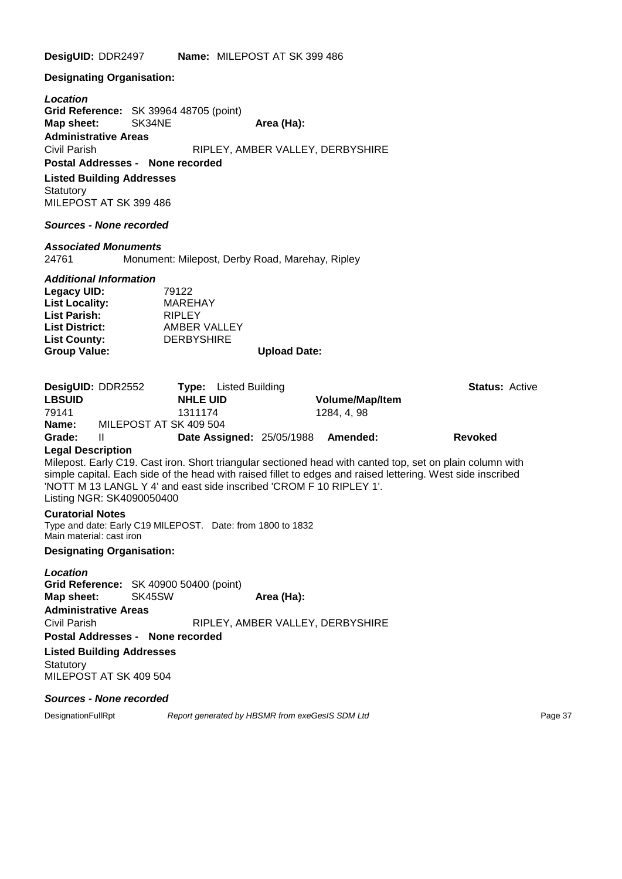**DesigUID:** DDR2497 **Name:** MILEPOST AT SK 399 486

**Designating Organisation:**

*Location* **Grid Reference:** SK 39964 48705 (point) **Map sheet:** SK34NE **Area (Ha): Administrative Areas** Civil Parish RIPLEY, AMBER VALLEY, DERBYSHIRE **Postal Addresses - None recorded**

#### **Listed Building Addresses**

**Statutory** MILEPOST AT SK 399 486

#### *Sources - None recorded*

#### *Associated Monuments*

24761 Monument: Milepost, Derby Road, Marehay, Ripley

#### *Additional Information*

| Legacy UID:           | 79122             |                     |
|-----------------------|-------------------|---------------------|
| <b>List Locality:</b> | MAREHAY           |                     |
| <b>List Parish:</b>   | <b>RIPLEY</b>     |                     |
| <b>List District:</b> | AMBER VALLEY      |                     |
| <b>List County:</b>   | <b>DERBYSHIRE</b> |                     |
| <b>Group Value:</b>   |                   | <b>Upload Date:</b> |

|               | DesigUID: DDR2552      | <b>Type:</b> Listed Building       |                        | <b>Status: Active</b> |
|---------------|------------------------|------------------------------------|------------------------|-----------------------|
| <b>LBSUID</b> | <b>NHLE UID</b>        |                                    | <b>Volume/Map/Item</b> |                       |
| 79141         | 1311174                |                                    | 1284.4.98              |                       |
| Name:         | MILEPOST AT SK 409 504 |                                    |                        |                       |
| Grade:        | Ш                      | Date Assigned: 25/05/1988 Amended: |                        | <b>Revoked</b>        |

#### **Legal Description**

Milepost. Early C19. Cast iron. Short triangular sectioned head with canted top, set on plain column with simple capital. Each side of the head with raised fillet to edges and raised lettering. West side inscribed 'NOTT M 13 LANGL Y 4' and east side inscribed 'CROM F 10 RIPLEY 1'. Listing NGR: SK4090050400

#### **Curatorial Notes**

Type and date: Early C19 MILEPOST. Date: from 1800 to 1832 Main material: cast iron

#### **Designating Organisation:**

*Location* **Grid Reference:** SK 40900 50400 (point) **Map sheet:** SK45SW **Area (Ha): Administrative Areas** Civil Parish RIPLEY, AMBER VALLEY, DERBYSHIRE **Postal Addresses - None recorded**

**Listed Building Addresses Statutory** MILEPOST AT SK 409 504

#### *Sources - None recorded*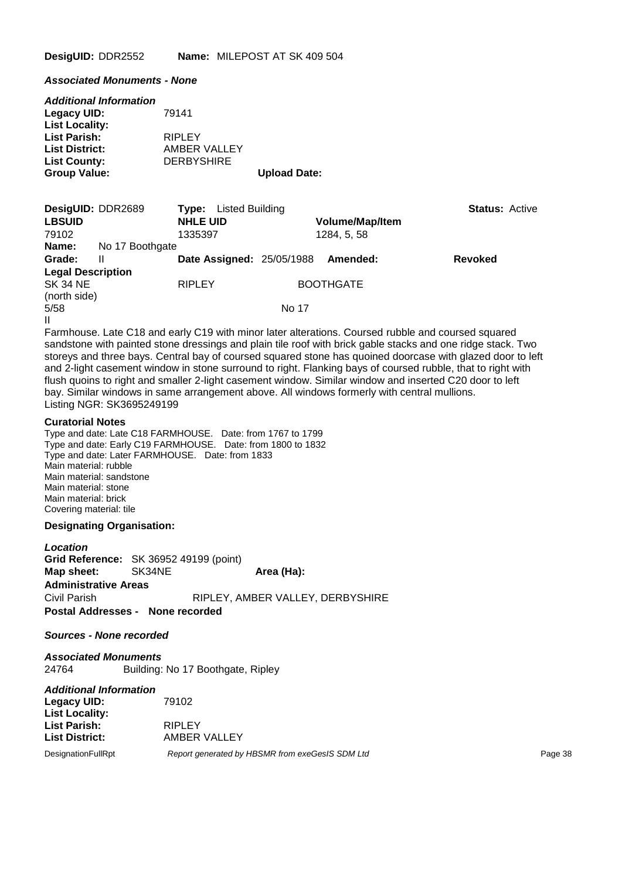**DesigUID:** DDR2552 **Name:** MILEPOST AT SK 409 504

*Associated Monuments - None*

| <b>Additional Information</b><br><b>Legacy UID:</b><br><b>List Locality:</b> | 79141                         |                     |
|------------------------------------------------------------------------------|-------------------------------|---------------------|
| <b>List Parish:</b><br><b>List District:</b>                                 | <b>RIPLEY</b><br>AMBER VALLEY |                     |
| <b>List County:</b><br><b>Group Value:</b>                                   | <b>DERBYSHIRE</b>             | <b>Upload Date:</b> |

| DesigUID: DDR2689        |                                | <b>Listed Building</b><br>Type:  |                                                                                                                 |                        | <b>Status: Active</b> |
|--------------------------|--------------------------------|----------------------------------|-----------------------------------------------------------------------------------------------------------------|------------------------|-----------------------|
| <b>LBSUID</b>            |                                | <b>NHLE UID</b>                  |                                                                                                                 | <b>Volume/Map/Item</b> |                       |
| 79102                    |                                | 1335397                          |                                                                                                                 | 1284, 5, 58            |                       |
| Name:                    | No 17 Boothgate                |                                  |                                                                                                                 |                        |                       |
| Grade:                   | Ш                              | <b>Date Assigned: 25/05/1988</b> |                                                                                                                 | Amended:               | <b>Revoked</b>        |
| <b>Legal Description</b> |                                |                                  |                                                                                                                 |                        |                       |
| <b>SK 34 NE</b>          |                                | <b>RIPLEY</b>                    |                                                                                                                 | <b>BOOTHGATE</b>       |                       |
| (north side)             |                                |                                  |                                                                                                                 |                        |                       |
| 5/58                     |                                |                                  | No 17                                                                                                           |                        |                       |
| Ш                        |                                |                                  |                                                                                                                 |                        |                       |
| $\overline{\phantom{0}}$ | $\mathbf{r}$ . As $\mathbf{r}$ |                                  | the contract of the contract of the contract of the contract of the contract of the contract of the contract of |                        |                       |

Farmhouse. Late C18 and early C19 with minor later alterations. Coursed rubble and coursed squared sandstone with painted stone dressings and plain tile roof with brick gable stacks and one ridge stack. Two storeys and three bays. Central bay of coursed squared stone has quoined doorcase with glazed door to left and 2-light casement window in stone surround to right. Flanking bays of coursed rubble, that to right with flush quoins to right and smaller 2-light casement window. Similar window and inserted C20 door to left bay. Similar windows in same arrangement above. All windows formerly with central mullions. Listing NGR: SK3695249199

#### **Curatorial Notes**

Type and date: Late C18 FARMHOUSE. Date: from 1767 to 1799 Type and date: Early C19 FARMHOUSE. Date: from 1800 to 1832 Type and date: Later FARMHOUSE. Date: from 1833 Main material: rubble Main material: sandstone Main material: stone Main material: brick Covering material: tile

#### **Designating Organisation:**

*Location* Grid Reference: SK 36952 49199 (point)<br>Map sheet: SK34NE **Map sheet:** SK34NE **Area (Ha): Administrative Areas** Civil Parish RIPLEY, AMBER VALLEY, DERBYSHIRE **Postal Addresses - None recorded**

#### *Sources - None recorded*

*Associated Monuments* 24764 Building: No 17 Boothgate, Ripley

#### *Additional Information*

| Legacy UID:               | 79102                                           |         |
|---------------------------|-------------------------------------------------|---------|
| <b>List Locality:</b>     |                                                 |         |
| List Parish:              | <b>RIPLEY</b>                                   |         |
| <b>List District:</b>     | AMBER VALLEY                                    |         |
| <b>DesignationFullRpt</b> | Report generated by HBSMR from exeGesIS SDM Ltd | Page 38 |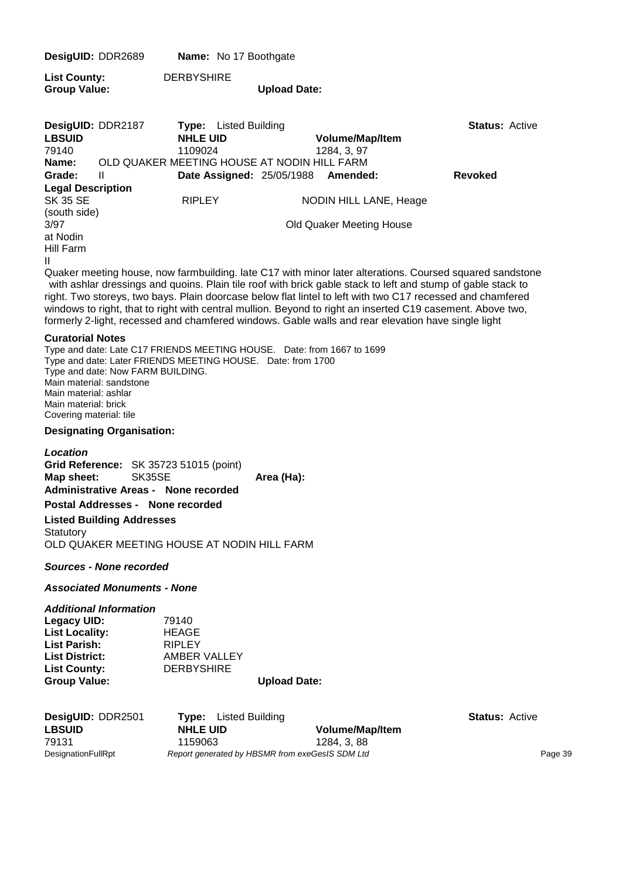| DesigUID: DDR2689                                                                                                                         |                                                                                | Name: No 17 Boothgate                                                                                                                         |                     |                                                           |                                                                                                                                                                                                                                                                                                                                                                                                                                                      |
|-------------------------------------------------------------------------------------------------------------------------------------------|--------------------------------------------------------------------------------|-----------------------------------------------------------------------------------------------------------------------------------------------|---------------------|-----------------------------------------------------------|------------------------------------------------------------------------------------------------------------------------------------------------------------------------------------------------------------------------------------------------------------------------------------------------------------------------------------------------------------------------------------------------------------------------------------------------------|
| <b>List County:</b><br><b>Group Value:</b>                                                                                                |                                                                                | <b>DERBYSHIRE</b>                                                                                                                             | <b>Upload Date:</b> |                                                           |                                                                                                                                                                                                                                                                                                                                                                                                                                                      |
| DesigUID: DDR2187<br><b>LBSUID</b><br>79140<br>Name:<br>Grade:                                                                            | $\mathbf{H}$                                                                   | <b>Type:</b> Listed Building<br><b>NHLE UID</b><br>1109024<br>OLD QUAKER MEETING HOUSE AT NODIN HILL FARM<br><b>Date Assigned: 25/05/1988</b> |                     | Volume/Map/Item<br>1284, 3, 97<br>Amended:                | <b>Status: Active</b><br><b>Revoked</b>                                                                                                                                                                                                                                                                                                                                                                                                              |
| <b>Legal Description</b><br><b>SK 35 SE</b><br>(south side)<br>3/97<br>at Nodin<br>Hill Farm<br>Ш                                         |                                                                                | <b>RIPLEY</b>                                                                                                                                 |                     | NODIN HILL LANE, Heage<br><b>Old Quaker Meeting House</b> | Quaker meeting house, now farmbuilding. late C17 with minor later alterations. Coursed squared sandstone<br>with ashlar dressings and quoins. Plain tile roof with brick gable stack to left and stump of gable stack to<br>right. Two storeys, two bays. Plain doorcase below flat lintel to left with two C17 recessed and chamfered<br>windows to right, that to right with central mullion. Beyond to right an inserted C19 casement. Above two, |
| <b>Curatorial Notes</b><br>Main material: sandstone<br>Main material: ashlar<br>Main material: brick<br>Covering material: tile           | Type and date: Now FARM BUILDING.                                              | Type and date: Late C17 FRIENDS MEETING HOUSE. Date: from 1667 to 1699<br>Type and date: Later FRIENDS MEETING HOUSE. Date: from 1700         |                     |                                                           | formerly 2-light, recessed and chamfered windows. Gable walls and rear elevation have single light                                                                                                                                                                                                                                                                                                                                                   |
|                                                                                                                                           | <b>Designating Organisation:</b>                                               |                                                                                                                                               |                     |                                                           |                                                                                                                                                                                                                                                                                                                                                                                                                                                      |
| Location<br>Map sheet:<br>Statutory                                                                                                       | SK35SE<br>Postal Addresses - None recorded<br><b>Listed Building Addresses</b> | Grid Reference: SK 35723 51015 (point)<br><b>Administrative Areas - None recorded</b><br>OLD QUAKER MEETING HOUSE AT NODIN HILL FARM          | Area (Ha):          |                                                           |                                                                                                                                                                                                                                                                                                                                                                                                                                                      |
|                                                                                                                                           | <b>Sources - None recorded</b>                                                 |                                                                                                                                               |                     |                                                           |                                                                                                                                                                                                                                                                                                                                                                                                                                                      |
|                                                                                                                                           | <b>Associated Monuments - None</b>                                             |                                                                                                                                               |                     |                                                           |                                                                                                                                                                                                                                                                                                                                                                                                                                                      |
| <b>Legacy UID:</b><br><b>List Locality:</b><br><b>List Parish:</b><br><b>List District:</b><br><b>List County:</b><br><b>Group Value:</b> | <b>Additional Information</b>                                                  | 79140<br><b>HEAGE</b><br><b>RIPLEY</b><br><b>AMBER VALLEY</b><br><b>DERBYSHIRE</b>                                                            | <b>Upload Date:</b> |                                                           |                                                                                                                                                                                                                                                                                                                                                                                                                                                      |
| DesigUID: DDR2501<br><b>LBSUID</b><br>79131<br>DesignationFullRpt                                                                         |                                                                                | <b>Type:</b> Listed Building<br><b>NHLE UID</b><br>1159063<br>Report generated by HBSMR from exeGesIS SDM Ltd                                 |                     | <b>Volume/Map/Item</b><br>1284, 3, 88                     | <b>Status: Active</b><br>Page 39                                                                                                                                                                                                                                                                                                                                                                                                                     |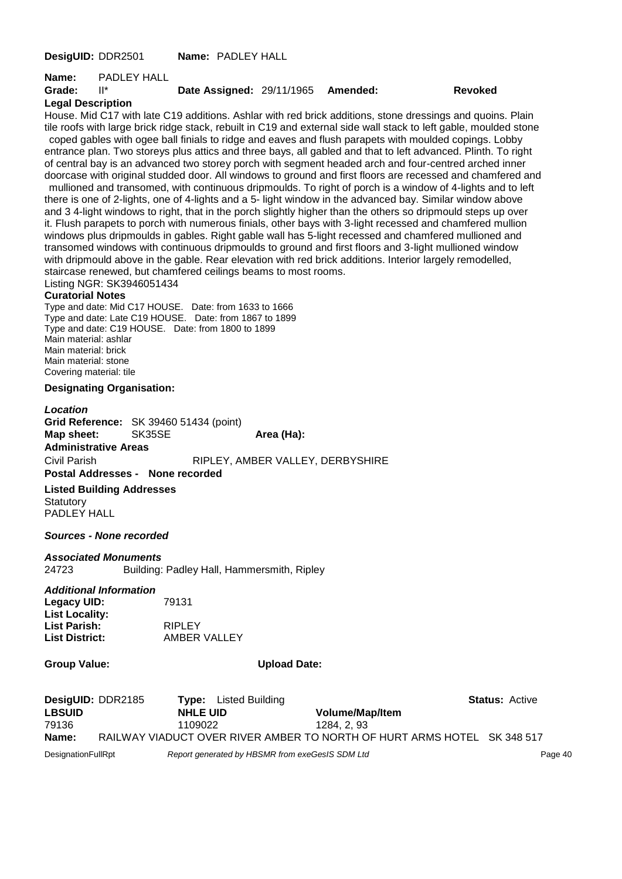**DesigUID:** DDR2501 **Name:** PADLEY HALL

**Name:** PADLEY HALL

#### **Grade:** II\* **Date Assigned:** 29/11/1965 **Amended: Revoked**

#### **Legal Description**

House. Mid C17 with late C19 additions. Ashlar with red brick additions, stone dressings and quoins. Plain tile roofs with large brick ridge stack, rebuilt in C19 and external side wall stack to left gable, moulded stone coped gables with ogee ball finials to ridge and eaves and flush parapets with moulded copings. Lobby entrance plan. Two storeys plus attics and three bays, all gabled and that to left advanced. Plinth. To right of central bay is an advanced two storey porch with segment headed arch and four-centred arched inner doorcase with original studded door. All windows to ground and first floors are recessed and chamfered and mullioned and transomed, with continuous dripmoulds. To right of porch is a window of 4-lights and to left there is one of 2-lights, one of 4-lights and a 5- light window in the advanced bay. Similar window above and 3 4-light windows to right, that in the porch slightly higher than the others so dripmould steps up over it. Flush parapets to porch with numerous finials, other bays with 3-light recessed and chamfered mullion windows plus dripmoulds in gables. Right gable wall has 5-light recessed and chamfered mullioned and transomed windows with continuous dripmoulds to ground and first floors and 3-light mullioned window with dripmould above in the gable. Rear elevation with red brick additions. Interior largely remodelled, staircase renewed, but chamfered ceilings beams to most rooms.

Listing NGR: SK3946051434

#### **Curatorial Notes**

Type and date: Mid C17 HOUSE. Date: from 1633 to 1666 Type and date: Late C19 HOUSE. Date: from 1867 to 1899 Type and date: C19 HOUSE. Date: from 1800 to 1899 Main material: ashlar Main material: brick Main material: stone Covering material: tile

#### **Designating Organisation:**

*Location* **Grid Reference:** SK 39460 51434 (point) **Map sheet:** SK35SE **Area (Ha):** Area (Ha): **Administrative Areas** Civil Parish RIPLEY, AMBER VALLEY, DERBYSHIRE

**Postal Addresses - None recorded**

**Listed Building Addresses Statutory** PADLEY HALL

#### *Sources - None recorded*

#### *Associated Monuments*

24723 Building: Padley Hall, Hammersmith, Ripley

#### *Additional Information*

| 79131         |
|---------------|
|               |
| <b>RIPLEY</b> |
| AMBER VALLEY  |
|               |

#### **Group Value: Upload Date:**

| DesigUID: DDR2185 |         | <b>Type:</b> Listed Building |                                                                         | <b>Status: Active</b> |
|-------------------|---------|------------------------------|-------------------------------------------------------------------------|-----------------------|
| <b>LBSUID</b>     |         | <b>NHLE UID</b>              | <b>Volume/Map/Item</b>                                                  |                       |
| 79136             | 1109022 |                              | 1284. 2. 93                                                             |                       |
| Name:             |         |                              | RAILWAY VIADUCT OVER RIVER AMBER TO NORTH OF HURT ARMS HOTEL SK 348 517 |                       |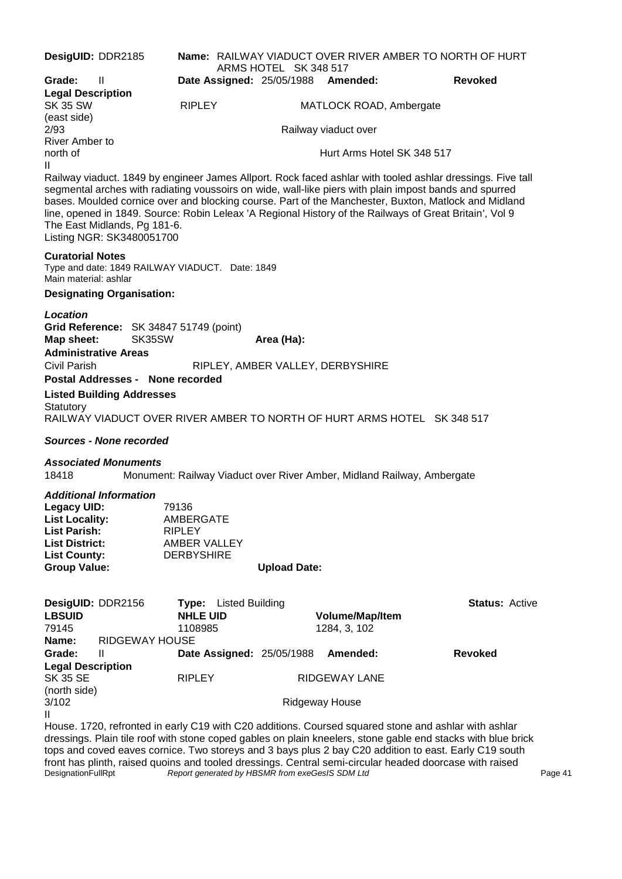| DesigUID: DDR2185                                |                                                                                                                                                                                                                                                                                                                                                                                                                                                                                                      |                     | ARMS HOTEL SK 348 517            |                     | <b>Name: RAILWAY VIADUCT OVER RIVER AMBER TO NORTH OF HURT</b>         |                       |  |
|--------------------------------------------------|------------------------------------------------------------------------------------------------------------------------------------------------------------------------------------------------------------------------------------------------------------------------------------------------------------------------------------------------------------------------------------------------------------------------------------------------------------------------------------------------------|---------------------|----------------------------------|---------------------|------------------------------------------------------------------------|-----------------------|--|
| Grade:                                           | Ш                                                                                                                                                                                                                                                                                                                                                                                                                                                                                                    |                     |                                  |                     | Date Assigned: 25/05/1988 Amended:                                     | <b>Revoked</b>        |  |
| <b>Legal Description</b>                         |                                                                                                                                                                                                                                                                                                                                                                                                                                                                                                      |                     |                                  |                     |                                                                        |                       |  |
| <b>SK 35 SW</b>                                  |                                                                                                                                                                                                                                                                                                                                                                                                                                                                                                      | <b>RIPLEY</b>       |                                  |                     | MATLOCK ROAD, Ambergate                                                |                       |  |
| (east side)<br>2/93                              |                                                                                                                                                                                                                                                                                                                                                                                                                                                                                                      |                     |                                  |                     | Railway viaduct over                                                   |                       |  |
| River Amber to<br>north of                       |                                                                                                                                                                                                                                                                                                                                                                                                                                                                                                      |                     |                                  |                     | Hurt Arms Hotel SK 348 517                                             |                       |  |
| II                                               |                                                                                                                                                                                                                                                                                                                                                                                                                                                                                                      |                     |                                  |                     |                                                                        |                       |  |
|                                                  | Railway viaduct. 1849 by engineer James Allport. Rock faced ashlar with tooled ashlar dressings. Five tall<br>segmental arches with radiating voussoirs on wide, wall-like piers with plain impost bands and spurred<br>bases. Moulded cornice over and blocking course. Part of the Manchester, Buxton, Matlock and Midland<br>line, opened in 1849. Source: Robin Leleax 'A Regional History of the Railways of Great Britain', Vol 9<br>The East Midlands, Pg 181-6.<br>Listing NGR: SK3480051700 |                     |                                  |                     |                                                                        |                       |  |
| <b>Curatorial Notes</b><br>Main material: ashlar | Type and date: 1849 RAILWAY VIADUCT. Date: 1849                                                                                                                                                                                                                                                                                                                                                                                                                                                      |                     |                                  |                     |                                                                        |                       |  |
|                                                  | <b>Designating Organisation:</b>                                                                                                                                                                                                                                                                                                                                                                                                                                                                     |                     |                                  |                     |                                                                        |                       |  |
|                                                  |                                                                                                                                                                                                                                                                                                                                                                                                                                                                                                      |                     |                                  |                     |                                                                        |                       |  |
| Location<br>Map sheet:                           | Grid Reference: SK 34847 51749 (point)<br>SK35SW                                                                                                                                                                                                                                                                                                                                                                                                                                                     |                     |                                  | Area (Ha):          |                                                                        |                       |  |
|                                                  | <b>Administrative Areas</b>                                                                                                                                                                                                                                                                                                                                                                                                                                                                          |                     |                                  |                     |                                                                        |                       |  |
| Civil Parish                                     |                                                                                                                                                                                                                                                                                                                                                                                                                                                                                                      |                     |                                  |                     | RIPLEY, AMBER VALLEY, DERBYSHIRE                                       |                       |  |
|                                                  | Postal Addresses - None recorded                                                                                                                                                                                                                                                                                                                                                                                                                                                                     |                     |                                  |                     |                                                                        |                       |  |
| Statutory                                        | <b>Listed Building Addresses</b><br>RAILWAY VIADUCT OVER RIVER AMBER TO NORTH OF HURT ARMS HOTEL SK 348 517                                                                                                                                                                                                                                                                                                                                                                                          |                     |                                  |                     |                                                                        |                       |  |
|                                                  | <b>Sources - None recorded</b>                                                                                                                                                                                                                                                                                                                                                                                                                                                                       |                     |                                  |                     |                                                                        |                       |  |
| 18418                                            | <b>Associated Monuments</b>                                                                                                                                                                                                                                                                                                                                                                                                                                                                          |                     |                                  |                     | Monument: Railway Viaduct over River Amber, Midland Railway, Ambergate |                       |  |
|                                                  | <b>Additional Information</b>                                                                                                                                                                                                                                                                                                                                                                                                                                                                        |                     |                                  |                     |                                                                        |                       |  |
| <b>Legacy UID:</b>                               |                                                                                                                                                                                                                                                                                                                                                                                                                                                                                                      | 79136               |                                  |                     |                                                                        |                       |  |
| List Locality:                                   |                                                                                                                                                                                                                                                                                                                                                                                                                                                                                                      | AMBERGATE           |                                  |                     |                                                                        |                       |  |
| List Parish:                                     |                                                                                                                                                                                                                                                                                                                                                                                                                                                                                                      | <b>RIPLEY</b>       |                                  |                     |                                                                        |                       |  |
| <b>List District:</b>                            |                                                                                                                                                                                                                                                                                                                                                                                                                                                                                                      | <b>AMBER VALLEY</b> |                                  |                     |                                                                        |                       |  |
| <b>List County:</b><br><b>Group Value:</b>       |                                                                                                                                                                                                                                                                                                                                                                                                                                                                                                      | <b>DERBYSHIRE</b>   |                                  | <b>Upload Date:</b> |                                                                        |                       |  |
|                                                  |                                                                                                                                                                                                                                                                                                                                                                                                                                                                                                      |                     |                                  |                     |                                                                        |                       |  |
| DesigUID: DDR2156                                |                                                                                                                                                                                                                                                                                                                                                                                                                                                                                                      |                     | Type: Listed Building            |                     |                                                                        | <b>Status: Active</b> |  |
| <b>LBSUID</b>                                    |                                                                                                                                                                                                                                                                                                                                                                                                                                                                                                      | <b>NHLE UID</b>     |                                  |                     | Volume/Map/Item                                                        |                       |  |
| 79145                                            |                                                                                                                                                                                                                                                                                                                                                                                                                                                                                                      | 1108985             |                                  |                     | 1284, 3, 102                                                           |                       |  |
| Name:                                            | RIDGEWAY HOUSE                                                                                                                                                                                                                                                                                                                                                                                                                                                                                       |                     |                                  |                     |                                                                        |                       |  |
| Grade:                                           | $\mathbf{H}$                                                                                                                                                                                                                                                                                                                                                                                                                                                                                         |                     | <b>Date Assigned: 25/05/1988</b> |                     | Amended:                                                               | <b>Revoked</b>        |  |
| <b>Legal Description</b>                         |                                                                                                                                                                                                                                                                                                                                                                                                                                                                                                      |                     |                                  |                     |                                                                        |                       |  |
| SK 35 SE                                         |                                                                                                                                                                                                                                                                                                                                                                                                                                                                                                      | <b>RIPLEY</b>       |                                  |                     | <b>RIDGEWAY LANE</b>                                                   |                       |  |
| (north side)<br>3/102                            |                                                                                                                                                                                                                                                                                                                                                                                                                                                                                                      |                     |                                  |                     | <b>Ridgeway House</b>                                                  |                       |  |
| II                                               |                                                                                                                                                                                                                                                                                                                                                                                                                                                                                                      |                     |                                  |                     |                                                                        |                       |  |
|                                                  | House. 1720, refronted in early C19 with C20 additions. Coursed squared stone and ashlar with ashlar<br>dressings. Plain tile roof with stone coped gables on plain kneelers, stone gable end stacks with blue brick                                                                                                                                                                                                                                                                                 |                     |                                  |                     |                                                                        |                       |  |

dressings. Plain tile roof with stone coped gables on plain kneelers, stone gable end stacks with blue brick tops and coved eaves cornice. Two storeys and 3 bays plus 2 bay C20 addition to east. Early C19 south front has plinth, raised quoins and tooled dressings. Central semi-circular headed doorcase with raised DesignationFullRpt *Report generated by HBSMR from exeGesIS SDM Ltd* **Page 41 Page 41**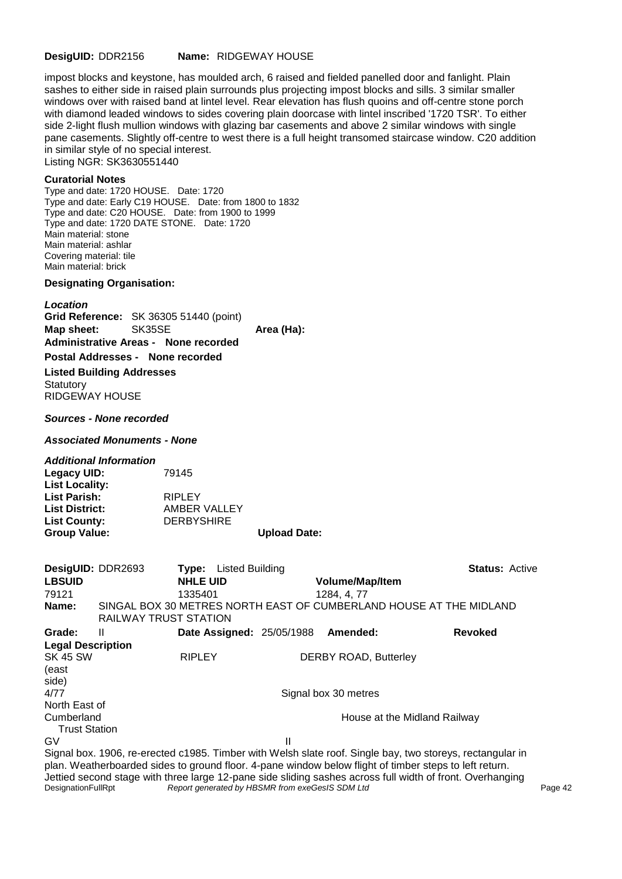#### **DesigUID:** DDR2156 **Name:** RIDGEWAY HOUSE

impost blocks and keystone, has moulded arch, 6 raised and fielded panelled door and fanlight. Plain sashes to either side in raised plain surrounds plus projecting impost blocks and sills. 3 similar smaller windows over with raised band at lintel level. Rear elevation has flush quoins and off-centre stone porch with diamond leaded windows to sides covering plain doorcase with lintel inscribed '1720 TSR'. To either side 2-light flush mullion windows with glazing bar casements and above 2 similar windows with single pane casements. Slightly off-centre to west there is a full height transomed staircase window. C20 addition in similar style of no special interest. Listing NGR: SK3630551440

#### **Curatorial Notes**

Type and date: 1720 HOUSE. Date: 1720 Type and date: Early C19 HOUSE. Date: from 1800 to 1832 Type and date: C20 HOUSE. Date: from 1900 to 1999 Type and date: 1720 DATE STONE. Date: 1720 Main material: stone Main material: ashlar Covering material: tile Main material: brick

#### **Designating Organisation:**

*Location*

**Grid Reference:** SK 36305 51440 (point) **Map sheet:** SK35SE **Area (Ha): Administrative Areas - None recorded**

# **Postal Addresses - None recorded**

**Listed Building Addresses**

**Statutory** RIDGEWAY HOUSE

*Sources - None recorded*

*Associated Monuments - None*

#### *Additional Information*

| Legacy UID:           | 79145             |                     |
|-----------------------|-------------------|---------------------|
| <b>List Locality:</b> |                   |                     |
| List Parish:          | <b>RIPLEY</b>     |                     |
| <b>List District:</b> | AMBER VALLEY      |                     |
| <b>List County:</b>   | <b>DERBYSHIRE</b> |                     |
| <b>Group Value:</b>   |                   | <b>Upload Date:</b> |

| DesigUID: DDR2693        |                       |                 | <b>Type:</b> Listed Building |                           |                              | <b>Status: Active</b>                                                                                     |
|--------------------------|-----------------------|-----------------|------------------------------|---------------------------|------------------------------|-----------------------------------------------------------------------------------------------------------|
| <b>LBSUID</b>            |                       | <b>NHLE UID</b> |                              |                           | <b>Volume/Map/Item</b>       |                                                                                                           |
| 79121                    |                       | 1335401         |                              |                           | 1284, 4, 77                  |                                                                                                           |
| Name:                    | RAILWAY TRUST STATION |                 |                              |                           |                              | SINGAL BOX 30 METRES NORTH EAST OF CUMBERLAND HOUSE AT THE MIDLAND                                        |
| Grade:                   | Ш                     |                 |                              | Date Assigned: 25/05/1988 | Amended:                     | <b>Revoked</b>                                                                                            |
| <b>Legal Description</b> |                       |                 |                              |                           |                              |                                                                                                           |
| <b>SK 45 SW</b>          |                       | <b>RIPLEY</b>   |                              |                           | <b>DERBY ROAD, Butterley</b> |                                                                                                           |
| (east                    |                       |                 |                              |                           |                              |                                                                                                           |
| side)                    |                       |                 |                              |                           |                              |                                                                                                           |
| 4/77                     |                       |                 |                              |                           | Signal box 30 metres         |                                                                                                           |
| North East of            |                       |                 |                              |                           |                              |                                                                                                           |
| Cumberland               |                       |                 |                              |                           |                              | House at the Midland Railway                                                                              |
| <b>Trust Station</b>     |                       |                 |                              |                           |                              |                                                                                                           |
| G٧                       |                       |                 |                              | Ш                         |                              |                                                                                                           |
|                          |                       |                 |                              |                           |                              | Signal box. 1906, re-erected c1985. Timber with Welsh slate roof. Single bay, two storeys, rectangular in |

plan. Weatherboarded sides to ground floor. 4-pane window below flight of timber steps to left return. Jettied second stage with three large 12-pane side sliding sashes across full width of front. Overhanging<br>DesignationFullRpt Report generated by HBSMR from exeGesIS SDM Ltd Report generated by HBSMR from exeGesIS SDM Ltd **Page 42** Page 42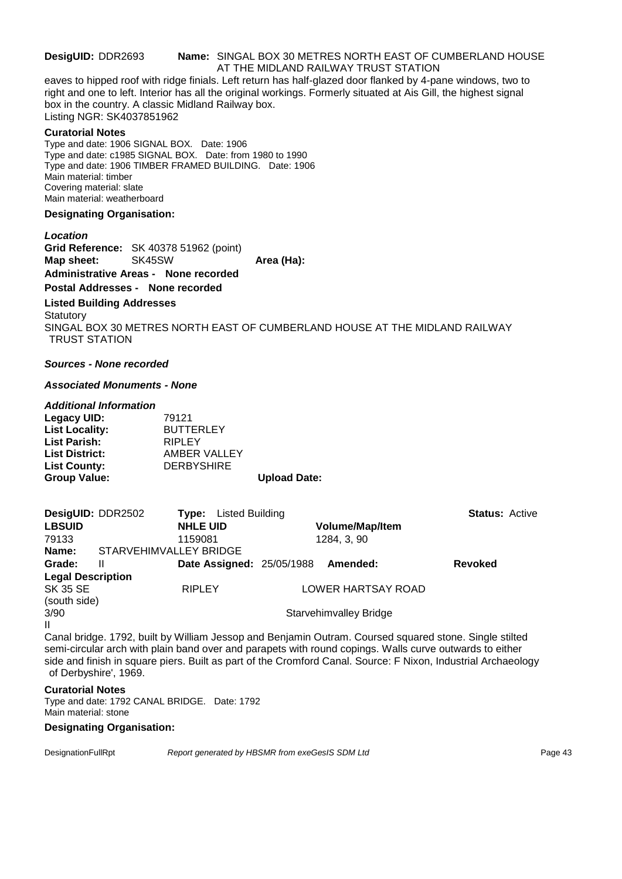#### **DesigUID:** DDR2693 **Name:** SINGAL BOX 30 METRES NORTH EAST OF CUMBERLAND HOUSE AT THE MIDLAND RAILWAY TRUST STATION

eaves to hipped roof with ridge finials. Left return has half-glazed door flanked by 4-pane windows, two to right and one to left. Interior has all the original workings. Formerly situated at Ais Gill, the highest signal box in the country. A classic Midland Railway box. Listing NGR: SK4037851962

#### **Curatorial Notes**

Type and date: 1906 SIGNAL BOX. Date: 1906 Type and date: c1985 SIGNAL BOX. Date: from 1980 to 1990 Type and date: 1906 TIMBER FRAMED BUILDING. Date: 1906 Main material: timber Covering material: slate Main material: weatherboard

#### **Designating Organisation:**

*Location*

**Grid Reference:** SK 40378 51962 (point) **Map sheet:** SK45SW **Area (Ha):** Area (Ha):

#### **Administrative Areas - None recorded Postal Addresses - None recorded**

# **Listed Building Addresses**

**Statutory** SINGAL BOX 30 METRES NORTH EAST OF CUMBERLAND HOUSE AT THE MIDLAND RAILWAY TRUST STATION

#### *Sources - None recorded*

#### *Associated Monuments - None*

#### *Additional Information*

| Legacy UID:           | 79121             |                     |
|-----------------------|-------------------|---------------------|
| <b>List Locality:</b> | <b>BUTTERLEY</b>  |                     |
| <b>List Parish:</b>   | <b>RIPLEY</b>     |                     |
| <b>List District:</b> | AMBER VALLEY      |                     |
| <b>List County:</b>   | <b>DERBYSHIRE</b> |                     |
| <b>Group Value:</b>   |                   | <b>Upload Date:</b> |

| DesigUID: DDR2502           |                        | Listed Building<br>Tvpe:         |                        | <b>Status: Active</b> |  |
|-----------------------------|------------------------|----------------------------------|------------------------|-----------------------|--|
| <b>LBSUID</b>               |                        | <b>NHLE UID</b>                  | <b>Volume/Map/Item</b> |                       |  |
| 79133                       |                        | 1159081                          | 1284, 3, 90            |                       |  |
| Name:                       | STARVEHIMVALLEY BRIDGE |                                  |                        |                       |  |
| Grade:                      | Ш                      | <b>Date Assigned: 25/05/1988</b> | Amended:               | Revoked               |  |
| <b>Legal Description</b>    |                        |                                  |                        |                       |  |
| <b>SK 35 SE</b>             |                        | <b>RIPLEY</b>                    | LOWER HARTSAY ROAD     |                       |  |
| (south side)                |                        |                                  |                        |                       |  |
| 3/90                        |                        |                                  | Starvehimvalley Bridge |                       |  |
| $\mathbf{H}$<br>$\sim$<br>. |                        |                                  |                        |                       |  |

Canal bridge. 1792, built by William Jessop and Benjamin Outram. Coursed squared stone. Single stilted semi-circular arch with plain band over and parapets with round copings. Walls curve outwards to either side and finish in square piers. Built as part of the Cromford Canal. Source: F Nixon, Industrial Archaeology of Derbyshire', 1969.

#### **Curatorial Notes**

Type and date: 1792 CANAL BRIDGE. Date: 1792 Main material: stone

#### **Designating Organisation:**

DesignationFullRpt *Report generated by HBSMR from exeGesIS SDM Ltd Report 9enerated by HBSMR from exeGesIS SDM Ltd*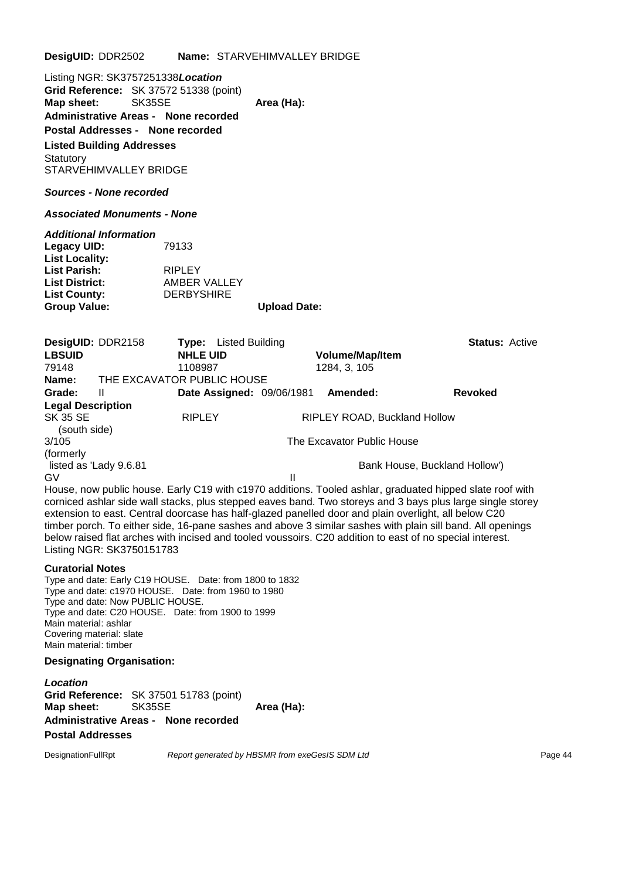**DesigUID:** DDR2502 **Name:** STARVEHIMVALLEY BRIDGE

Listing NGR: SK3757251338*Location* **Grid Reference:** SK 37572 51338 (point) **Map sheet:** SK35SE **Area (Ha): Administrative Areas - None recorded Postal Addresses - None recorded Listed Building Addresses**

*Sources - None recorded*

STARVEHIMVALLEY BRIDGE

**Statutory** 

*Associated Monuments - None*

*Additional Information*

**Legacy UID:** 79133 **List Locality: List Parish:** RIPLEY<br> **List District:** AMBER **AMBER VALLEY<br>DERBYSHIRE List County: Group Value: Upload Date:**

| DesigUID: DDR2158        |                        | Type:                      | Listed Building                  |                              | <b>Status: Active</b>         |
|--------------------------|------------------------|----------------------------|----------------------------------|------------------------------|-------------------------------|
| <b>LBSUID</b>            |                        | <b>NHLE UID</b>            |                                  | <b>Volume/Map/Item</b>       |                               |
| 79148                    |                        | 1108987                    |                                  | 1284, 3, 105                 |                               |
| Name:                    |                        | THE EXCAVATOR PUBLIC HOUSE |                                  |                              |                               |
| Grade:                   | Ш                      |                            | <b>Date Assigned: 09/06/1981</b> | Amended:                     | <b>Revoked</b>                |
| <b>Legal Description</b> |                        |                            |                                  |                              |                               |
| SK 35 SE<br>(south side) |                        | <b>RIPLEY</b>              |                                  | RIPLEY ROAD, Buckland Hollow |                               |
| 3/105                    |                        |                            |                                  | The Excavator Public House   |                               |
| (formerly)               |                        |                            |                                  |                              |                               |
|                          | listed as 'Lady 9.6.81 |                            |                                  |                              | Bank House, Buckland Hollow') |
| G٧                       |                        |                            | Ш                                |                              |                               |
|                          |                        |                            |                                  |                              |                               |

House, now public house. Early C19 with c1970 additions. Tooled ashlar, graduated hipped slate roof with corniced ashlar side wall stacks, plus stepped eaves band. Two storeys and 3 bays plus large single storey extension to east. Central doorcase has half-glazed panelled door and plain overlight, all below C20 timber porch. To either side, 16-pane sashes and above 3 similar sashes with plain sill band. All openings below raised flat arches with incised and tooled voussoirs. C20 addition to east of no special interest. Listing NGR: SK3750151783

#### **Curatorial Notes**

Type and date: Early C19 HOUSE. Date: from 1800 to 1832 Type and date: c1970 HOUSE. Date: from 1960 to 1980 Type and date: Now PUBLIC HOUSE. Type and date: C20 HOUSE. Date: from 1900 to 1999 Main material: ashlar Covering material: slate Main material: timber

#### **Designating Organisation:**

*Location* **Grid Reference:** SK 37501 51783 (point) **Map sheet:** SK35SE **Area (Ha): Administrative Areas - None recorded Postal Addresses**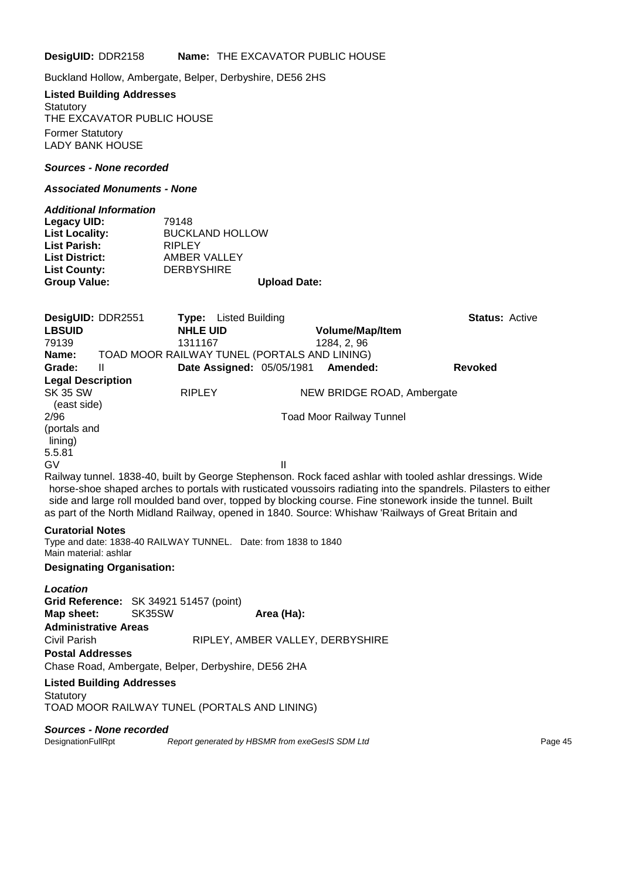**DesigUID:** DDR2158 **Name:** THE EXCAVATOR PUBLIC HOUSE

Buckland Hollow, Ambergate, Belper, Derbyshire, DE56 2HS

#### **Listed Building Addresses Statutory**

THE EXCAVATOR PUBLIC HOUSE Former Statutory LADY BANK HOUSE

#### *Sources - None recorded*

#### *Associated Monuments - None*

| <b>Additional Information</b> |                        |
|-------------------------------|------------------------|
| Legacy UID:                   | 79148                  |
| <b>List Locality:</b>         | <b>BUCKLAND HOLLOW</b> |
| List Parish:                  | <b>RIPLEY</b>          |
| List District:                | AMBER VALLEY           |
| <b>List County:</b>           | <b>DERBYSHIRE</b>      |
| <b>Group Value:</b>           | <b>Upload Date:</b>    |
|                               |                        |

| DesigUID: DDR2551                                |                                                                | <b>Type:</b> Listed Building |                                  |                                 | <b>Status: Active</b>                                                                                                                                                                                                                                                                                                                                                                                                                             |
|--------------------------------------------------|----------------------------------------------------------------|------------------------------|----------------------------------|---------------------------------|---------------------------------------------------------------------------------------------------------------------------------------------------------------------------------------------------------------------------------------------------------------------------------------------------------------------------------------------------------------------------------------------------------------------------------------------------|
| <b>LBSUID</b>                                    |                                                                | <b>NHLE UID</b>              |                                  | <b>Volume/Map/Item</b>          |                                                                                                                                                                                                                                                                                                                                                                                                                                                   |
| 79139                                            |                                                                | 1311167                      |                                  | 1284, 2, 96                     |                                                                                                                                                                                                                                                                                                                                                                                                                                                   |
| Name:                                            | TOAD MOOR RAILWAY TUNEL (PORTALS AND LINING)                   |                              |                                  |                                 |                                                                                                                                                                                                                                                                                                                                                                                                                                                   |
| Grade:                                           | Ш                                                              |                              | <b>Date Assigned: 05/05/1981</b> | Amended:                        | <b>Revoked</b>                                                                                                                                                                                                                                                                                                                                                                                                                                    |
| <b>Legal Description</b>                         |                                                                |                              |                                  |                                 |                                                                                                                                                                                                                                                                                                                                                                                                                                                   |
| <b>SK 35 SW</b><br>(east side)                   |                                                                | <b>RIPLEY</b>                |                                  | NEW BRIDGE ROAD, Ambergate      |                                                                                                                                                                                                                                                                                                                                                                                                                                                   |
| 2/96                                             |                                                                |                              |                                  | <b>Toad Moor Railway Tunnel</b> |                                                                                                                                                                                                                                                                                                                                                                                                                                                   |
| (portals and<br>lining)                          |                                                                |                              |                                  |                                 |                                                                                                                                                                                                                                                                                                                                                                                                                                                   |
| 5.5.81                                           |                                                                |                              |                                  |                                 |                                                                                                                                                                                                                                                                                                                                                                                                                                                   |
| <b>GV</b>                                        |                                                                |                              | Ш                                |                                 |                                                                                                                                                                                                                                                                                                                                                                                                                                                   |
|                                                  |                                                                |                              |                                  |                                 | Railway tunnel. 1838-40, built by George Stephenson. Rock faced ashlar with tooled ashlar dressings. Wide<br>horse-shoe shaped arches to portals with rusticated voussoirs radiating into the spandrels. Pilasters to either<br>side and large roll moulded band over, topped by blocking course. Fine stonework inside the tunnel. Built<br>as part of the North Midland Railway, opened in 1840. Source: Whishaw 'Railways of Great Britain and |
| <b>Curatorial Notes</b><br>Main material: ashlar | Type and date: 1838-40 RAILWAY TUNNEL. Date: from 1838 to 1840 |                              |                                  |                                 |                                                                                                                                                                                                                                                                                                                                                                                                                                                   |

#### **Designating Organisation:**

| Location                               |                                                     |  |
|----------------------------------------|-----------------------------------------------------|--|
| Grid Reference: SK 34921 51457 (point) |                                                     |  |
| Map sheet: SK35SW                      | Area (Ha):                                          |  |
| <b>Administrative Areas</b>            |                                                     |  |
| Civil Parish                           | RIPLEY, AMBER VALLEY, DERBYSHIRE                    |  |
| <b>Postal Addresses</b>                |                                                     |  |
|                                        | Chase Road, Ambergate, Belper, Derbyshire, DE56 2HA |  |
| <b>Listed Building Addresses</b>       |                                                     |  |
| Statutory                              |                                                     |  |
|                                        | TOAD MOOR RAILWAY TUNEL (PORTALS AND LINING)        |  |

#### *Sources - None recorded*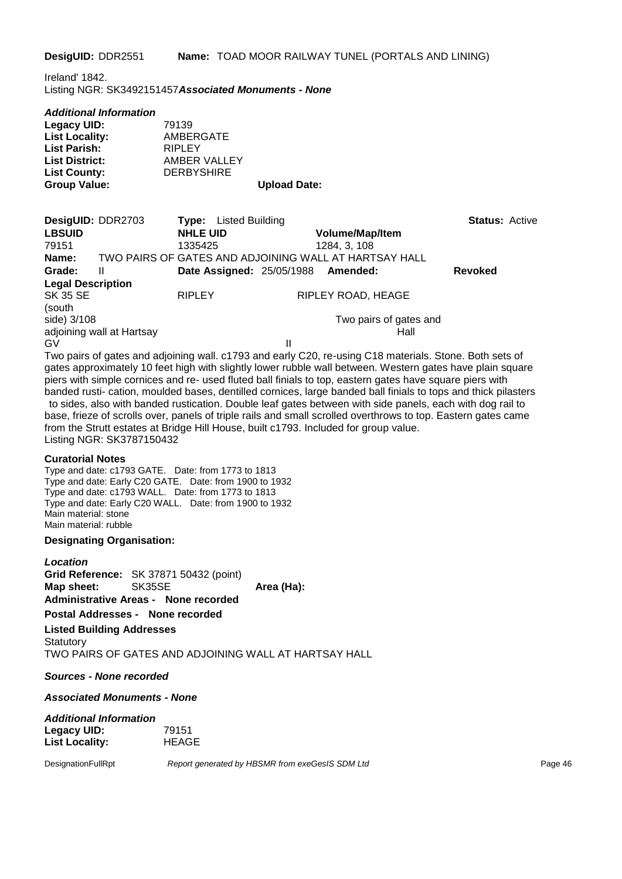**DesigUID:** DDR2551 **Name:** TOAD MOOR RAILWAY TUNEL (PORTALS AND LINING)

Ireland' 1842. Listing NGR: SK3492151457*Associated Monuments - None*

|  | Additional Information |
|--|------------------------|
|--|------------------------|

| Legacy UID:           | 79139             |                     |
|-----------------------|-------------------|---------------------|
| <b>List Locality:</b> | AMBERGATE         |                     |
| <b>List Parish:</b>   | RIPLEY            |                     |
| <b>List District:</b> | AMBER VALLEY      |                     |
| <b>List County:</b>   | <b>DERBYSHIRE</b> |                     |
| <b>Group Value:</b>   |                   | <b>Upload Date:</b> |

| DesigUID: DDR2703        |                           | Type:           | Listed Building                    |                                                       | <b>Status: Active</b> |  |
|--------------------------|---------------------------|-----------------|------------------------------------|-------------------------------------------------------|-----------------------|--|
| <b>LBSUID</b>            |                           | <b>NHLE UID</b> |                                    | <b>Volume/Map/Item</b>                                |                       |  |
| 79151                    |                           | 1335425         |                                    | 1284, 3, 108                                          |                       |  |
| Name:                    |                           |                 |                                    | TWO PAIRS OF GATES AND ADJOINING WALL AT HARTSAY HALL |                       |  |
| Grade:                   | Ш                         |                 | Date Assigned: 25/05/1988 Amended: |                                                       | <b>Revoked</b>        |  |
| <b>Legal Description</b> |                           |                 |                                    |                                                       |                       |  |
| <b>SK 35 SE</b>          |                           | <b>RIPLEY</b>   |                                    | RIPLEY ROAD, HEAGE                                    |                       |  |
| (south                   |                           |                 |                                    |                                                       |                       |  |
| side) 3/108              |                           |                 |                                    | Two pairs of gates and                                |                       |  |
|                          | adjoining wall at Hartsay |                 |                                    | Hall                                                  |                       |  |
| GV                       |                           |                 | II                                 |                                                       |                       |  |

Two pairs of gates and adjoining wall. c1793 and early C20, re-using C18 materials. Stone. Both sets of gates approximately 10 feet high with slightly lower rubble wall between. Western gates have plain square piers with simple cornices and re- used fluted ball finials to top, eastern gates have square piers with banded rusti- cation, moulded bases, dentilled cornices, large banded ball finials to tops and thick pilasters to sides, also with banded rustication. Double leaf gates between with side panels, each with dog rail to base, frieze of scrolls over, panels of triple rails and small scrolled overthrows to top. Eastern gates came from the Strutt estates at Bridge Hill House, built c1793. Included for group value. Listing NGR: SK3787150432

#### **Curatorial Notes**

Type and date: c1793 GATE. Date: from 1773 to 1813 Type and date: Early C20 GATE. Date: from 1900 to 1932 Type and date: c1793 WALL. Date: from 1773 to 1813 Type and date: Early C20 WALL. Date: from 1900 to 1932 Main material: stone Main material: rubble

#### **Designating Organisation:**

*Location* **Grid Reference:** SK 37871 50432 (point) **Map sheet:** SK35SE **Area (Ha): Administrative Areas - None recorded Postal Addresses - None recorded**

**Listed Building Addresses Statutory** 

TWO PAIRS OF GATES AND ADJOINING WALL AT HARTSAY HALL

*Sources - None recorded*

*Associated Monuments - None*

#### *Additional Information* **Legacy UID:** 79151 List Locality: HEAGE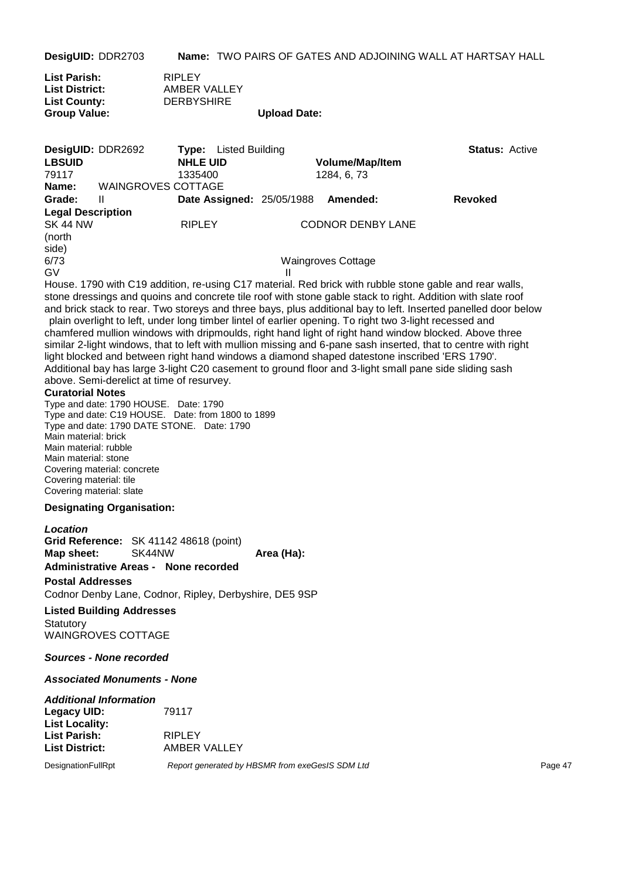**DesigUID:** DDR2703 **Name:** TWO PAIRS OF GATES AND ADJOINING WALL AT HARTSAY HALL

| <b>RIPLEY</b>     |                     |
|-------------------|---------------------|
| AMBER VALLEY      |                     |
| <b>DERBYSHIRE</b> |                     |
|                   | <b>Upload Date:</b> |
|                   |                     |

| DesigUID: DDR2692                                                                                                                                                                                                                                                                                                                                                                                                                                                                                                                                                                                                                                                                                                                                                                                                                                                                                                                                                                                                                                                                                                                                                                                                                                |                                                                         | <b>Type:</b> Listed Building                                                                                                                    |              |                           | <b>Status: Active</b> |
|--------------------------------------------------------------------------------------------------------------------------------------------------------------------------------------------------------------------------------------------------------------------------------------------------------------------------------------------------------------------------------------------------------------------------------------------------------------------------------------------------------------------------------------------------------------------------------------------------------------------------------------------------------------------------------------------------------------------------------------------------------------------------------------------------------------------------------------------------------------------------------------------------------------------------------------------------------------------------------------------------------------------------------------------------------------------------------------------------------------------------------------------------------------------------------------------------------------------------------------------------|-------------------------------------------------------------------------|-------------------------------------------------------------------------------------------------------------------------------------------------|--------------|---------------------------|-----------------------|
| <b>LBSUID</b>                                                                                                                                                                                                                                                                                                                                                                                                                                                                                                                                                                                                                                                                                                                                                                                                                                                                                                                                                                                                                                                                                                                                                                                                                                    |                                                                         | <b>NHLE UID</b>                                                                                                                                 |              | <b>Volume/Map/Item</b>    |                       |
| 79117<br>Name:                                                                                                                                                                                                                                                                                                                                                                                                                                                                                                                                                                                                                                                                                                                                                                                                                                                                                                                                                                                                                                                                                                                                                                                                                                   | <b>WAINGROVES COTTAGE</b>                                               | 1335400                                                                                                                                         |              | 1284, 6, 73               |                       |
| Grade:                                                                                                                                                                                                                                                                                                                                                                                                                                                                                                                                                                                                                                                                                                                                                                                                                                                                                                                                                                                                                                                                                                                                                                                                                                           | Ш                                                                       | Date Assigned: 25/05/1988                                                                                                                       |              | Amended:                  | <b>Revoked</b>        |
| <b>Legal Description</b>                                                                                                                                                                                                                                                                                                                                                                                                                                                                                                                                                                                                                                                                                                                                                                                                                                                                                                                                                                                                                                                                                                                                                                                                                         |                                                                         |                                                                                                                                                 |              |                           |                       |
| <b>SK 44 NW</b>                                                                                                                                                                                                                                                                                                                                                                                                                                                                                                                                                                                                                                                                                                                                                                                                                                                                                                                                                                                                                                                                                                                                                                                                                                  |                                                                         | <b>RIPLEY</b>                                                                                                                                   |              | <b>CODNOR DENBY LANE</b>  |                       |
| (north                                                                                                                                                                                                                                                                                                                                                                                                                                                                                                                                                                                                                                                                                                                                                                                                                                                                                                                                                                                                                                                                                                                                                                                                                                           |                                                                         |                                                                                                                                                 |              |                           |                       |
| side)<br>6/73                                                                                                                                                                                                                                                                                                                                                                                                                                                                                                                                                                                                                                                                                                                                                                                                                                                                                                                                                                                                                                                                                                                                                                                                                                    |                                                                         |                                                                                                                                                 |              |                           |                       |
| GV                                                                                                                                                                                                                                                                                                                                                                                                                                                                                                                                                                                                                                                                                                                                                                                                                                                                                                                                                                                                                                                                                                                                                                                                                                               |                                                                         |                                                                                                                                                 | $\mathbf{H}$ | <b>Waingroves Cottage</b> |                       |
| House. 1790 with C19 addition, re-using C17 material. Red brick with rubble stone gable and rear walls,<br>stone dressings and quoins and concrete tile roof with stone gable stack to right. Addition with slate roof<br>and brick stack to rear. Two storeys and three bays, plus additional bay to left. Inserted panelled door below<br>plain overlight to left, under long timber lintel of earlier opening. To right two 3-light recessed and<br>chamfered mullion windows with dripmoulds, right hand light of right hand window blocked. Above three<br>similar 2-light windows, that to left with mullion missing and 6-pane sash inserted, that to centre with right<br>light blocked and between right hand windows a diamond shaped datestone inscribed 'ERS 1790'.<br>Additional bay has large 3-light C20 casement to ground floor and 3-light small pane side sliding sash<br>above. Semi-derelict at time of resurvey.<br><b>Curatorial Notes</b><br>Type and date: 1790 HOUSE. Date: 1790<br>Type and date: C19 HOUSE. Date: from 1800 to 1899<br>Type and date: 1790 DATE STONE. Date: 1790<br>Main material: brick<br>Main material: rubble<br>Main material: stone<br>Covering material: concrete<br>Covering material: tile |                                                                         |                                                                                                                                                 |              |                           |                       |
| Covering material: slate                                                                                                                                                                                                                                                                                                                                                                                                                                                                                                                                                                                                                                                                                                                                                                                                                                                                                                                                                                                                                                                                                                                                                                                                                         | <b>Designating Organisation:</b>                                        |                                                                                                                                                 |              |                           |                       |
| Location<br>Map sheet:<br><b>Postal Addresses</b><br>Statutory                                                                                                                                                                                                                                                                                                                                                                                                                                                                                                                                                                                                                                                                                                                                                                                                                                                                                                                                                                                                                                                                                                                                                                                   | SK44NW<br><b>Listed Building Addresses</b><br><b>WAINGROVES COTTAGE</b> | Grid Reference: SK 41142 48618 (point)<br><b>Administrative Areas - None recorded</b><br>Codnor Denby Lane, Codnor, Ripley, Derbyshire, DE5 9SP | Area (Ha):   |                           |                       |
|                                                                                                                                                                                                                                                                                                                                                                                                                                                                                                                                                                                                                                                                                                                                                                                                                                                                                                                                                                                                                                                                                                                                                                                                                                                  | <b>Sources - None recorded</b>                                          |                                                                                                                                                 |              |                           |                       |
|                                                                                                                                                                                                                                                                                                                                                                                                                                                                                                                                                                                                                                                                                                                                                                                                                                                                                                                                                                                                                                                                                                                                                                                                                                                  | <b>Associated Monuments - None</b>                                      |                                                                                                                                                 |              |                           |                       |
| <b>Legacy UID:</b><br><b>List Locality:</b><br><b>List Parish:</b><br><b>List District:</b>                                                                                                                                                                                                                                                                                                                                                                                                                                                                                                                                                                                                                                                                                                                                                                                                                                                                                                                                                                                                                                                                                                                                                      | <b>Additional Information</b>                                           | 79117<br><b>RIPLEY</b><br>AMBER VALLEY                                                                                                          |              |                           |                       |
|                                                                                                                                                                                                                                                                                                                                                                                                                                                                                                                                                                                                                                                                                                                                                                                                                                                                                                                                                                                                                                                                                                                                                                                                                                                  |                                                                         |                                                                                                                                                 |              |                           | Page 47               |
| DesignationFullRpt                                                                                                                                                                                                                                                                                                                                                                                                                                                                                                                                                                                                                                                                                                                                                                                                                                                                                                                                                                                                                                                                                                                                                                                                                               |                                                                         | Report generated by HBSMR from exeGesIS SDM Ltd                                                                                                 |              |                           |                       |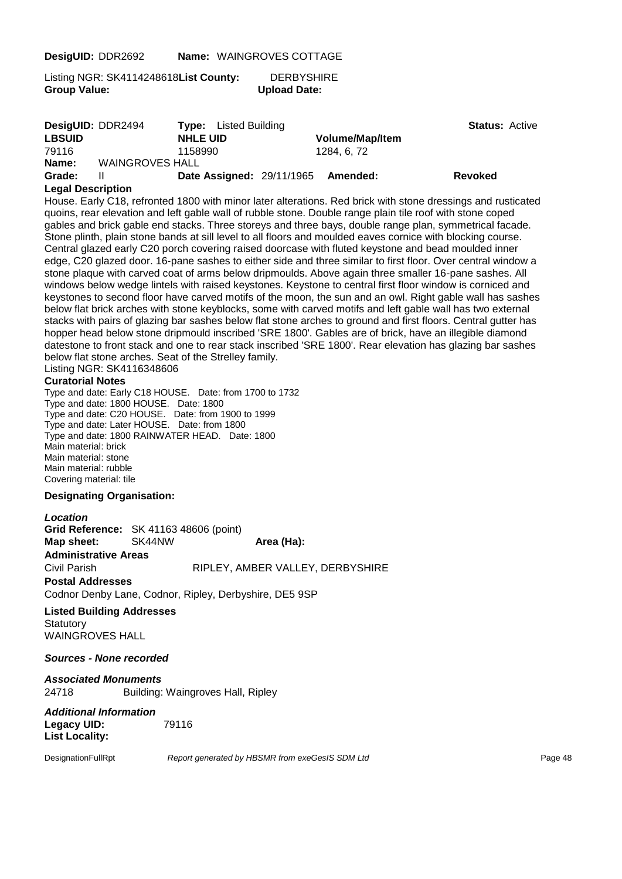**DesigUID:** DDR2692 **Name:** WAINGROVES COTTAGE

Listing NGR: SK4114248618**List County:** DERBYSHIRE **Group Value: Upload Date:**

|               | DesigUID: DDR2494      | <b>Type:</b> Listed Building     |                        | <b>Status: Active</b> |
|---------------|------------------------|----------------------------------|------------------------|-----------------------|
| <b>LBSUID</b> |                        | <b>NHLE UID</b>                  | <b>Volume/Map/Item</b> |                       |
| 79116         |                        | 1158990                          | 1284, 6, 72            |                       |
| Name:         | <b>WAINGROVES HALL</b> |                                  |                        |                       |
| Grade:        |                        | <b>Date Assigned: 29/11/1965</b> | Amended:               | <b>Revoked</b>        |

#### **Legal Description**

House. Early C18, refronted 1800 with minor later alterations. Red brick with stone dressings and rusticated quoins, rear elevation and left gable wall of rubble stone. Double range plain tile roof with stone coped gables and brick gable end stacks. Three storeys and three bays, double range plan, symmetrical facade. Stone plinth, plain stone bands at sill level to all floors and moulded eaves cornice with blocking course. Central glazed early C20 porch covering raised doorcase with fluted keystone and bead moulded inner edge, C20 glazed door. 16-pane sashes to either side and three similar to first floor. Over central window a stone plaque with carved coat of arms below dripmoulds. Above again three smaller 16-pane sashes. All windows below wedge lintels with raised keystones. Keystone to central first floor window is corniced and keystones to second floor have carved motifs of the moon, the sun and an owl. Right gable wall has sashes below flat brick arches with stone keyblocks, some with carved motifs and left gable wall has two external stacks with pairs of glazing bar sashes below flat stone arches to ground and first floors. Central gutter has hopper head below stone dripmould inscribed 'SRE 1800'. Gables are of brick, have an illegible diamond datestone to front stack and one to rear stack inscribed 'SRE 1800'. Rear elevation has glazing bar sashes below flat stone arches. Seat of the Strelley family.

Listing NGR: SK4116348606

#### **Curatorial Notes**

Type and date: Early C18 HOUSE. Date: from 1700 to 1732 Type and date: 1800 HOUSE. Date: 1800 Type and date: C20 HOUSE. Date: from 1900 to 1999 Type and date: Later HOUSE. Date: from 1800 Type and date: 1800 RAINWATER HEAD. Date: 1800 Main material: brick Main material: stone Main material: rubble Covering material: tile

#### **Designating Organisation:**

*Location* **Grid Reference:** SK 41163 48606 (point) **Map sheet:** SK44NW **Area (Ha): Administrative Areas** Civil Parish RIPLEY, AMBER VALLEY, DERBYSHIRE **Postal Addresses** Codnor Denby Lane, Codnor, Ripley, Derbyshire, DE5 9SP

#### **Listed Building Addresses Statutory**

WAINGROVES HALL

#### *Sources - None recorded*

#### *Associated Monuments* 24718 Building: Waingroves Hall, Ripley

*Additional Information* **Legacy UID:** 79116 **List Locality:**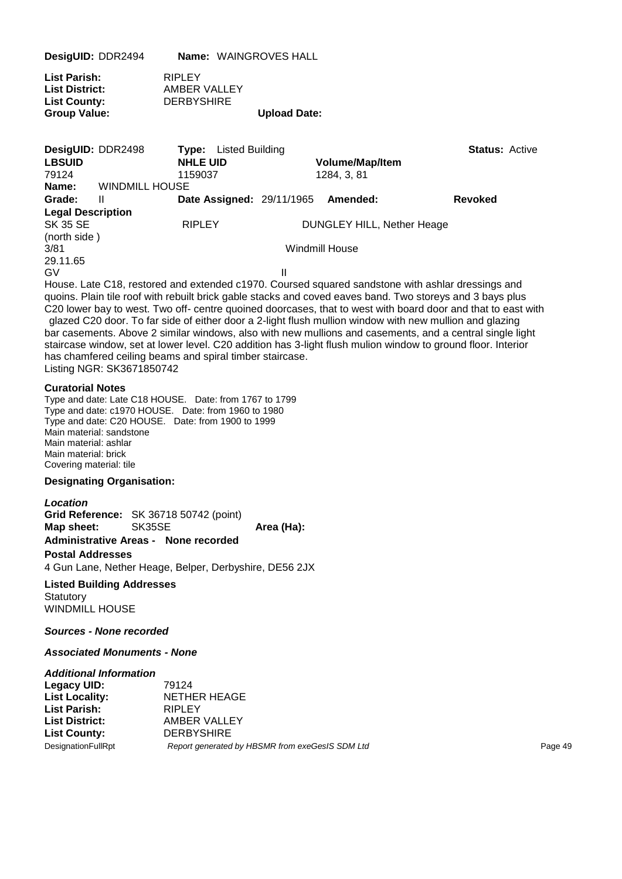| DesigUID: DDR2494                                                                                | Name: WAINGROVES HALL                                      |                     |                                       |                       |
|--------------------------------------------------------------------------------------------------|------------------------------------------------------------|---------------------|---------------------------------------|-----------------------|
| List Parish:<br>List District:<br><b>List County:</b><br><b>Group Value:</b>                     | <b>RIPLEY</b><br>AMBER VALLEY<br><b>DERBYSHIRE</b>         | <b>Upload Date:</b> |                                       |                       |
| DesigUID: DDR2498<br><b>LBSUID</b><br>79124<br><b>WINDMILL HOUSE</b><br>Name:                    | <b>Type:</b> Listed Building<br><b>NHLE UID</b><br>1159037 |                     | <b>Volume/Map/Item</b><br>1284, 3, 81 | <b>Status: Active</b> |
| Grade:<br>Ш                                                                                      | Date Assigned: 29/11/1965 Amended:                         |                     |                                       | <b>Revoked</b>        |
| <b>Legal Description</b><br>SK 35 SE<br>(north side)                                             | <b>RIPLEY</b>                                              |                     | <b>DUNGLEY HILL, Nether Heage</b>     |                       |
| 3/81                                                                                             |                                                            |                     | <b>Windmill House</b>                 |                       |
| 29.11.65<br>G٧                                                                                   |                                                            | Ш                   |                                       |                       |
| House Lote C10, restared and outended e1070. Coursed equared condetens with ophlar dressings and |                                                            |                     |                                       |                       |

House. Late C18, restored and extended c1970. Coursed squared sandstone with ashlar dressings and quoins. Plain tile roof with rebuilt brick gable stacks and coved eaves band. Two storeys and 3 bays plus C20 lower bay to west. Two off- centre quoined doorcases, that to west with board door and that to east with glazed C20 door. To far side of either door a 2-light flush mullion window with new mullion and glazing

bar casements. Above 2 similar windows, also with new mullions and casements, and a central single light staircase window, set at lower level. C20 addition has 3-light flush mulion window to ground floor. Interior has chamfered ceiling beams and spiral timber staircase. Listing NGR: SK3671850742

#### **Curatorial Notes**

Type and date: Late C18 HOUSE. Date: from 1767 to 1799 Type and date: c1970 HOUSE. Date: from 1960 to 1980 Type and date: C20 HOUSE. Date: from 1900 to 1999 Main material: sandstone Main material: ashlar Main material: brick Covering material: tile

#### **Designating Organisation:**

#### *Location*

**Grid Reference:** SK 36718 50742 (point) **Map sheet:** SK35SE **Area (Ha): Administrative Areas - None recorded**

#### **Postal Addresses**

4 Gun Lane, Nether Heage, Belper, Derbyshire, DE56 2JX

**Listed Building Addresses Statutory** WINDMILL HOUSE

#### *Sources - None recorded*

#### *Associated Monuments - None*

| <b>Additional Information</b> |                                                 |         |
|-------------------------------|-------------------------------------------------|---------|
| Legacy UID:                   | 79124                                           |         |
| <b>List Locality:</b>         | NETHER HEAGE                                    |         |
| <b>List Parish:</b>           | RIPLEY                                          |         |
| <b>List District:</b>         | AMBER VALLEY                                    |         |
| <b>List County:</b>           | <b>DERBYSHIRE</b>                               |         |
| DesignationFullRpt            | Report generated by HBSMR from exeGesIS SDM Ltd | Page 49 |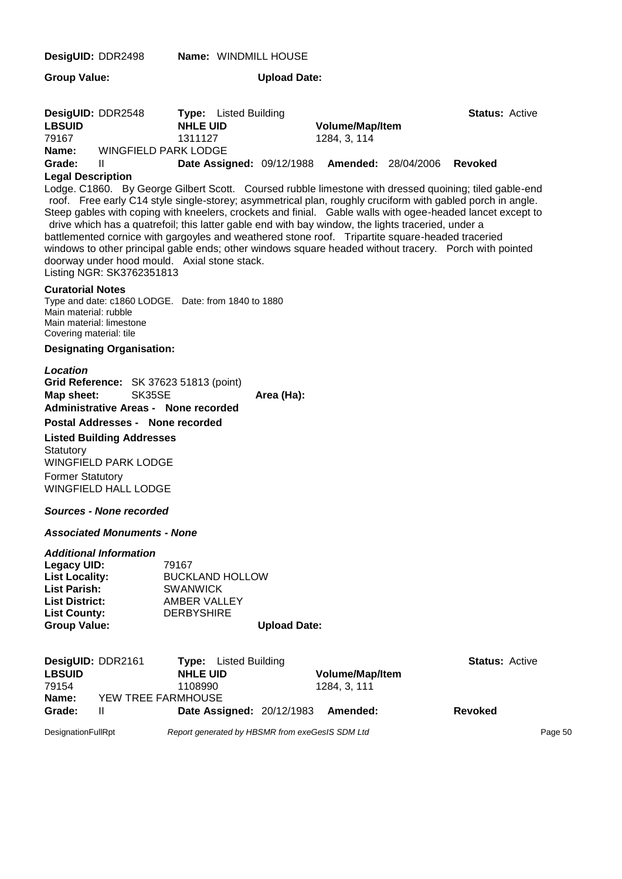| DesigUID: DDR2498                                                                                                                         |                                                                                                | Name: WINDMILL HOUSE                                                                                                                                                                                                                                                                                                                                                                                                                                                                                                                                                                                                                                                                                    |                     |                                        |                       |         |
|-------------------------------------------------------------------------------------------------------------------------------------------|------------------------------------------------------------------------------------------------|---------------------------------------------------------------------------------------------------------------------------------------------------------------------------------------------------------------------------------------------------------------------------------------------------------------------------------------------------------------------------------------------------------------------------------------------------------------------------------------------------------------------------------------------------------------------------------------------------------------------------------------------------------------------------------------------------------|---------------------|----------------------------------------|-----------------------|---------|
| <b>Group Value:</b>                                                                                                                       |                                                                                                |                                                                                                                                                                                                                                                                                                                                                                                                                                                                                                                                                                                                                                                                                                         | <b>Upload Date:</b> |                                        |                       |         |
| DesigUID: DDR2548<br><b>LBSUID</b><br>79167<br>Name:                                                                                      | <b>WINGFIELD PARK LODGE</b>                                                                    | <b>Type:</b> Listed Building<br><b>NHLE UID</b><br>1311127                                                                                                                                                                                                                                                                                                                                                                                                                                                                                                                                                                                                                                              |                     | Volume/Map/Item<br>1284, 3, 114        | <b>Status: Active</b> |         |
| Grade:                                                                                                                                    | Ш                                                                                              | Date Assigned: 09/12/1988 Amended: 28/04/2006                                                                                                                                                                                                                                                                                                                                                                                                                                                                                                                                                                                                                                                           |                     |                                        | Revoked               |         |
| <b>Legal Description</b>                                                                                                                  | Listing NGR: SK3762351813                                                                      | Lodge. C1860. By George Gilbert Scott. Coursed rubble limestone with dressed quoining; tiled gable-end<br>roof. Free early C14 style single-storey; asymmetrical plan, roughly cruciform with gabled porch in angle.<br>Steep gables with coping with kneelers, crockets and finial. Gable walls with ogee-headed lancet except to<br>drive which has a quatrefoil; this latter gable end with bay window, the lights traceried, under a<br>battlemented cornice with gargoyles and weathered stone roof.  Tripartite square-headed traceried<br>windows to other principal gable ends; other windows square headed without tracery. Porch with pointed<br>doorway under hood mould. Axial stone stack. |                     |                                        |                       |         |
| <b>Curatorial Notes</b><br>Main material: rubble<br>Covering material: tile                                                               | Main material: limestone                                                                       | Type and date: c1860 LODGE. Date: from 1840 to 1880                                                                                                                                                                                                                                                                                                                                                                                                                                                                                                                                                                                                                                                     |                     |                                        |                       |         |
|                                                                                                                                           | <b>Designating Organisation:</b>                                                               |                                                                                                                                                                                                                                                                                                                                                                                                                                                                                                                                                                                                                                                                                                         |                     |                                        |                       |         |
| <b>Location</b><br>Map sheet:                                                                                                             | SK35SE                                                                                         | Grid Reference: SK 37623 51813 (point)<br><b>Administrative Areas - None recorded</b>                                                                                                                                                                                                                                                                                                                                                                                                                                                                                                                                                                                                                   | Area (Ha):          |                                        |                       |         |
|                                                                                                                                           | Postal Addresses - None recorded                                                               |                                                                                                                                                                                                                                                                                                                                                                                                                                                                                                                                                                                                                                                                                                         |                     |                                        |                       |         |
| Statutory<br><b>Former Statutory</b>                                                                                                      | <b>Listed Building Addresses</b><br><b>WINGFIELD PARK LODGE</b><br><b>WINGFIELD HALL LODGE</b> |                                                                                                                                                                                                                                                                                                                                                                                                                                                                                                                                                                                                                                                                                                         |                     |                                        |                       |         |
|                                                                                                                                           | Sources - None recorded                                                                        |                                                                                                                                                                                                                                                                                                                                                                                                                                                                                                                                                                                                                                                                                                         |                     |                                        |                       |         |
|                                                                                                                                           | <b>Associated Monuments - None</b>                                                             |                                                                                                                                                                                                                                                                                                                                                                                                                                                                                                                                                                                                                                                                                                         |                     |                                        |                       |         |
| <b>Legacy UID:</b><br><b>List Locality:</b><br><b>List Parish:</b><br><b>List District:</b><br><b>List County:</b><br><b>Group Value:</b> | <b>Additional Information</b>                                                                  | 79167<br><b>BUCKLAND HOLLOW</b><br><b>SWANWICK</b><br><b>AMBER VALLEY</b><br><b>DERBYSHIRE</b>                                                                                                                                                                                                                                                                                                                                                                                                                                                                                                                                                                                                          | <b>Upload Date:</b> |                                        |                       |         |
| DesigUID: DDR2161<br><b>LBSUID</b><br>79154                                                                                               |                                                                                                | Listed Building<br>Type:<br><b>NHLE UID</b><br>1108990                                                                                                                                                                                                                                                                                                                                                                                                                                                                                                                                                                                                                                                  |                     | <b>Volume/Map/Item</b><br>1284, 3, 111 | <b>Status: Active</b> |         |
| Name:<br>Grade:                                                                                                                           | YEW TREE FARMHOUSE<br>$\mathbf{H}$                                                             | Date Assigned: 20/12/1983                                                                                                                                                                                                                                                                                                                                                                                                                                                                                                                                                                                                                                                                               |                     | Amended:                               | <b>Revoked</b>        |         |
|                                                                                                                                           |                                                                                                |                                                                                                                                                                                                                                                                                                                                                                                                                                                                                                                                                                                                                                                                                                         |                     |                                        |                       |         |
| DesignationFullRpt                                                                                                                        |                                                                                                | Report generated by HBSMR from exeGesIS SDM Ltd                                                                                                                                                                                                                                                                                                                                                                                                                                                                                                                                                                                                                                                         |                     |                                        |                       | Page 50 |